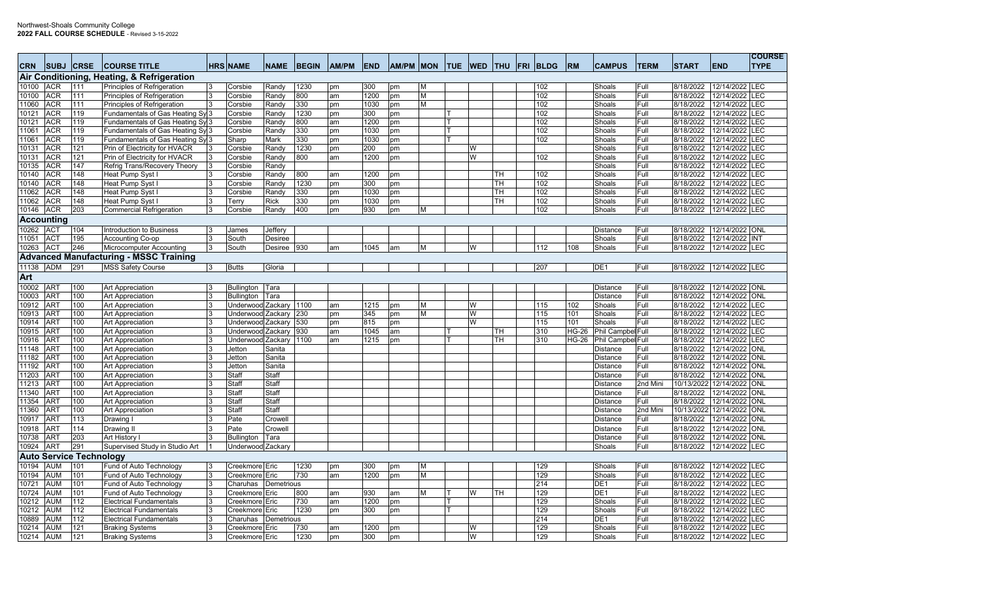| <b>CRN</b>     |                               | <b>ISUBJ ICRSE</b>             | <b>ICOURSE TITLE</b>                                |    | <b>HRS NAME</b>                        | <b>NAME</b>          | <b>BEGIN</b> | <b>AM/PM</b> | <b>END</b>  | AM/PM MON |        | <b>ITUE</b> | <b>IWED</b>             | <b>ITHU</b> | FRI | <b>BLDG</b> | <b>RM</b>    | <b>CAMPUS</b>     | <b>TERM</b>  | <b>START</b>           | <b>END</b>                       | <b>COURSE</b><br><b>TYPE</b> |
|----------------|-------------------------------|--------------------------------|-----------------------------------------------------|----|----------------------------------------|----------------------|--------------|--------------|-------------|-----------|--------|-------------|-------------------------|-------------|-----|-------------|--------------|-------------------|--------------|------------------------|----------------------------------|------------------------------|
|                |                               |                                | Air Conditioning, Heating, & Refrigeration          |    |                                        |                      |              |              |             |           |        |             |                         |             |     |             |              |                   |              |                        |                                  |                              |
| 10100          | <b>ACR</b>                    | 111                            | Principles of Refrigeration                         | 3  | Corsbie                                | Randy                | 1230         | pm           | 300         | pm        | М      |             |                         |             |     | 102         |              | Shoals            | Full         | 8/18/2022              | 12/14/2022 LEC                   |                              |
| 10100          | ACR                           | 111                            | Principles of Refrigeration                         |    | Corsbie                                | Randy                | 800          | am           | 1200        | pm        | м      |             |                         |             |     | 102         |              | Shoals            | Full         | 8/18/2022              | 12/14/2022 LEC                   |                              |
| 11060          | <b>ACR</b>                    | 111                            | <b>Principles of Refrigeration</b>                  | 3  | Corsbie                                | Randy                | 330          | pm           | 1030        | pm        | М      |             |                         |             |     | 102         |              | Shoals            | Full         | 8/18/2022              | 12/14/2022                       | <b>EC</b>                    |
| 10121          | <b>ACR</b>                    | 119                            | Fundamentals of Gas Heating Sy 3                    |    | Corsbie                                | Randy                | 1230         | pm           | 300         | pm        |        |             |                         |             |     | 102         |              | Shoals            | Full         | 8/18/2022              | 12/14/2022                       | LEC                          |
| 10121          | ACR                           | 119                            | Fundamentals of Gas Heating Sy 3                    |    | Corsbie                                | Randy                | 800          | am           | 1200        | pm        |        |             |                         |             |     | 102         |              | Shoals            | Full         | 8/18/2022              | 12/14/2022 LEC                   |                              |
| 11061          | <b>ACR</b>                    | 119                            | Fundamentals of Gas Heating Syl3                    |    | Corsbie                                | Randy                | 330          | pm           | 1030        | pm        |        |             |                         |             |     | 102         |              | Shoals            | Full         | 8/18/2022              | 12/14/2022                       | $E$ C                        |
| 11061          | <b>ACR</b>                    | 119                            | Fundamentals of Gas Heating Sy 3                    |    | Sharp                                  | Mark                 | 330          | pm           | 1030        | pm        |        |             |                         |             |     | 102         |              | Shoals            | Full         | 8/18/2022              | 12/14/2022                       | LEC                          |
| 10131          | <b>ACR</b>                    | 121                            | Prin of Electricity for HVACR                       |    | Corsbie                                | Randy                | 1230         | pm           | 200         | pm        |        |             | W                       |             |     |             |              | Shoals            | Full         | 8/18/2022              | 12/14/2022 LEC                   |                              |
| 10131          | <b>ACR</b>                    | 121                            | Prin of Electricity for HVACR                       |    | Corsbie                                | Randy                | 800          | am           | 1200        | pm        |        |             | W                       |             |     | 102         |              | Shoals            | Full         | 8/18/2022              | 12/14/2022                       | EC                           |
| 10135          | <b>ACR</b>                    | 147                            | Refrig Trans/Recovery Theory                        | 3  | Corsbie                                | Randy                |              |              |             |           |        |             |                         |             |     |             |              | Shoals            | Full         | 8/18/2022              | 12/14/2022                       | <b>LEC</b>                   |
| 10140          | <b>ACR</b>                    | 148                            | Heat Pump Syst l                                    |    | Corsbie                                | Randy                | 800          | am           | 1200        | pm        |        |             |                         | TH          |     | 102         |              | Shoals            | Full         | 8/18/2022              | 12/14/2022 LEC                   |                              |
| 10140          | <b>ACR</b>                    | 148                            | Heat Pump Syst                                      | 3  | Corsbie                                | Randy                | 1230         | pm           | 300         | pm        |        |             |                         | TН          |     | 102         |              | Shoals            | Full         | 8/18/2022              | 12/14/2022                       | EC                           |
| 11062          | <b>ACR</b>                    | 148                            | Heat Pump Syst                                      | 3  | Corsbie                                | Randy                | 330          | pm           | 1030        | pm        |        |             |                         | TН<br>TН    |     | 102         |              | Shoals            | Full         | 8/18/2022              | 12/14/2022 LEC                   |                              |
| 11062<br>10146 | <b>ACR</b><br><b>ACR</b>      | 148<br>203                     | Heat Pump Syst I<br><b>Commercial Refrigeration</b> | ß. | Terry<br>Corsbie                       | <b>Rick</b><br>Randy | 330<br>400   | pm<br>pm     | 1030<br>930 | pm        | М      |             |                         |             |     | 102<br>102  |              | Shoals<br>Shoals  | Full<br>Full | 8/18/2022<br>8/18/2022 | 12/14/2022 LEC<br>12/14/2022 LEC |                              |
|                |                               |                                |                                                     |    |                                        |                      |              |              |             | pm        |        |             |                         |             |     |             |              |                   |              |                        |                                  |                              |
| 10262          | Accounting                    | 104                            |                                                     | 3  |                                        |                      |              |              |             |           |        |             |                         |             |     |             |              |                   |              |                        | 12/14/2022 ONL                   |                              |
|                | <b>ACT</b><br><b>ACT</b>      |                                | <b>Introduction to Business</b>                     | 3  | James                                  | Jeffery              |              |              |             |           |        |             |                         |             |     |             |              | <b>Distance</b>   | Full         | 8/18/2022              |                                  |                              |
| 11051<br>10263 | <b>ACT</b>                    | 195<br>246                     | Accounting Co-op<br>Microcomputer Accounting        | 3  | South<br>South                         | Desiree<br>Desiree   | 930          | am           | 1045        | am        | м      |             | W                       |             |     | 112         | 108          | Shoals<br>Shoals  | Full<br>Full | 8/18/2022<br>8/18/2022 | 12/14/2022 INT<br>12/14/2022 LEC |                              |
|                |                               |                                | <b>Advanced Manufacturing - MSSC Training</b>       |    |                                        |                      |              |              |             |           |        |             |                         |             |     |             |              |                   |              |                        |                                  |                              |
| 11138 ADM      |                               | 291                            |                                                     |    |                                        |                      |              |              |             |           |        |             |                         |             |     | 207         |              | DE <sub>1</sub>   |              | 8/18/2022              |                                  |                              |
|                |                               |                                | <b>MSS Safety Course</b>                            |    | <b>Butts</b>                           | Gloria               |              |              |             |           |        |             |                         |             |     |             |              |                   | Full         |                        | 12/14/2022 LEC                   |                              |
| Art            |                               |                                |                                                     |    |                                        |                      |              |              |             |           |        |             |                         |             |     |             |              |                   |              |                        |                                  |                              |
| 10002<br>10003 | <b>ART</b>                    | 100                            | Art Appreciation                                    |    | <b>Bullington</b>                      | Tara                 |              |              |             |           |        |             |                         |             |     |             |              | <b>Distance</b>   | Full         | 8/18/2022              | 12/14/2022 ONL                   |                              |
| 10912          | AR <sub>1</sub><br><b>ART</b> | 100                            | <b>Art Appreciation</b>                             | 3  | <b>Bullington</b>                      | Tara                 |              |              |             |           |        |             | W                       |             |     |             |              | <b>Distance</b>   | Full         | 8/18/2022              | 12/14/2022 ONL<br>12/14/2022 LEC |                              |
|                | AR <sub>1</sub>               | 100<br>100                     | Art Appreciation                                    |    | Underwood Zackary                      |                      | 1100         | am           | 1215<br>345 | pm        | Μ<br>м |             | W                       |             |     | 115<br>115  | 102<br>101   | Shoals<br>Shoals  | Full<br>Full | 8/18/2022<br>8/18/2022 | 12/14/2022 LEC                   |                              |
| 10913<br>10914 | AR <sub>1</sub>               | 100                            | Art Appreciation<br>Art Appreciation                |    | Underwood Zackary<br>Underwood Zackary |                      | 230<br>530   | pm<br>pm     | 815         | pm<br>pm  |        |             | $\overline{\mathsf{w}}$ |             |     | 115         | 101          | Shoals            | Full         | 8/18/2022              | 12/14/2022                       | LEC                          |
| 10915          | <b>ART</b>                    | 100                            | Art Appreciation                                    | R. | Underwood Zackary                      |                      | 930          | am           | 1045        | am        |        |             |                         | TH          |     | 310         | <b>HG-26</b> | Phil Campbel Full |              | 8/18/2022              | 12/14/2022                       | <b>LEC</b>                   |
| 10916          | AR <sub>1</sub>               | 100                            | Art Appreciation                                    |    | Underwood Zackary                      |                      | 1100         | am           | 1215        | pm        |        |             |                         | TН          |     | 310         | HG-26        | Phil Campbel Full |              | 8/18/2022              | 12/14/2022 LEC                   |                              |
| 11148          | AR <sub>1</sub>               | 100                            | Art Appreciation                                    |    | Jetton                                 | Sanita               |              |              |             |           |        |             |                         |             |     |             |              | <b>Distance</b>   | Full         | 8/18/2022              | 12/14/2022                       | <b>ONL</b>                   |
| 11182          | AR <sub>1</sub>               | 100                            | Art Appreciation                                    | 3  | Jetton                                 | Sanita               |              |              |             |           |        |             |                         |             |     |             |              | <b>Distance</b>   | Full         | 8/18/2022              | 12/14/2022 ONL                   |                              |
| 11192          | AR <sub>1</sub>               | 100                            | Art Appreciation                                    |    | Jetton                                 | Sanita               |              |              |             |           |        |             |                         |             |     |             |              | <b>Distance</b>   | Full         | 8/18/2022              | 12/14/2022 ONL                   |                              |
| 11203          | AR <sub>1</sub>               | 100                            | Art Appreciation                                    |    | Staff                                  | Staff                |              |              |             |           |        |             |                         |             |     |             |              | <b>Distance</b>   | Full         | 8/18/2022              | 12/14/2022 ONL                   |                              |
| 11213          | AR <sub>1</sub>               | 100                            | Art Appreciation                                    | 3  | Staff                                  | Staff                |              |              |             |           |        |             |                         |             |     |             |              | <b>Distance</b>   | 2nd Mini     | 10/13/2022             | 12/14/2022 ONL                   |                              |
| 11340          | AR <sub>1</sub>               | 100                            | Art Appreciation                                    |    | Staf                                   | Staff                |              |              |             |           |        |             |                         |             |     |             |              | <b>Distance</b>   | Full         | 8/18/2022              | 12/14/2022 ONL                   |                              |
| 11354          | AR <sub>1</sub>               | 100                            | Art Appreciation                                    |    | Staft                                  | Staff                |              |              |             |           |        |             |                         |             |     |             |              | <b>Distance</b>   | Full         | 8/18/2022              | 12/14/2022 ONL                   |                              |
| 11360          | AR <sub>1</sub>               | 100                            | Art Appreciation                                    | R. | Staff                                  | Staff                |              |              |             |           |        |             |                         |             |     |             |              | <b>Distance</b>   | 2nd Mini     | 10/13/2022             | 12/14/2022 ONL                   |                              |
| 10917          | AR <sub>1</sub>               | 113                            | Drawing                                             |    | Pate                                   | Crowell              |              |              |             |           |        |             |                         |             |     |             |              | <b>Distance</b>   | Full         | 8/18/2022              | 12/14/2022 ONL                   |                              |
| 10918          | AR <sub>1</sub>               | 114                            | Drawing II                                          |    | Pate                                   | Crowell              |              |              |             |           |        |             |                         |             |     |             |              | <b>Distance</b>   | Full         | 8/18/2022              | 12/14/2022 ONL                   |                              |
| 10738          | AR <sub>1</sub>               | 203                            | Art History I                                       |    | <b>Bullington</b>                      | Tara                 |              |              |             |           |        |             |                         |             |     |             |              | <b>Distance</b>   | Full         | 8/18/2022              | 12/14/2022 ONL                   |                              |
| 10924          | AR <sub>1</sub>               | 291                            | Supervised Study in Studio Art                      |    | Underwood Zackary                      |                      |              |              |             |           |        |             |                         |             |     |             |              | Shoals            | Full         | 8/18/2022              | 12/14/2022 LEC                   |                              |
|                |                               | <b>Auto Service Technology</b> |                                                     |    |                                        |                      |              |              |             |           |        |             |                         |             |     |             |              |                   |              |                        |                                  |                              |
| 10194          | <b>AUM</b>                    | 101                            | Fund of Auto Technology                             | 3  | Creekmore Eric                         |                      | 1230         | pm           | 300         | pm        | м      |             |                         |             |     | 129         |              | Shoals            | Full         | 8/18/2022              | 12/14/2022 LEC                   |                              |
| 10194          | <b>AUM</b>                    | 101                            | Fund of Auto Technology                             | 3  | Creekmore Eric                         |                      | 730          | am           | 1200        | pm        | М      |             |                         |             |     | 129         |              | Shoals            | Full         | 8/18/2022              | 12/14/2022 LEC                   |                              |
| 10721          | <b>AUM</b>                    | 101                            | Fund of Auto Technology                             | 3  | Charuhas                               | Demetrious           |              |              |             |           |        |             |                         |             |     | 214         |              | DE <sub>1</sub>   | Full         | 8/18/2022              | 12/14/2022 LEC                   |                              |
| 10724          | <b>AUM</b>                    | 101                            | Fund of Auto Technology                             | 3  | Creekmore                              | Eric                 | 800          | am           | 930         | am        | М      |             | W                       | TН          |     | 129         |              | DE <sub>1</sub>   | Full         | 8/18/2022              | 12/14/2022                       | <b>LEC</b>                   |
| 10212          | <b>AUM</b>                    | 112                            | <b>Electrical Fundamentals</b>                      | 3  | Creekmore Eric                         |                      | 730          | am           | 1200        | pm        |        |             |                         |             |     | 129         |              | Shoals            | Full         | 8/18/2022              | 12/14/2022 LEC                   |                              |
| 10212          | AUM                           | 112                            | <b>Electrical Fundamentals</b>                      |    | Creekmore <sup>Eric</sup>              |                      | 1230         | pm           | 300         | pm        |        |             |                         |             |     | 129         |              | Shoals            | Full         | 8/18/2022              | 12/14/2022 LEC                   |                              |
| 10889          | <b>AUM</b>                    | 112                            | <b>Electrical Fundamentals</b>                      | 3  | Charuhas                               | Demetrious           |              |              |             |           |        |             |                         |             |     | 214         |              | DE <sub>1</sub>   | Full         | 8/18/2022              | 12/14/2022                       | LEC                          |
| 10214          | <b>AUM</b>                    | 121                            | <b>Braking Systems</b>                              | 3  | Creekmore Eric                         |                      | 730          | am           | 1200        | pm        |        |             | W                       |             |     | 129         |              | Shoals            | Full         | 8/18/2022              | 12/14/2022 LEC                   |                              |
| 10214 AUM      |                               | 121                            | <b>Braking Systems</b>                              |    | Creekmore Eric                         |                      | 1230         | pm           | 300         | pm        |        |             | W                       |             |     | 129         |              | Shoals            | Full         |                        | 8/18/2022 12/14/2022 LEC         |                              |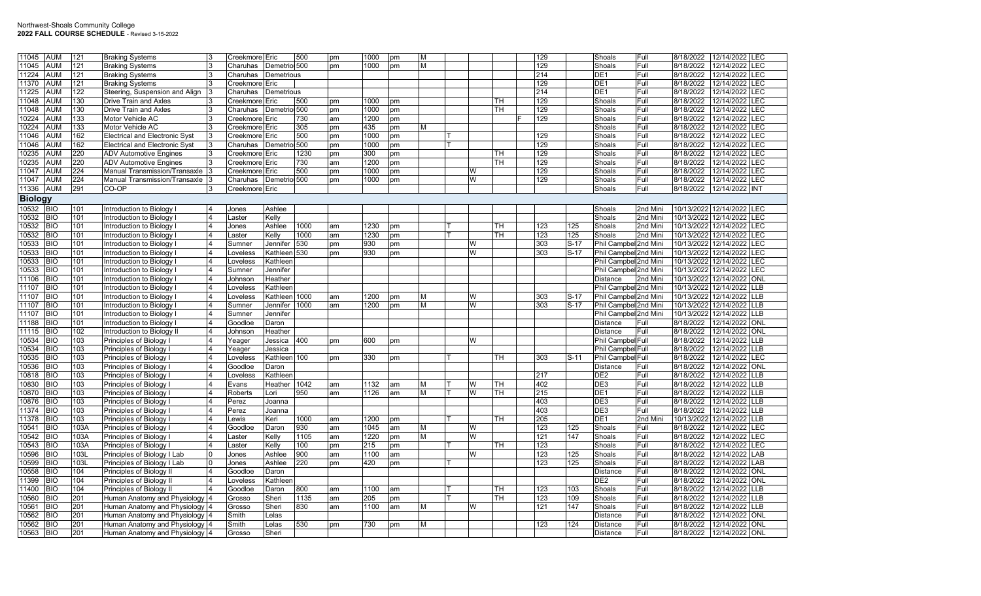| 11045          | <b>AUM</b> | 121  | <b>Braking Systems</b>                |                       | Creekmore Eric            |                 | 500  | pm | 1000 | pm | м              |   |    | 129              |        | Shoals                | Full     | 8/18/2022             | 12/14/2022 LEC                        |
|----------------|------------|------|---------------------------------------|-----------------------|---------------------------|-----------------|------|----|------|----|----------------|---|----|------------------|--------|-----------------------|----------|-----------------------|---------------------------------------|
| 11045          | <b>AUM</b> | 121  | <b>Braking Systems</b>                | २                     | Charuhas                  | Demetrio 500    |      | pm | 1000 | pm | M              |   |    | 129              |        | Shoals                | Full     | 8/18/2022             | 12/14/2022<br><b>LEC</b>              |
| 11224          | AUM        | 121  | <b>Braking Systems</b>                |                       | Charuhas                  | Demetrious      |      |    |      |    |                |   |    | 214              |        | DE <sub>1</sub>       | Full     | 8/18/2022             | 12/14/2022<br>LEC                     |
| 11370          | AUM        | 121  | <b>Braking Systems</b>                |                       | Creekmore <sup>Eric</sup> |                 |      |    |      |    |                |   |    | 129              |        | DE1                   | Full     | 8/18/2022             | 12/14/2022<br>LEC                     |
| 11225          | AUM        | 122  | Steering, Suspension and Align        |                       | Charuhas                  | Demetrious      |      |    |      |    |                |   |    | 214              |        | DE <sub>1</sub>       | Full     | 8/18/2022             | 12/14/2022<br>LEC                     |
| 11048          | AUM        | 130  | Drive Train and Axles                 |                       | Creekmore Eric            |                 | 500  | pm | 1000 | pm |                |   | TH | 129              |        | Shoals                | Full     | 8/18/2022             | LEC<br>12/14/2022                     |
| 11048          | AUM        | 130  | <b>Drive Train and Axles</b>          |                       | Charuhas                  | Demetrio 500    |      | pm | 1000 | pm |                |   | TН | 129              |        | Shoals                | Full     | 8/18/2022             | 12/14/2022<br>LEC                     |
| 10224          | <b>AUM</b> | 133  | Motor Vehicle AC                      | 3                     | Creekmore Eric            |                 | 730  | am | 1200 | pm |                |   |    | 129              |        | Shoals                | Full     | 8/18/2022             | 12/14/2022<br>LEC                     |
| 10224          | AUM        | 133  | Motor Vehicle AC                      | 3                     | Creekmore Eric            |                 | 305  | pm | 435  | pm | M              |   |    |                  |        | Shoals                | Full     | 8/18/2022             | 12/14/2022<br>LEC                     |
| 11046          | <b>AUM</b> | 162  | <b>Electrical and Electronic Syst</b> | 3                     | Creekmore Eric            |                 | 500  | pm | 1000 | pm |                |   |    | 129              |        | Shoals                | Full     | 8/18/2022             | 12/14/2022<br>LEC                     |
| 11046          | AUM        | 162  | <b>Electrical and Electronic Syst</b> |                       | Charuhas                  | Demetrio 500    |      | pm | 1000 | pm |                |   |    | 129              |        | Shoals                | Full     | 8/18/2022             | 12/14/2022<br>LEC                     |
| 10235          | <b>AUM</b> | 220  | <b>ADV Automotive Engines</b>         | <sup>3</sup>          | Creekmore <sup>Eric</sup> |                 | 1230 | pm | 300  | pm |                |   | TH | 129              |        | Shoals                | Full     | 8/18/2022             | 12/14/2022<br>LEC                     |
| 10235          | <b>AUM</b> | 220  | <b>ADV Automotive Engines</b>         |                       | Creekmore Eric            |                 | 730  | am | 1200 | pm |                |   | TН | 129              |        | Shoals                | Full     | 8/18/2022             | 12/14/2022<br><b>LEC</b>              |
| 11047          | AUM        | 224  | Manual Transmission/Transaxle         |                       | Creekmore <sup>Eric</sup> |                 | 500  | pm | 1000 | pm |                | W |    | 129              |        | Shoals                | Full     | 8/18/2022             | 12/14/2022 LEC                        |
| 11047          | aum        | 224  | Manual Transmission/Transaxle         |                       | Charuhas                  | Demetrio 500    |      | pm | 1000 | pm |                | W |    | 129              |        | Shoals                | Full     | 8/18/2022             | 12/14/2022<br>LEC                     |
|                | <b>AUM</b> | 291  | CO-OP                                 |                       |                           |                 |      |    |      |    |                |   |    |                  |        |                       | Full     | 8/18/2022             | 12/14/2022 INT                        |
| 11336          |            |      |                                       |                       | Creekmore Eric            |                 |      |    |      |    |                |   |    |                  |        | Shoals                |          |                       |                                       |
| <b>Biology</b> |            |      |                                       |                       |                           |                 |      |    |      |    |                |   |    |                  |        |                       |          |                       |                                       |
| 10532 BIO      |            | 101  | Introduction to Biology               |                       | Jones                     | Ashlee          |      |    |      |    |                |   |    |                  |        | Shoals                | 2nd Mini | 10/13/2022 12/14/2022 | LEC                                   |
| 10532          | <b>BIO</b> | 101  | Introduction to Biology               |                       | _aster                    | Kelly           |      |    |      |    |                |   |    |                  |        | Shoals                | 2nd Mini |                       | 10/13/2022 12/14/2022 LEC             |
| 10532          | <b>BIO</b> | 101  | Introduction to Biology               |                       | Jones                     | Ashlee          | 1000 | am | 1230 | pm |                |   | TH | 123              | 125    | Shoals                | 2nd Mini | 10/13/2022            | 12/14/2022<br>LEC                     |
| 10532          | <b>BIO</b> | 101  | Introduction to Biology               | $\overline{4}$        | _aster                    | Kelly           | 1000 | am | 1230 | pm |                |   | TH | 123              | 125    | Shoals                | 2nd Mini | 10/13/2022            | 12/14/2022<br>LEC                     |
| 10533          | <b>BIO</b> | 101  | Introduction to Biology               |                       | Sumner                    | Jennifer        | 530  | pm | 930  | pm |                | W |    | 303              | $S-17$ | Phil Campbel 2nd Mini |          | 10/13/2022            | 12/14/2022<br><b>LEC</b>              |
| 10533          | <b>BIO</b> | 101  | Introduction to Biology               |                       | _oveless                  | Kathleen 530    |      | pm | 930  | pm |                | W |    | 303              | $S-17$ | Phil Campbel 2nd Mini |          | 10/13/2022            | 12/14/2022<br>LEC                     |
| 10533          | <b>BIO</b> | 101  | Introduction to Biology               | $\boldsymbol{\Delta}$ | _oveless                  | Kathleen        |      |    |      |    |                |   |    |                  |        | Phil Campbel 2nd Mini |          | 10/13/2022            | 12/14/2022<br>LEC                     |
| 10533          | <b>BIO</b> | 101  | Introduction to Biology               |                       | Sumner                    | Jennifer        |      |    |      |    |                |   |    |                  |        | Phil Campbel 2nd Mini |          | 10/13/2022            | LEC<br>12/14/2022                     |
| 11106          | <b>BIO</b> | 101  | Introduction to Biology               |                       | Johnson                   | Heather         |      |    |      |    |                |   |    |                  |        | Distance              | 2nd Mini | 10/13/2022            | 12/14/2022<br>ONL                     |
| 11107          | <b>BIO</b> | 101  | Introduction to Biology               |                       | Loveless                  | Kathleen        |      |    |      |    |                |   |    |                  |        | Phil Campbel 2nd Mini |          | 10/13/2022            | 12/14/2022<br>LLB                     |
| 11107          | <b>BIO</b> | 101  | Introduction to Biology               | $\overline{4}$        | _oveless                  | Kathleen 1000   |      | am | 1200 | pm | М              | W |    | 303              | $S-17$ | Phil Campbel 2nd Mini |          | 10/13/2022            | 12/14/2022<br>LLB                     |
| 11107          | <b>BIO</b> | 101  | Introduction to Biology               |                       | Sumner                    | Jennifer 1000   |      | am | 1200 | pm | м              | W |    | 303              | $S-17$ | Phil Campbel 2nd Mini |          | 10/13/2022            | 12/14/2022<br><b>LLB</b>              |
| 11107          | <b>BIO</b> | 101  | Introduction to Biology               |                       | Sumner                    | <b>Jennifer</b> |      |    |      |    |                |   |    |                  |        | Phil Campbel 2nd Mini |          | 10/13/2022            | 12/14/2022<br>LLB                     |
| 11188          | <b>BIO</b> | 101  |                                       | $\overline{4}$        |                           | Daron           |      |    |      |    |                |   |    |                  |        | Distance              | lFull.   | 8/18/2022             | $\overline{\text{ONL}}$<br>12/14/2022 |
|                |            |      | Introduction to Biology               |                       | Goodloe                   |                 |      |    |      |    |                |   |    |                  |        |                       |          |                       |                                       |
| 11115          | <b>BIO</b> | 102  | Introduction to Biology I             |                       | Johnson                   | Heather         |      |    |      |    |                |   |    |                  |        | Distance              | Full     | 8/18/2022             | 12/14/2022<br><b>ONL</b>              |
| 10534          | <b>BIO</b> | 103  | Principles of Biology I               |                       | Yeager                    | Jessica         | 400  | pm | 600  | pm |                | W |    |                  |        | Phil Campbel Full     |          | 8/18/2022             | 12/14/2022<br>LLB                     |
| 10534          | <b>BIO</b> | 103  | Principles of Biology I               |                       | Yeager                    | Jessica         |      |    |      |    |                |   |    |                  |        | Phil Campbel Full     |          | 8/18/2022             | 12/14/2022<br>LLB                     |
| 10535          | <b>BIO</b> | 103  | Principles of Biology I               |                       | _oveless                  | Kathleen 100    |      | pm | 330  | pm |                |   | TH | 303              | $S-11$ | Phil Campbel Full     |          | 8/18/2022             | LEC<br>12/14/2022                     |
| 10536          | <b>BIO</b> | 103  | Principles of Biology I               |                       | Goodloe                   | Daron           |      |    |      |    |                |   |    |                  |        | Distance              | Full     | 8/18/2022             | 12/14/2022<br><b>ONL</b>              |
| 10818          | <b>BIO</b> | 103  | Principles of Biology I               |                       | Loveless                  | Kathleen        |      |    |      |    |                |   |    | 217              |        | DE2                   | Full     | 8/18/2022             | 12/14/2022<br>LLB                     |
| 10830          | <b>BIO</b> | 103  | Principles of Biology I               |                       | Evans                     | Heather         | 1042 | am | 1132 | am | M              | W | TН | 402              |        | DE <sub>3</sub>       | Full     | 8/18/2022             | 12/14/2022<br><b>LLB</b>              |
| 10870          | <b>BIO</b> | 103  | Principles of Biology I               |                       | Roberts                   | Lori            | 950  | am | 1126 | am | $\overline{M}$ | W | TН | 215              |        | DE <sub>1</sub>       | Full     | 8/18/2022             | 12/14/2022<br><b>LLB</b>              |
| 10876          | <b>BIO</b> | 103  | Principles of Biology I               |                       | Perez                     | Joanna          |      |    |      |    |                |   |    | 403              |        | DE3                   | Full     | 8/18/2022             | 12/14/2022<br>LLB                     |
| 11374          | <b>BIO</b> | 103  | Principles of Biology I               |                       | Perez                     | Joanna          |      |    |      |    |                |   |    | 403              |        | DE <sub>3</sub>       | Full     | 8/18/2022             | 12/14/2022<br>LLB                     |
| 11378          | <b>BIO</b> | 103  | Principles of Biology I               |                       | _ewis                     | Keri            | 1000 | am | 1200 | pm |                |   | TH | $\overline{205}$ |        | DE <sub>1</sub>       | 2nd Mini | 10/13/2022            | 12/14/2022<br><b>LLB</b>              |
| 10541          | <b>BIO</b> | 103A | Principles of Biology I               |                       | Goodloe                   | Daron           | 930  | am | 1045 | am | м              | W |    | 123              | 125    | Shoals                | Full     | 8/18/2022             | 12/14/2022<br>LEC                     |
| 10542          | <b>BIO</b> | 103A | Principles of Biology I               |                       | _aster                    | Kelly           | 1105 | am | 1220 | pm | М              | W |    | 121              | 147    | Shoals                | Full     | 8/18/2022             | 12/14/2022<br>LEC                     |
| 10543          | <b>BIO</b> | 103A | Principles of Biology I               |                       | _aster                    | Kelly           | 100  | pm | 215  | pm |                |   | TH | 123              |        | Shoals                | Full     | 8/18/2022             | 12/14/2022<br>LEC                     |
| 10596          | <b>BIO</b> | 103L | Principles of Biology I Lab           |                       | Jones                     | Ashlee          | 900  | am | 1100 | am |                | W |    | 123              | 125    | Shoals                | Full     | 8/18/2022             | 12/14/2022<br><b>LAB</b>              |
| 10599          | <b>BIO</b> | 103L | Principles of Biology I Lab           | $\Omega$              | Jones                     | Ashlee          | 220  | pm | 420  | pm |                |   |    | 123              | 125    | Shoals                | Full     | 8/18/2022             | 12/14/2022<br>LAB                     |
| 10558          | <b>BIO</b> | 104  | Principles of Biology II              |                       | Goodloe                   | Daron           |      |    |      |    |                |   |    |                  |        | Distance              | Full     | 8/18/2022             | 12/14/2022<br><b>ONL</b>              |
| 11399          | <b>BIO</b> | 104  | Principles of Biology II              |                       | Loveless                  | Kathleen        |      |    |      |    |                |   |    |                  |        | DE <sub>2</sub>       | Full     | 8/18/2022             | 12/14/2022<br><b>ONL</b>              |
| 11400          | <b>BIO</b> | 104  | Principles of Biology II              | $\overline{4}$        | Goodloe                   | Daron           | 800  | am | 1100 | am |                |   | TH | 123              | 103    | Shoals                | Full     | 8/18/2022             | 12/14/2022<br>LLB                     |
| 10560          | <b>BIO</b> | 201  | Human Anatomy and Physiology 4        |                       | Grosso                    | Sheri           | 1135 | am | 205  | pm |                |   | TН | 123              | 109    | Shoals                | Full     | 8/18/2022             | <b>LLB</b><br>12/14/2022              |
| 10561          | <b>BIO</b> | 201  | Human Anatomy and Physiology          |                       | Grosso                    | Sheri           | 830  | am | 1100 | am | М              | W |    | 121              | 147    | Shoals                | Full     | 8/18/2022             | 12/14/2022<br>LLB                     |
| 10562          | <b>BIO</b> | 201  | Human Anatomy and Physiology 4        |                       | Smith                     | Lelas           |      |    |      |    |                |   |    |                  |        | Distance              | Full     | 8/18/2022             | ONL<br>12/14/2022                     |
| 10562          | <b>BIO</b> | 201  |                                       |                       | Smith                     | Lelas           | 530  |    | 730  |    | М              |   |    | 123              | 124    |                       | Full     | 8/18/2022             | 12/14/2022<br><b>ONL</b>              |
|                | <b>BIO</b> | 201  | Human Anatomy and Physiology 4        |                       |                           |                 |      | pm |      | pm |                |   |    |                  |        | Distance              | Full     | 8/18/2022             |                                       |
| 10563          |            |      | Human Anatomy and Physiology 4        |                       | Grosso                    | Sheri           |      |    |      |    |                |   |    |                  |        | <b>Distance</b>       |          |                       | 12/14/2022 ONL                        |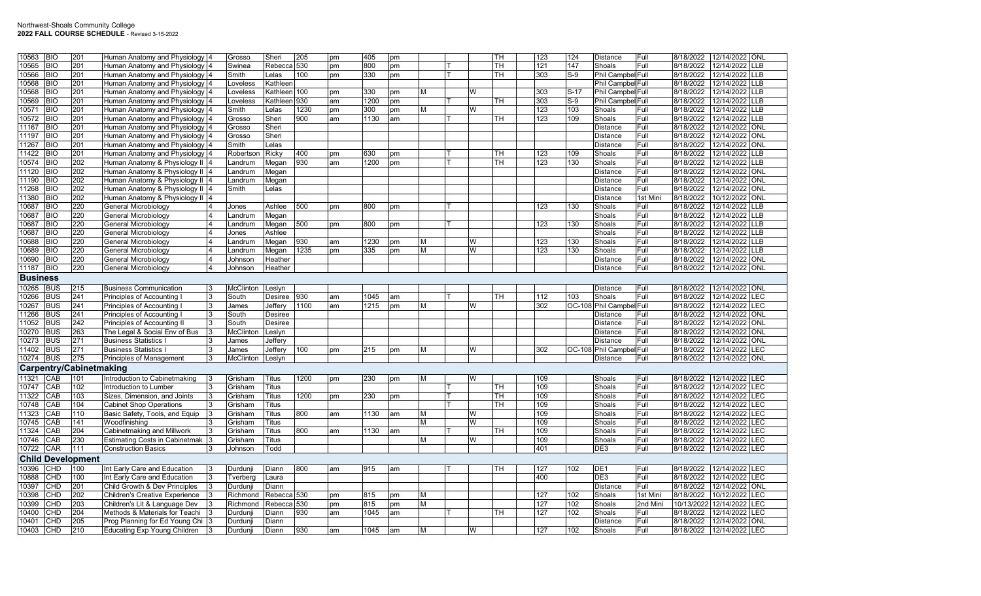| 10563           | <b>BIO</b> | 201                      | Human Anatomy and Physiology 4        | Grosso    | Sheri                  | 205  | pm | 405  | pm |   |   | TН        | 123 | 124    | <b>Distance</b>          | Full     | 8/18/2022  | 12/14/2022 ONL           |            |
|-----------------|------------|--------------------------|---------------------------------------|-----------|------------------------|------|----|------|----|---|---|-----------|-----|--------|--------------------------|----------|------------|--------------------------|------------|
| 10565           | <b>BIO</b> | 201                      | Human Anatomy and Physiology          | Swinea    | Rebecca 530            |      | pm | 800  | pm |   |   | TH.       | 121 | 147    | Shoals                   | Full     | 8/18/2022  | 12/14/2022 LLB           |            |
|                 | <b>BIO</b> | 201                      |                                       | Smith     | Lelas                  | 100  |    | 330  |    |   |   | TН        | 303 | $S-9$  |                          |          | 8/18/2022  | 12/14/2022               | LLB        |
| 10566           |            | 201                      | Human Anatomy and Physiology          |           |                        |      | pm |      | pm |   |   |           |     |        | Phil Campbel Full        |          |            | 12/14/2022               | LLB        |
| 10568           | <b>BIO</b> |                          | Human Anatomy and Physiology          | Loveless  | Kathleen               |      |    |      |    |   |   |           |     |        | Phil Campbel Full        |          | 8/18/2022  |                          |            |
| 10568           | <b>BIO</b> | 201                      | Human Anatomy and Physiology          | Loveless  | Kathleen 100           |      | pm | 330  | pm | М | W |           | 303 | $S-17$ | Phil Campbel Full        |          | 8/18/2022  | 12/14/2022 LLB           |            |
| 10569           | <b>BIO</b> | 201                      | Human Anatomy and Physiology          | Loveless  | Kathleen 930           |      | am | 1200 | pm |   |   | <b>TH</b> | 303 | $S-9$  | Phil Campbel Full        |          | 8/18/2022  | 12/14/2022               | <b>LLB</b> |
| 10571           | <b>BIO</b> | 201                      | Human Anatomy and Physiology          | Smith     | Lelas                  | 1230 | pm | 300  | pm | M | W |           | 123 | 103    | Shoals                   | Full     | 8/18/2022  | 12/14/2022               | <b>LLB</b> |
| 10572           | <b>BIO</b> | 201                      | Human Anatomy and Physiology          | Grosso    | Sheri                  | 900  | am | 1130 | am |   |   | TН        | 123 | 109    | Shoals                   | Full     | 8/18/2022  | 12/14/2022               | <b>LLB</b> |
| 11167           | <b>BIO</b> | 201                      | Human Anatomy and Physiology          | Grosso    | Sheri                  |      |    |      |    |   |   |           |     |        | <b>Distance</b>          | Full     | 8/18/2022  | 12/14/2022               | ONL        |
| 11197           | <b>BIO</b> | 201                      | Human Anatomy and Physiology          | Grosso    | Sheri                  |      |    |      |    |   |   |           |     |        | Distance                 | Full     | 8/18/2022  | 12/14/2022               | <b>ONL</b> |
| 11267           | <b>BIO</b> | 201                      | Human Anatomy and Physiology          | Smith     | Lelas                  |      |    |      |    |   |   |           |     |        | <b>Distance</b>          | Full     | 8/18/2022  | 12/14/2022 ONL           |            |
| 11422           | <b>BIO</b> | 201                      | Human Anatomy and Physiology          | Robertsor | Ricky                  | 400  | pm | 630  | pm |   |   | TH        | 123 | 109    | Shoals                   | Full     | 8/18/2022  | 12/14/2022               | LLB        |
| 10574           | <b>BIO</b> | 202                      | Human Anatomy & Physiology II 4       | Landrum   | Megan                  | 930  | am | 1200 | pm |   |   | <b>TH</b> | 123 | 130    | Shoals                   | Full     | 8/18/2022  | 12/14/2022               | <b>LLB</b> |
| 11120           | <b>BIO</b> | 202                      | Human Anatomy & Physiology II         | Landrum   | Megan                  |      |    |      |    |   |   |           |     |        | Distance                 | Full     | 8/18/2022  | 12/14/2022               | <b>NO</b>  |
| 11190           | BIO        | 202                      | Human Anatomy & Physiology II  4      | Landrum   | Megan                  |      |    |      |    |   |   |           |     |        | Distance                 | Full     | 8/18/2022  | 12/14/2022 ONL           |            |
| 11268           | <b>BIO</b> | 202                      | Human Anatomy & Physiology II 4       | Smith     | Lelas                  |      |    |      |    |   |   |           |     |        | <b>Distance</b>          | Full     | 8/18/2022  | 12/14/2022 ONL           |            |
| 11380           | <b>BIO</b> | 202                      | Human Anatomy & Physiology II         |           |                        |      |    |      |    |   |   |           |     |        | <b>Distance</b>          | 1st Mini | 8/18/2022  | 10/12/2022               | <b>ONL</b> |
| 10687           | <b>BIO</b> | 220                      | General Microbiology                  | Jones     | Ashlee                 | 500  | pm | 800  | pm |   |   |           | 123 | 130    | Shoals                   | Full     | 8/18/2022  | 12/14/2022               | LB         |
| 10687           | <b>BIO</b> | 220                      | <b>General Microbiology</b>           | Landrum   | Megan                  |      |    |      |    |   |   |           |     |        | Shoals                   | Full     | 8/18/2022  | 12/14/2022 LLB           |            |
| 10687           | <b>BIO</b> | 220                      | General Microbiology                  | Landrum   | Megan                  | 500  | pm | 800  | pm |   |   |           | 123 | 130    | Shoals                   | Full     | 8/18/2022  | 12/14/2022               | <b>LLB</b> |
| 10687           | <b>BIO</b> | 220                      | General Microbiology                  | Jones     | Ashlee                 |      |    |      |    |   |   |           |     |        | Shoals                   | Full     | 8/18/2022  | 12/14/2022               | LLB        |
| 10688           | <b>BIO</b> | 220                      | General Microbiology                  | Landrum   | Megan                  | 930  | am | 1230 | pm | M | W |           | 123 | 130    | Shoals                   | Full     | 8/18/2022  | 12/14/2022 LLB           |            |
| 10689           | <b>BIO</b> | 220                      | General Microbiology                  | _andrum   | Megan                  | 1235 | pm | 335  | pm | М | W |           | 123 | 130    | Shoals                   | Full     | 8/18/2022  | 12/14/2022               | LLB        |
| 10690           | <b>BIO</b> | 220                      | General Microbiology                  | Johnson   | Heather                |      |    |      |    |   |   |           |     |        | <b>Distance</b>          | Full     | 8/18/2022  | 12/14/2022 ONL           |            |
| 11187           | <b>BIO</b> | 220                      | General Microbiology                  | Johnson   | Heather                |      |    |      |    |   |   |           |     |        | <b>Distance</b>          | Full     | 8/18/2022  | 12/14/2022 ONL           |            |
|                 |            |                          |                                       |           |                        |      |    |      |    |   |   |           |     |        |                          |          |            |                          |            |
| <b>Business</b> |            |                          |                                       |           |                        |      |    |      |    |   |   |           |     |        |                          |          |            |                          |            |
| 10265           | <b>BUS</b> | 215                      | <b>Business Communication</b>         | McClinton | Leslyn                 |      |    |      |    |   |   |           |     |        | Distance                 | Full     | 8/18/2022  | 12/14/2022 ONL           |            |
| 10266           | <b>BUS</b> | 241                      | Principles of Accounting I            | South     | Desiree                | 930  | am | 1045 | am |   |   | TН        | 112 | 103    | Shoals                   | Full     | 8/18/2022  | 12/14/2022 LEC           |            |
| 10267           | <b>BUS</b> | 241                      | Principles of Accounting              | James     | Jeffery                | 1100 | am | 1215 | pm | М | W |           | 302 |        | OC-108 Phil Campbel Full |          | 8/18/2022  | 12/14/2022               | LEC        |
| 11266           | <b>BUS</b> | 241                      | Principles of Accounting              | South     | Desiree                |      |    |      |    |   |   |           |     |        | Distance                 | Full     | 8/18/2022  | 12/14/2022               | <b>ONL</b> |
| 11052           | <b>BUS</b> | 242                      | Principles of Accounting II           | South     | Desiree                |      |    |      |    |   |   |           |     |        | <b>Distance</b>          | Full     | 8/18/2022  | 12/14/2022               | <b>ONL</b> |
| 10270           | <b>BUS</b> | 263                      | The Legal & Social Env of Bus         | McClinton | Leslyn                 |      |    |      |    |   |   |           |     |        | <b>Distance</b>          | Full     | 8/18/2022  | 12/14/2022 ONL           |            |
| 10273           | <b>BUS</b> | 271                      | <b>Business Statistics</b>            | James     | Jeffery                |      |    |      |    |   |   |           |     |        | Distance                 | Full     | 8/18/2022  | 12/14/2022 ONL           |            |
| 11402           | <b>BUS</b> | 271                      | <b>Business Statistics</b>            | James     | Jeffery                | 100  | pm | 215  | pm | м | W |           | 302 |        | OC-108 Phil Campbel Full |          | 8/18/2022  | 12/14/2022               | <b>LEC</b> |
| 10274           | <b>BUS</b> | 275                      | Principles of Management              | McClinton | Leslyn                 |      |    |      |    |   |   |           |     |        | <b>Distance</b>          | Full     | 8/18/2022  | 12/14/2022 ONL           |            |
|                 |            | Carpentry/Cabinetmaking  |                                       |           |                        |      |    |      |    |   |   |           |     |        |                          |          |            |                          |            |
| 11321           | CAB        | 101                      | Introduction to Cabinetmaking         | Grisham   | Titus                  | 1200 | pm | 230  | pm | M | W |           | 109 |        | Shoals                   | Full     | 8/18/2022  | 12/14/2022 LEC           |            |
| 10747           | CAB        | 102                      | Introduction to Lumber                | Grisham   | Titus                  |      |    |      |    |   |   | TH        | 109 |        | Shoals                   | Full     | 8/18/2022  | 12/14/2022               | LEC        |
| 11322           | CAB        | 103                      | Sizes, Dimension, and Joints          | Grisham   | Titus                  | 1200 | pm | 230  | pm |   |   | <b>TH</b> | 109 |        | Shoals                   | Full     | 8/18/2022  | 12/14/2022               | LEC        |
| 10748           | CAB        | 104                      | <b>Cabinet Shop Operations</b>        | Grisham   | Titus                  |      |    |      |    |   |   | <b>TH</b> | 109 |        | Shoals                   | Full     | 8/18/2022  | 12/14/2022               | LEC        |
| 11323           | CAB        | 110                      | Basic Safety, Tools, and Equip        | Grisham   | Titus                  | 800  | am | 1130 | am | м | W |           | 109 |        | Shoals                   | Full     | 8/18/2022  | 12/14/2022               | LEC        |
| 10745           | CAB        | 141                      | Woodfinishing                         | Grisham   | Titus                  |      |    |      |    | М | W |           | 109 |        | Shoals                   | Full     | 8/18/2022  | 12/14/2022               | LEC        |
| 11324           | CAB        | 204                      | Cabinetmaking and Millwork            | Grisham   | <b>Titus</b>           | 800  |    |      |    |   |   | <b>TH</b> | 109 |        | Shoals                   | Full     | 8/18/2022  | 12/14/2022               | LEC        |
|                 | CAB        | 230                      |                                       |           |                        |      | am | 1130 | am | M | W |           |     |        | Shoals                   | Full     | 8/18/2022  |                          |            |
| 10746           |            |                          | <b>Estimating Costs in Cabinetmak</b> | Grisham   | Titus                  |      |    |      |    |   |   |           | 109 |        |                          |          |            | 12/14/2022               | LEC        |
| 10722           | CAR        | 111                      | <b>Construction Basics</b>            | Johnson   | Todd                   |      |    |      |    |   |   |           | 401 |        | DE3                      | Full     | 8/18/2022  | 12/14/2022 LEC           |            |
|                 |            | <b>Child Development</b> |                                       |           |                        |      |    |      |    |   |   |           |     |        |                          |          |            |                          |            |
| 10396           | CHD        | 100                      | Int Early Care and Education          | Durdunji  | Diann                  | 800  | am | 915  | am |   |   | TH        | 127 | 102    | DE <sub>1</sub>          | Full     | 8/18/2022  | 12/14/2022 LEC           |            |
| 10888           | CHD        | 100                      | Int Early Care and Education          | Tverberg  | Laura                  |      |    |      |    |   |   |           | 400 |        | DE <sub>3</sub>          | Full     | 8/18/2022  | 12/14/2022 LEC           |            |
| 10397           | CHD        | 201                      | Child Growth & Dev Principles         | Durduni   | Diann                  |      |    |      |    |   |   |           |     |        | <b>Distance</b>          | Full     | 8/18/2022  | 12/14/2022               | <b>ONL</b> |
| 10398           | CHD        | 202                      | <b>Children's Creative Experience</b> | Richmond  | Rebecca 530            |      | pm | 815  | pm | M |   |           | 127 | 102    | Shoals                   | 1st Mini | 8/18/2022  | 10/12/2022               | LEC        |
| 10399           | CHD        | 203                      | Children's Lit & Language Dev         | Richmond  | Rebecca <sub>530</sub> |      | pm | 815  | pm | м |   |           | 127 | 102    | Shoals                   | 2nd Mini | 10/13/2022 | 12/14/2022               | LEC        |
| 10400           | CHD        | 204                      | Methods & Materials for Teachi        | Durduni   | Diann                  | 930  | am | 1045 | am |   |   | <b>TH</b> | 127 | 102    | Shoals                   | Full     | 8/18/2022  | 12/14/2022               | LEC        |
| 10401           | CHD        | 205                      | Prog Planning for Ed Young Chi        | Durdunji  | Diann                  |      |    |      |    |   |   |           |     |        | <b>Distance</b>          | Full     | 8/18/2022  | 12/14/2022               | ONL        |
| 10403           | <b>CHD</b> | 210                      | <b>Educating Exp Young Children</b>   | Durdunji  | Diann                  | 930  | am | 1045 | am | М | W |           | 127 | 102    | Shoals                   | Full     |            | 8/18/2022 12/14/2022 LEC |            |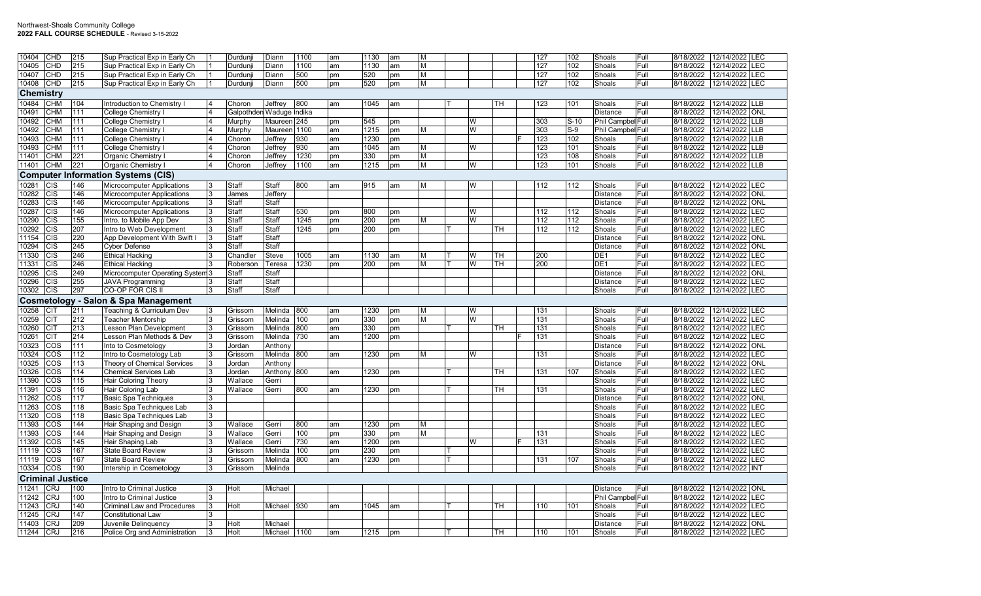| 10404            | CHD                      | 215             | Sup Practical Exp in Early Ch                           |                | Durdunii                 | Diann                   | 1100 | am | 1130             | am | M |   |           | 127 | 102    | Shoals                    | Full         | 8/18/2022              | 12/14/2022 ILEC              |            |
|------------------|--------------------------|-----------------|---------------------------------------------------------|----------------|--------------------------|-------------------------|------|----|------------------|----|---|---|-----------|-----|--------|---------------------------|--------------|------------------------|------------------------------|------------|
| 10405            | <b>CHD</b>               | 215             | Sup Practical Exp in Early Ch                           |                | Durdunji                 | Diann                   | 1100 | am | 1130             | am | M |   |           | 127 | 102    | Shoals                    | Full         | 8/18/2022              | 12/14/2022                   | <b>LEC</b> |
| 10407            | CHD                      | 215             | Sup Practical Exp in Early Ch                           |                | Durdunji                 | Diann                   | 500  | pm | 520              | pm | M |   |           | 127 | 102    | Shoals                    | Full         | 8/18/2022              | 12/14/2022                   | <b>LEC</b> |
| 10408            | <b>CHD</b>               | 215             | Sup Practical Exp in Early Ch                           |                | Durdunji                 | Diann                   | 500  | pm | 520              | pm | M |   |           | 127 | 102    | Shoals                    | Full         | 8/18/2022              | 12/14/2022 LEC               |            |
| <b>Chemistry</b> |                          |                 |                                                         |                |                          |                         |      |    |                  |    |   |   |           |     |        |                           |              |                        |                              |            |
| 10484            | <b>CHM</b>               | 104             | Introduction to Chemistry                               | 14             | Choron                   | Jeffrey                 | 800  | am | 1045             | am |   |   | <b>TH</b> | 123 | 101    | Shoals                    | Full         | 8/18/2022              | 12/14/2022 LLB               |            |
| 10491            | СНМ                      | 111             | College Chemistry                                       | $\overline{4}$ | Galpothden Waduge Indika |                         |      |    |                  |    |   |   |           |     |        | Distance                  | Full         | 8/18/2022              | 12/14/2022 ONL               |            |
| 10492            | СНМ                      | 111             | College Chemistry                                       | $\overline{4}$ | Murphy                   | Maureen 245             |      | pm | 545              | pm |   | W |           | 303 | $S-10$ | Phil Campbel Full         |              | 8/18/2022              | 12/14/2022                   | <b>LLB</b> |
| 10492            | <b>CHM</b>               | 111             | College Chemistry                                       | $\overline{4}$ | Murphy                   | Maureen 1100            |      | am | 1215             | pm | M | W |           | 303 | $S-9$  | Phil Campbel Full         |              | 8/18/2022              | 12/14/2022                   | <b>LLB</b> |
| 10493            | <b>CHM</b>               | 111             | College Chemistry                                       |                | Choron                   | Jeffrey                 | 930  | am | 1230             | pm |   |   |           | 123 | 102    | Shoals                    | Full         | 8/18/2022              | 12/14/2022 LLB               |            |
| 10493            | CHM                      | 111             | College Chemistry                                       |                | Choron                   | Jeffrey                 | 930  | am | 1045             | am | М | W |           | 123 | 101    | Shoals                    | Full         | 8/18/2022              | 12/14/2022                   | LLB        |
| 11401            | <b>CHM</b>               | 221             | <b>Organic Chemistry I</b>                              | $\overline{4}$ | Choron                   | Jeffrey                 | 1230 | pm | 330              | pm | M |   |           | 123 | 108    | Shoals                    | Full         | 8/18/2022              | 12/14/2022                   | <b>LLB</b> |
| 11401            | <b>CHM</b>               | 221             | Organic Chemistry I                                     | $\overline{4}$ | Choron                   | Jeffrey                 | 1100 | am | 1215             | pm | M | W |           | 123 | 101    | Shoals                    | Full         | 8/18/2022              | 12/14/2022 LLB               |            |
|                  |                          |                 |                                                         |                |                          |                         |      |    |                  |    |   |   |           |     |        |                           |              |                        |                              |            |
| <b>Computer</b>  |                          |                 | <b>Information Systems (CIS)</b>                        |                |                          |                         |      |    |                  |    |   |   |           |     |        |                           |              |                        |                              |            |
| 10281            | <b>CIS</b>               | 146             | <b>Microcomputer Applications</b>                       | 3              | Staff                    | Staff                   | 800  | am | 915              | am | M | W |           | 112 | 112    | Shoals                    | Full         | 8/18/2022              | 12/14/2022                   | <b>LEC</b> |
| 10282            | <b>CIS</b>               | 146             | Microcomputer Applications                              | 3              | James                    | Jeffery                 |      |    |                  |    |   |   |           |     |        | Distance                  | Full         | 8/18/2022              | 12/14/2022 ONL               |            |
| 10283            | <b>CIS</b>               | 146             | Microcomputer Applications                              | 3              | Staff                    | Staff                   |      |    |                  |    |   |   |           |     |        | <b>Distance</b>           | Full         | 8/18/2022              | 12/14/2022 ONL               |            |
| 10287            | CIS                      | 146             | <b>Microcomputer Applications</b>                       | 3              | Staff                    | Staff                   | 530  | pm | 800              | pm |   | W |           | 112 | 112    | Shoals                    | Full         | 8/18/2022              | 12/14/2022                   | LEC        |
| 10290            | <b>CIS</b>               | 155             | Intro. to Mobile App Dev                                | 3              | Staff                    | Staff                   | 1245 | pm | 200              | pm | м | W |           | 112 | 112    | Shoals                    | Full         | 8/18/2022              | 12/14/2022                   | <b>LEC</b> |
| 10292            | $\overline{C}$           | 207             | Intro to Web Development                                | 3              | Staff                    | Staff                   | 1245 | pm | $\overline{200}$ | pm |   |   | TH.       | 112 | 112    | Shoals                    | Full         | 8/18/2022              | 12/14/2022                   | <b>LEC</b> |
| 11154            | CIS                      | 220             | App Development With Swift I                            | Ι3             | Staff                    | Staff                   |      |    |                  |    |   |   |           |     |        | <b>Distance</b>           | Full         | 8/18/2022              | 12/14/2022                   | ONL        |
| 10294            | <b>CIS</b>               | 245             | <b>Cyber Defense</b>                                    | 3              | Staff                    | Staff                   |      |    |                  |    |   |   |           |     |        | <b>Distance</b>           | Full         | 8/18/2022              | 12/14/2022                   | <b>ONL</b> |
| 11330            | $\overline{C}$           | 246             | <b>Ethical Hacking</b>                                  | 3              | Chandler                 | <b>Steve</b>            | 1005 | am | 1130             | am | м | W | TН        | 200 |        | DE <sub>1</sub>           | Full         | 8/18/2022              | 12/14/2022 LEC               |            |
| 11331            | CIS                      | 246             | <b>Ethical Hacking</b>                                  |                | Roberson                 | Teresa                  | 1230 | pm | 200              | pm | М | W | <b>TH</b> | 200 |        | DE <sub>1</sub>           | Full         | 8/18/2022              | 12/14/2022                   | <b>LEC</b> |
| 10295            | $\overline{CIS}$         | 249             | Microcomputer Operating System 3                        |                | Staff                    | Staff                   |      |    |                  |    |   |   |           |     |        | <b>Distance</b>           | Full         | 8/18/2022              | 12/14/2022                   | ONL        |
| 10296            | CIS                      | 255             | <b>JAVA Programming</b>                                 |                | Staff                    | Staff                   |      |    |                  |    |   |   |           |     |        | <b>Distance</b>           | Full         | 8/18/2022              | 12/14/2022 LEC               |            |
|                  |                          | 297             | CO-OP FOR CIS II                                        |                | Staff                    | Staff                   |      |    |                  |    |   |   |           |     |        | Shoals                    | Full         |                        | 12/14/2022 LEC               |            |
| 10302            | CIS                      |                 |                                                         |                |                          |                         |      |    |                  |    |   |   |           |     |        |                           |              | 8/18/2022              |                              |            |
|                  |                          |                 | <b>Cosmetology - Salon &amp; Spa Management</b>         |                |                          |                         |      |    |                  |    |   |   |           |     |        |                           |              |                        |                              |            |
| 10258            | <b>CIT</b>               | 211             | Teaching & Curriculum Dev                               | 3              | Grissom                  | Melinda                 | 800  | am | 1230             | pm | M | W |           | 131 |        | Shoals                    | Full         | 8/18/2022              | 12/14/2022 LEC               |            |
| 10259            | <b>CIT</b>               | 212             | <b>Teacher Mentorship</b>                               | Ι3             | Grissom                  | Melinda                 | 100  | pm | 330              | pm | M | W |           | 131 |        | Shoals                    | Full         | 8/18/2022              | 12/14/2022                   | LEC        |
| 10260            | <b>CIT</b>               | 213             |                                                         | 3              | Grissom                  | Melinda                 | 800  | am | 330              | pm |   |   | <b>TH</b> | 131 |        |                           | Full         | 8/18/2022              | 12/14/2022                   | <b>LEC</b> |
|                  | <b>CIT</b>               | 214             | Lesson Plan Development                                 | 3              |                          | Melinda                 | 730  | am | 1200             |    |   |   |           | 131 |        | Shoals<br>Shoals          | Full         | 8/18/2022              | 12/14/2022                   | <b>LEC</b> |
| 10261<br>10323   | COS                      | 111             | Lesson Plan Methods & Dev<br>Into to Cosmetology        | 3              | Grissom<br>Jordan        | Anthony                 |      |    |                  | pm |   |   |           |     |        | <b>Distance</b>           | Full         | 8/18/2022              | 12/14/2022 ONL               |            |
| 10324            | cos                      | 112             | Intro to Cosmetology Lab                                | 3              | Grissom                  | Melinda                 | 800  | am | 1230             | pm | М | W |           | 131 |        | Shoals                    | Full         | 8/18/2022              | 12/14/2022                   | LEC        |
| 10325            | COS                      | 113             | Theory of Chemical Services                             | 3              | Jordan                   | Anthony                 |      |    |                  |    |   |   |           |     |        | <b>Distance</b>           | Full         | 8/18/2022              | 12/14/2022                   | <b>ONL</b> |
| 10326            | COS                      | 114             | <b>Chemical Services Lab</b>                            | 3              | Jordan                   | Anthony 800             |      | am | 1230             | pm |   |   | <b>TH</b> | 131 | 107    | Shoals                    | Full         | 8/18/2022              | 12/14/2022 LEC               |            |
|                  | cos                      | 115             |                                                         | 3              | Wallace                  | Gerri                   |      |    |                  |    |   |   |           |     |        | Shoals                    | Full         | 8/18/2022              | 12/14/2022                   | <b>LEC</b> |
| 11390<br>11391   | COS                      | 116             | Hair Coloring Theory<br>Hair Coloring Lab               | 3              | Wallace                  | Gerri                   | 800  | am | 1230             | pm |   |   | TН        | 131 |        | Shoals                    | Full         | 8/18/2022              | 12/14/2022                   | <b>LEC</b> |
| 11262            | COS                      | 117             |                                                         |                |                          |                         |      |    |                  |    |   |   |           |     |        |                           | Full         | 8/18/2022              | 12/14/2022 ONL               |            |
| 11263            | COS                      | 118             | <b>Basic Spa Techniques</b><br>Basic Spa Techniques Lab | Ι3             |                          |                         |      |    |                  |    |   |   |           |     |        | Distance<br>Shoals        | Full         | 8/18/2022              | 12/14/2022                   | <b>LEC</b> |
|                  | COS                      | 118             |                                                         |                |                          |                         |      |    |                  |    |   |   |           |     |        |                           | Full         | 8/18/2022              | 12/14/2022                   | <b>LEC</b> |
| 11320<br>11393   | COS                      | 144             | Basic Spa Techniques Lab                                | 3<br>3         | Wallace                  | Gerri                   | 800  | am | 1230             | pm | M |   |           |     |        | Shoals<br>Shoals          | Full         | 8/18/2022              | 12/14/2022 LEC               |            |
|                  | COS                      | 144             | Hair Shaping and Design                                 | 3              | Wallace                  | Gerri                   |      | pm |                  |    | M |   |           | 131 |        | Shoals                    | Full         | 8/18/2022              | 12/14/2022                   | <b>LEC</b> |
| 11393            |                          |                 | Hair Shaping and Design                                 |                |                          |                         | 100  |    | 330              | pm |   |   |           |     |        |                           |              |                        |                              |            |
| 11392            | COS                      | $\frac{145}{2}$ | Hair Shaping Lab                                        | 3<br>3         | Wallace                  | Gerri                   | 730  | am | 1200             | pm |   | W |           | 131 |        | Shoals                    | Full         | 8/18/2022              | 12/14/2022                   | LEC        |
| 11119            | COS                      | 167             | <b>State Board Review</b>                               |                | Grissom                  | Melinda                 | 100  | pm | 230              | pm |   |   |           |     |        | Shoals                    | Full         | 8/18/2022              | 12/14/2022 LEC               |            |
| 11119            | COS                      | 167             | <b>State Board Review</b>                               | 3              | Grissom                  | Melinda                 | 800  | am | 1230             | pm |   |   |           | 131 | 107    | Shoals                    | Full         | 8/18/2022              | 12/14/2022 LEC               |            |
| 10334            | COS                      | 190             | Intership in Cosmetology                                |                | Grissom                  | Melinda                 |      |    |                  |    |   |   |           |     |        | Shoals                    | Full         | 8/18/2022              | 12/14/2022 INT               |            |
|                  | <b>Criminal Justice</b>  |                 |                                                         |                |                          |                         |      |    |                  |    |   |   |           |     |        |                           |              |                        |                              |            |
| 11241            | <b>CRJ</b>               | 100             | Intro to Criminal Justice                               | 3              | Holt                     | Michael                 |      |    |                  |    |   |   |           |     |        | <b>Distance</b>           | Full         | 8/18/2022              | 12/14/2022 ONL               |            |
| 11242            | <b>CRJ</b>               | 100             | Intro to Criminal Justice                               | 3              |                          |                         |      |    |                  |    |   |   |           |     |        | Phil Campbel Full         |              | 8/18/2022              | 12/14/2022                   | LEC        |
| 11243            | <b>CRJ</b>               | 140             | Criminal Law and Procedures                             | 3              | Holt                     | Michael                 | 930  | am | 1045             | am |   |   | тн        | 110 | 101    | Shoals                    | Full         | 8/18/2022              | 12/14/2022                   | <b>LEC</b> |
| 11245            | <b>CRJ</b>               | 147             | <b>Constitutional Law</b>                               | 3              |                          |                         |      |    |                  |    |   |   |           |     |        | Shoals                    | Full         | 8/18/2022              | 12/14/2022                   | <b>LEC</b> |
| 11403<br>11244   | <b>CRJ</b><br><b>CRJ</b> | 209<br>216      | Juvenile Delinguency<br>Police Org and Administration   | 3<br>3         | Holt<br>Holt             | Michael<br>Michael 1100 |      | am | 1215             | pm |   |   | <b>TH</b> | 110 | 101    | <b>Distance</b><br>Shoals | Full<br>Full | 8/18/2022<br>8/18/2022 | 12/14/2022<br>12/14/2022 LEC | <b>ONL</b> |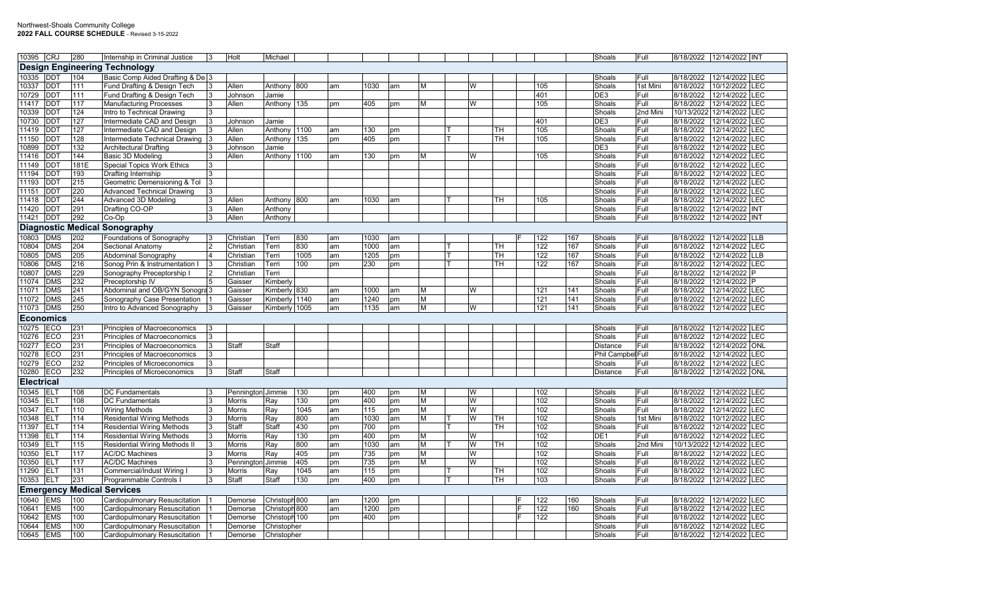| 10395 CRJ         |                         | 280              | Internship in Criminal Justice       | 3  | Holt              | Michael        |      |    |      |    |   |   |           |                  |     | Shoals            | Full     |            | 8/18/2022 12/14/2022 INT |
|-------------------|-------------------------|------------------|--------------------------------------|----|-------------------|----------------|------|----|------|----|---|---|-----------|------------------|-----|-------------------|----------|------------|--------------------------|
|                   |                         |                  | <b>Design Engineering Technology</b> |    |                   |                |      |    |      |    |   |   |           |                  |     |                   |          |            |                          |
| 10335             | <b>DDT</b>              | 104              | Basic Comp Aided Drafting & De 3     |    |                   |                |      |    |      |    |   |   |           |                  |     | Shoals            | Full     | 8/18/2022  | 12/14/2022 LEC           |
| 10337             | DDT                     | 111              | Fund Drafting & Design Tech          | 3  | Allen             | Anthony        | 800  | am | 1030 | am | M | W |           | 105              |     | Shoals            | 1st Mini | 8/18/2022  | 10/12/2022<br><b>LEC</b> |
| 10729             | DDT                     | 111              | Fund Drafting & Design Tech          | 3  | Johnson           | Jamie          |      |    |      |    |   |   |           | 401              |     | DE3               | Full     | 8/18/2022  | LEC<br>12/14/2022        |
| 11417             | <b>DDT</b>              | 117              | <b>Manufacturing Processes</b>       | 3  | Allen             | Anthony        | 135  | pm | 405  | pm | M | W |           | 105              |     | Shoals            | Full     | 8/18/2022  | 12/14/2022 LEC           |
| 10339             | DDT                     | 124              | Intro to Technical Drawing           | 3  |                   |                |      |    |      |    |   |   |           |                  |     | Shoals            | 2nd Mini | 10/13/2022 | 12/14/2022<br><b>LEC</b> |
| 10730             | DDT                     | 127              | Intermediate CAD and Design          | 13 | Johnson           | Jamie          |      |    |      |    |   |   |           | 401              |     | DE3               | Full     | 8/18/2022  | LEC<br>12/14/2022        |
| 11419             | DDT                     | 127              | Intermediate CAD and Design          | 3  | Allen             | Anthony        | 1100 | am | 130  | pm |   |   | TН        | 105              |     | Shoals            | Full     | 8/18/2022  | 12/14/2022 LEC           |
| 11150             | DDT                     | 128              | Intermediate Technical Drawing       | 3  | Allen             | Anthony        | 135  | pm | 405  | pm |   |   | TН        | 105              |     | Shoals            | Full     | 8/18/2022  | 12/14/2022<br><b>LEC</b> |
| 10899             | DDT                     | 132              | <b>Architectural Drafting</b>        | 3  | Johnson           | Jamie          |      |    |      |    |   |   |           |                  |     | DE3               | Full     | 8/18/2022  | LEC<br>12/14/2022        |
| 11416             | DDT                     | 144              | Basic 3D Modeling                    | 3  | Allen             | Anthony        | 1100 | am | 130  | pm | M | W |           | 105              |     | Shoals            | Full     | 8/18/2022  | 12/14/2022<br>LEC        |
| 11149             | DDT                     | 181E             | <b>Special Topics Work Ethics</b>    | 3  |                   |                |      |    |      |    |   |   |           |                  |     | Shoals            | Full     | 8/18/2022  | 12/14/2022<br><b>LEC</b> |
| 11194             | DDT                     | 193              | Drafting Internship                  |    |                   |                |      |    |      |    |   |   |           |                  |     | Shoals            | Full     | 8/18/2022  | LEC<br>12/14/2022        |
| 11193             | DDT                     | $\overline{215}$ | Geometric Demensioning & Tol         | 3  |                   |                |      |    |      |    |   |   |           |                  |     | Shoals            | Full     | 8/18/2022  | 12/14/2022<br>LEC        |
| 11151             | DDT                     | 220              | <b>Advanced Technical Drawing</b>    | 3  |                   |                |      |    |      |    |   |   |           |                  |     | Shoals            | Full     | 8/18/2022  | 12/14/2022 LEC           |
| 11418             | DDT                     | 244              | Advanced 3D Modeling                 | 3  | Allen             | Anthony        | 800  | am | 1030 | am |   |   | TН        | 105              |     | Shoals            | Full     | 8/18/2022  | 12/14/2022 ILEC          |
| 11420             | <b>DDT</b>              | 291              | Drafting CO-OP                       | 3  | Allen             | <b>Anthony</b> |      |    |      |    |   |   |           |                  |     | Shoals            | Full     | 8/18/2022  | 12/14/2022 INT           |
| 11421             | DDT                     | 292              | Co-Op                                | 3  | Allen             | Anthony        |      |    |      |    |   |   |           |                  |     | Shoals            | Full     | 8/18/2022  | 12/14/2022 INT           |
|                   |                         |                  | <b>Diagnostic Medical Sonography</b> |    |                   |                |      |    |      |    |   |   |           |                  |     |                   |          |            |                          |
| 10803             | <b>DMS</b>              | 202              | Foundations of Sonography            | 13 | Christian         | Terri          | 830  | am | 1030 | am |   |   |           | 122              | 167 | Shoals            | Full     | 8/18/2022  | 12/14/2022 LLB           |
| 10804             | DMS                     | 204              | Sectional Anatomy                    |    | Christian         | Terri          | 830  | am | 1000 | am |   |   | TН        | 122              | 167 | Shoals            | Full     | 8/18/2022  | 12/14/2022 LEC           |
| 10805             | $\overline{\text{DNS}}$ | 205              | Abdominal Sonography                 |    | Christian         | Terri          | 1005 | am | 1205 | pm |   |   | <b>TH</b> | $\overline{122}$ | 167 | Shoals            | Full     | 8/18/2022  | 12/14/2022<br><b>LLB</b> |
| 10806             | <b>DMS</b>              | 216              | Sonog Prin & Instrumentation I       | 3  | Christian         | Terri          | 100  | pm | 230  | pm |   |   | TH        | 122              | 167 | Shoals            | Full     | 8/18/2022  | 12/14/2022 LEC           |
| 10807             | <b>DMS</b>              | 229              | Sonography Preceptorship             |    | Christian         | Terri          |      |    |      |    |   |   |           |                  |     | Shoals            | Full     | 8/18/2022  | 12/14/2022 P             |
| 11074             | $\overline{\text{DNS}}$ | 232              | Preceptorship IV                     | 5  | Gaisser           | Kimberl        |      |    |      |    |   |   |           |                  |     | Shoals            | Full     | 8/18/2022  | 12/14/2022               |
| 11071             | <b>DMS</b>              | 241              | Abdominal and OB/GYN Sonogra 3       |    | Gaisser           | Kimberly       | 830  | am | 1000 | am | M | W |           | 121              | 141 | Shoals            | Full     | 8/18/2022  | 12/14/2022 LEC           |
| 11072             | <b>DMS</b>              | 245              | Sonography Case Presentation         |    | Gaisser           | Kimberly 1140  |      | am | 1240 | pm | M |   |           | 121              | 141 | Shoals            | Full     | 8/18/2022  | 12/14/2022 LEC           |
| 11073             | <b>DMS</b>              | 250              | Intro to Advanced Sonography         | 3  | Gaisser           | Kimberly 1005  |      | am | 1135 | am | M | W |           | 121              | 141 | Shoals            | Full     | 8/18/2022  | 12/14/2022 LEC           |
|                   | <b>Economics</b>        |                  |                                      |    |                   |                |      |    |      |    |   |   |           |                  |     |                   |          |            |                          |
| 10275             | ECO                     | 231              | Principles of Macroeconomics         |    |                   |                |      |    |      |    |   |   |           |                  |     | Shoals            | Full     | 8/18/2022  | 12/14/2022 ILEC          |
| 10276             | ECO                     | 231              | Principles of Macroeconomics         | 3  |                   |                |      |    |      |    |   |   |           |                  |     | Shoals            | Full     | 8/18/2022  | 12/14/2022 LEC           |
| 10277             | ECO                     | 231              | Principles of Macroeconomics         | 3  | Staff             | Staff          |      |    |      |    |   |   |           |                  |     | Distance          | Full     | 8/18/2022  | 12/14/2022 ONL           |
| 10278             | ECO                     | 231              | <b>Principles of Macroeconomics</b>  |    |                   |                |      |    |      |    |   |   |           |                  |     | Phil Campbel Full |          | 8/18/2022  | 12/14/2022 LEC           |
| 10279             | ECO                     | 232              | Principles of Microeconomics         | 3  |                   |                |      |    |      |    |   |   |           |                  |     | Shoals            | Full     | 8/18/2022  | 12/14/2022 LEC           |
| 10280             | ECO                     | 232              | Principles of Microeconomics         | 3  | Staff             | Staff          |      |    |      |    |   |   |           |                  |     | Distance          | Full     | 8/18/2022  | 12/14/2022 ONL           |
| <b>Electrical</b> |                         |                  |                                      |    |                   |                |      |    |      |    |   |   |           |                  |     |                   |          |            |                          |
| 10345             | <b>ELT</b>              | 108              | <b>DC Fundamentals</b>               |    | Pennington Jimmie |                | 130  | pm | 400  | pm | M | W |           | 102              |     | Shoals            | Full     | 8/18/2022  | 12/14/2022 LEC           |
| 10345             | ELT                     | 108              | <b>DC Fundamentals</b>               | 3  | Morris            | Ray            | 130  | pm | 400  | pm | M | W |           | 102              |     | Shoals            | Full     | 8/18/2022  | 12/14/2022 LEC           |
| 10347             | ELT                     | 110              | <b>Wiring Methods</b>                | 3  | Morris            | Ray            | 1045 | am | 115  | pm | M | W |           | 102              |     | Shoals            | Full     | 8/18/2022  | 12/14/2022 LEC           |
| 10348             | ELT                     | 114              | <b>Residential Wiring Methods</b>    | 3  | Morris            | Ray            | 800  | am | 1030 | am | M | W | TH        | 102              |     | Shoals            | 1st Mini | 8/18/2022  | <b>LEC</b><br>10/12/2022 |
| 11397             | ELT                     | 114              | <b>Residential Wiring Methods</b>    | 3  | Staff             | Staff          | 430  | pm | 700  | pm |   |   | TН        | 102              |     | Shoals            | Full     | 8/18/2022  | 12/14/2022 LEC           |
| 11398             | ELT                     | 114              | <b>Residential Wiring Methods</b>    | 3  | Morris            | Ray            | 130  | pm | 400  | pm | M | W |           | 102              |     | DE1               | Full     | 8/18/2022  | <b>LEC</b><br>12/14/2022 |
| 10349             | ELT                     | 115              | Residential Wiring Methods II        | 3  | Morris            | Ray            | 800  | am | 1030 | am | M | W | <b>TH</b> | 102              |     | Shoals            | 2nd Mini | 10/13/2022 | LEC<br>12/14/2022        |
| 10350             | ELT                     | 117              | <b>AC/DC Machines</b>                | 3  | <b>Morris</b>     | Ray            | 405  | pm | 735  | pm | M | W |           | 102              |     | Shoals            | Full     | 8/18/2022  | 12/14/2022 LEC           |
| 10350             | ELT                     | 117              | <b>AC/DC Machines</b>                | 3  | Penningtor        | Jimmie         | 405  | pm | 735  | pm | M | W |           | 102              |     | Shoals            | Full     | 8/18/2022  | LEC<br>12/14/2022        |
| 11290             | ELT                     | 131              | Commercial/Indust Wiring I           | 3  | Morris            | Ray            | 1045 | am | 115  | pm |   |   | TH        | 102              |     | Shoals            | Full     | 8/18/2022  | <b>LEC</b><br>12/14/2022 |
| 10353             | ELT                     | 231              | Programmable Controls I              | 3  | Staff             | Staff          | 130  | pm | 400  | pm |   |   | TН        | 103              |     | Shoals            | Full     | 8/18/2022  | 12/14/2022 LEC           |
|                   | <b>Emergency</b>        |                  | <b>Medical Services</b>              |    |                   |                |      |    |      |    |   |   |           |                  |     |                   |          |            |                          |
| 10640             | <b>EMS</b>              | 100              | Cardiopulmonary Resuscitation        |    | Demorse           | Christoph 800  |      | am | 1200 | pm |   |   |           | 122              | 160 | Shoals            | Full     | 8/18/2022  | 12/14/2022 LEC           |
| 10641             | EMS                     | 100              | Cardiopulmonary Resuscitation        |    | Demorse           | Christoph 800  |      | am | 1200 | pm |   |   |           | $\overline{122}$ | 160 | Shoals            | Full     | 8/18/2022  | 12/14/2022 LEC           |
| 10642             | <b>EMS</b>              | 100              | Cardiopulmonary Resuscitation        |    | Demorse           | Christoph 100  |      | pm | 400  | pm |   |   |           | 122              |     | Shoals            | Full     | 8/18/2022  | 12/14/2022 LEC           |
| 10644             | <b>EMS</b>              | 100              | Cardiopulmonary Resuscitation        |    | Demorse           | Christopher    |      |    |      |    |   |   |           |                  |     | Shoals            | Full     | 8/18/2022  | 12/14/2022 LEC           |
| 10645             | <b>EMS</b>              | 100              | Cardiopulmonary Resuscitation        |    | Demorse           | Christopher    |      |    |      |    |   |   |           |                  |     | Shoals            | Full     |            | 8/18/2022 12/14/2022 LEC |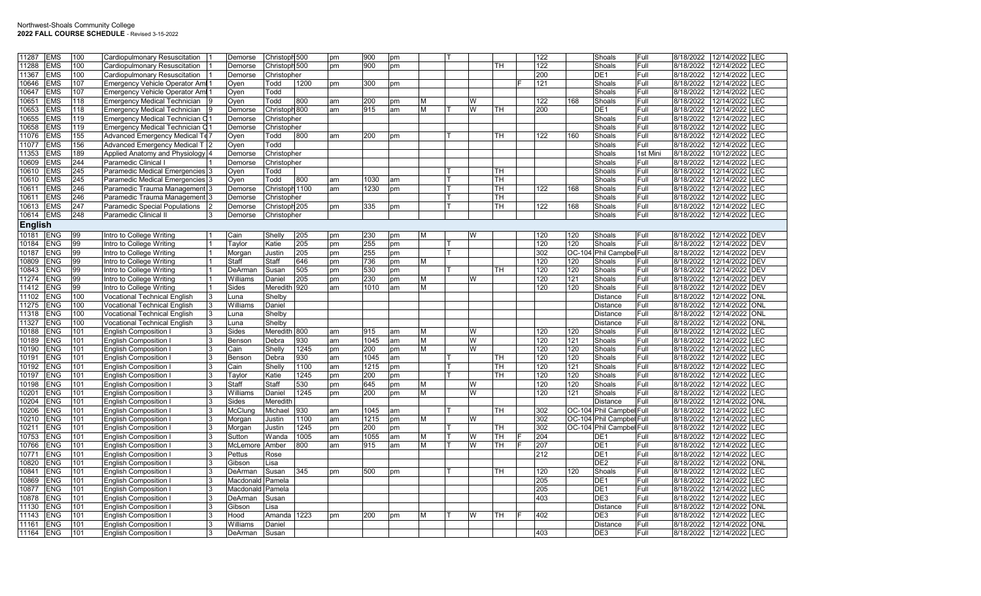| 11287<br><b>EMS</b> | 100 | Cardiopulmonary Resuscitation         | Demorse          | Christoph 500  |      | pm | 900  | pm  |   |          |           | 122 |     | Shoals                   | Full     | 8/18/2022 | 12/14/2022 LEC           |            |
|---------------------|-----|---------------------------------------|------------------|----------------|------|----|------|-----|---|----------|-----------|-----|-----|--------------------------|----------|-----------|--------------------------|------------|
| 11288<br><b>EMS</b> | 100 | Cardiopulmonary Resuscitation         | Demorse          | Christoph 500  |      | pm | 900  | pm  |   |          | TН        | 122 |     | Shoals                   | Full     | 8/18/2022 | 12/14/2022               | <b>LEC</b> |
| 11367<br><b>EMS</b> | 100 | Cardiopulmonary Resuscitation         | Demorse          | Christopher    |      |    |      |     |   |          |           | 200 |     | DE <sub>1</sub>          | Full     | 8/18/2022 | 12/14/2022               | <b>LEC</b> |
| <b>EMS</b><br>10646 | 107 | <b>Emergency Vehicle Operator Ami</b> | Oyen             | Todd           | 1200 | pm | 300  | pm  |   |          |           | 121 |     | Shoals                   | Full     | 8/18/2022 | 12/14/2022               | LEC        |
| 10647<br><b>EMS</b> | 107 | Emergency Vehicle Operator Ami        | Oyen             | Todd           |      |    |      |     |   |          |           |     |     | Shoals                   | Full     | 8/18/2022 | 12/14/2022               | LEC        |
| <b>EMS</b><br>10651 | 118 | <b>Emergency Medical Technician</b>   | Oyen             | Todd           | 800  | am | 200  | pm  | М | W        |           | 122 | 168 | Shoals                   | Full     | 8/18/2022 | 12/14/2022               | <b>EC</b>  |
| <b>EMS</b><br>10653 | 118 | <b>Emergency Medical Technician</b>   | Demorse          | Christoph 800  |      | am | 915  | am  | М | W        | TH        | 200 |     | DE <sub>1</sub>          | Full     | 8/18/2022 | 12/14/2022               | <b>LEC</b> |
| 10655<br><b>EMS</b> | 119 | Emergency Medical Technician C        | Demorse          | Christopher    |      |    |      |     |   |          |           |     |     | Shoals                   | Full     | 8/18/2022 | 12/14/2022               | LEC        |
| <b>EMS</b><br>10658 | 119 | Emergency Medical Technician C        | Demorse          | Christopher    |      |    |      |     |   |          |           |     |     | Shoals                   | Full     | 8/18/2022 | 12/14/2022               | <b>EC</b>  |
| 11076<br><b>EMS</b> | 155 | Advanced Emergency Medical Te         | Oyen             | Todd           | 800  | am | 200  | pm  |   |          | TH        | 122 | 160 | Shoals                   | Full     | 8/18/2022 | 12/14/2022               | <b>LEC</b> |
| 11077<br><b>EMS</b> | 156 | Advanced Emergency Medical T          | Oyen             | Todd           |      |    |      |     |   |          |           |     |     | Shoals                   | Full     | 8/18/2022 | 12/14/2022               | LEC        |
| <b>EMS</b><br>11353 | 189 | Applied Anatomy and Physiology 4      | Demorse          | Christopher    |      |    |      |     |   |          |           |     |     | Shoals                   | 1st Mini | 8/18/2022 | 10/12/2022               | <b>EC</b>  |
| 10609<br><b>EMS</b> | 244 | Paramedic Clinical I                  | Demorse          | Christopher    |      |    |      |     |   |          |           |     |     | Shoals                   | Full     | 8/18/2022 | 12/14/2022               | <b>LEC</b> |
| 10610<br><b>EMS</b> | 245 | Paramedic Medical Emergencies 3       | Oyen             | Todd           |      |    |      |     |   |          | TН        |     |     | Shoals                   | Full     | 8/18/2022 | 12/14/2022               | <b>LEC</b> |
| <b>EMS</b><br>10610 | 245 | Paramedic Medical Emergencies 3       | Oyen             | Todd           | 800  | am | 1030 | am  |   |          | TН        |     |     | Shoals                   | Full     | 8/18/2022 | 12/14/2022               | LEC        |
| 10611<br><b>EMS</b> | 246 | Paramedic Trauma Management 3         | Demorse          | Christoph 1100 |      | am | 1230 | pm  |   |          | <b>TH</b> | 122 | 168 | Shoals                   | Full     | 8/18/2022 | 12/14/2022               | <b>LEC</b> |
| 10611<br><b>EMS</b> | 246 | Paramedic Trauma Management 3         | Demorse          | Christopher    |      |    |      |     |   |          | TН        |     |     | Shoals                   | Full     | 8/18/2022 | 12/14/2022               | LEC        |
| <b>EMS</b><br>10613 | 247 | Paramedic Special Populations         | Demorse          | Christoph 205  |      | pm | 335  | pm  |   |          | TН        | 122 | 168 | Shoals                   | Full     | 8/18/2022 | 12/14/2022               | LEC        |
| 10614<br><b>EMS</b> | 248 | Paramedic Clinical II                 | Demorse          | Christopher    |      |    |      |     |   |          |           |     |     | Shoals                   | Full     | 8/18/2022 | 12/14/2022 LEC           |            |
|                     |     |                                       |                  |                |      |    |      |     |   |          |           |     |     |                          |          |           |                          |            |
| <b>English</b>      |     |                                       |                  |                |      |    |      |     |   |          |           |     |     |                          |          |           |                          |            |
| 10181<br><b>ENG</b> | 99  | Intro to College Writing              | Cain             | Shelly         | 205  | pm | 230  | pm  | м | W        |           | 120 | 120 | Shoals                   | Full     | 8/18/2022 | 12/14/2022 DEV           |            |
| <b>ENG</b><br>10184 | 99  | Intro to College Writing              | Taylor           | Katie          | 205  | pm | 255  | pm  |   |          |           | 120 | 120 | Shoals                   | Full     | 8/18/2022 | 12/14/2022 DEV           |            |
| 10187<br><b>ENG</b> | 99  | Intro to College Writing              | Morgan           | Justin         | 205  | pm | 255  | pm  |   |          |           | 302 |     | OC-104 Phil Campbel Full |          | 8/18/2022 | 12/14/2022 DEV           |            |
| 10809<br><b>ENG</b> | 99  | Intro to College Writing              | Staff            | Staff          | 646  | pm | 736  | pm  | М |          |           | 120 | 120 | Shoals                   | Full     | 8/18/2022 | 12/14/2022 DEV           |            |
| <b>ENG</b><br>10843 | 99  | Intro to College Writing              | DeArman          | Susan          | 505  | pm | 530  | pm  |   |          | TН        | 120 | 120 | Shoals                   | Full     | 8/18/2022 | 12/14/2022 IDEV          |            |
| 11274<br><b>ENG</b> | 99  | Intro to College Writing              | Williams         | Daniel         | 205  | pm | 230  | pm  | М | W        |           | 120 | 121 | Shoals                   | Full     | 8/18/2022 | 12/14/2022               | <b>DEV</b> |
| 11412<br><b>ENG</b> | 99  | Intro to College Writing              | <b>Sides</b>     | Meredith       | 920  | am | 1010 | am  | М |          |           | 120 | 120 | Shoals                   | Full     | 8/18/2022 | 12/14/2022 DEV           |            |
| 11102<br><b>ENG</b> | 100 | <b>Vocational Technical English</b>   | Luna             | Shelby         |      |    |      |     |   |          |           |     |     | <b>Distance</b>          | Full     | 8/18/2022 | 12/14/2022               | <b>ONL</b> |
| 11275<br><b>ENG</b> | 100 | <b>Vocational Technical English</b>   | Williams         | Daniel         |      |    |      |     |   |          |           |     |     | <b>Distance</b>          | Full     | 8/18/2022 | 12/14/2022               | <b>ONL</b> |
| 11318<br><b>ENG</b> | 100 | <b>Vocational Technical English</b>   | Luna             | Shelby         |      |    |      |     |   |          |           |     |     | Distance                 | Full     | 8/18/2022 | 12/14/2022               | <b>ONL</b> |
| 11327<br><b>ENG</b> | 100 | <b>Vocational Technical English</b>   | Luna             | Shelby         |      |    |      |     |   |          |           |     |     | <b>Distance</b>          | Full     | 8/18/2022 | 12/14/2022               | <b>ONL</b> |
| <b>ENG</b><br>10188 | 101 | English Composition                   | Sides            | Meredith 800   |      | am | 915  | lam | м | W        |           | 120 | 120 | Shoals                   | Full     | 8/18/2022 | 12/14/2022               | LEC        |
| <b>ENG</b><br>10189 | 101 | <b>English Composition</b>            | Benson           | Debra          | 930  | am | 1045 | am  | М | W        |           | 120 | 121 | Shoals                   | Full     | 8/18/2022 | 12/14/2022               | LEC        |
| 10190<br><b>ENG</b> | 101 | English Composition                   | Cain             | Shelly         | 1245 | pm | 200  | pm  | м | W        |           | 120 | 120 | Shoals                   | Full     | 8/18/2022 | 12/14/2022               | -EC        |
| <b>ENG</b><br>10191 | 101 | English Composition                   | Benson           | Debra          | 930  | am | 1045 | am  |   |          | TH        | 120 | 120 | Shoals                   | Full     | 8/18/2022 | 12/14/2022               | LEC        |
| 10192<br><b>ENG</b> | 101 | <b>English Composition</b>            | Cain             | Shelly         | 1100 | am | 1215 | pm  |   |          | TН        | 120 | 121 | Shoals                   | Full     | 8/18/2022 | 12/14/2022               | <b>LEC</b> |
| 10197<br><b>ENG</b> | 101 | English Composition                   | Taylor           | Katie          | 1245 | pm | 200  | pm  |   |          | <b>TH</b> | 120 | 120 | Shoals                   | Full     | 8/18/2022 | 12/14/2022               | <b>EC</b>  |
| 10198<br><b>ENG</b> | 101 | <b>English Composition</b>            | Staff            | Staff          | 530  | pm | 645  | pm  | м | <b>W</b> |           | 120 | 120 | Shoals                   | Full     | 8/18/2022 | 12/14/2022               | LEC        |
| 10201<br><b>ENG</b> | 101 | <b>English Composition</b>            | Williams         | Daniel         | 1245 | pm | 200  | pm  | М | W        |           | 120 | 121 | Shoals                   | Full     | 8/18/2022 | 12/14/2022               | LEC        |
| 10204<br><b>ENG</b> | 101 | <b>English Composition</b>            | <b>Sides</b>     | Meredith       |      |    |      |     |   |          |           |     |     | <b>Distance</b>          | Full     | 8/18/2022 | 12/14/2022               | ONL        |
| 10206<br><b>ENG</b> | 101 | <b>English Composition</b>            | McClung          | Michael        | 930  | am | 1045 | am  |   |          | TH        | 302 |     | OC-104 Phil Campbel Full |          | 8/18/2022 | 12/14/2022               | <b>LEC</b> |
| 10210<br><b>ENG</b> | 101 | <b>English Composition</b>            | Morgan           | Justin         | 1100 | am | 1215 | pm  | М | W        |           | 302 |     | OC-104 Phil Campbel Full |          | 8/18/2022 | 12/14/2022               | LEC        |
| <b>ENG</b><br>10211 | 101 | English Composition                   | Morgan           | Justin         | 1245 | pm | 200  | pm  |   |          | <b>TH</b> | 302 |     | OC-104 Phil Campbel Full |          | 8/18/2022 | 12/14/2022               | $E$ C      |
| 10753<br><b>ENG</b> | 101 | <b>English Composition</b>            | Sutton           | Wanda          | 1005 | am | 1055 | am  | М | W        | TH        | 204 |     | DE <sub>1</sub>          | Full     | 8/18/2022 | 12/14/2022               | <b>LEC</b> |
| 10766<br><b>ENG</b> | 101 | <b>English Composition</b>            | McLemore         | Amber          | 800  | am | 915  | am  | м | W        | <b>TH</b> | 207 |     | DE <sub>1</sub>          | Full     | 8/18/2022 | 12/14/2022               | <b>LEC</b> |
| <b>ENG</b><br>10771 | 101 | <b>English Composition</b>            | Pettus           | Rose           |      |    |      |     |   |          |           | 212 |     | DE <sub>1</sub>          | Full     | 8/18/2022 | 12/14/2022               | <b>LEC</b> |
| <b>ENG</b><br>10820 | 101 | <b>English Composition</b>            | Gibson           | Lisa           |      |    |      |     |   |          |           |     |     | DE <sub>2</sub>          | Full     | 8/18/2022 | 12/14/2022               | ONL        |
| 10841<br><b>ENG</b> | 101 | <b>English Composition</b>            | DeArman          | Susan          | 345  | pm | 500  | pm  |   |          | TH        | 120 | 120 | Shoals                   | Full     | 8/18/2022 | 12/14/2022               | LEC        |
| <b>ENG</b><br>10869 | 101 | <b>English Composition</b>            | Macdonald        | Pamela         |      |    |      |     |   |          |           | 205 |     | DE <sub>1</sub>          | Full     | 8/18/2022 | 12/14/2022               | LEC        |
| 10877<br><b>ENG</b> | 101 |                                       | Macdonald Pamela |                |      |    |      |     |   |          |           | 205 |     | DE <sub>1</sub>          | Full     | 8/18/2022 | 12/14/2022               | LEC        |
| <b>ENG</b>          |     | <b>English Composition</b>            |                  |                |      |    |      |     |   |          |           | 403 |     | DE3                      |          |           |                          | LEC        |
| 10878               | 101 | English Composition                   | DeArman          | Susan          |      |    |      |     |   |          |           |     |     |                          | Full     | 8/18/2022 | 12/14/2022               |            |
| <b>ENG</b><br>11130 | 101 | <b>English Composition</b>            | Gibson           | _isa           |      |    |      |     |   |          |           |     |     | Distance                 | Full     | 8/18/2022 | 12/14/2022               | <b>ONL</b> |
| <b>ENG</b><br>11143 | 101 | <b>English Composition</b>            | Hood             | Amanda         | 1223 | pm | 200  | pm  |   | W        | TH        | 402 |     | DE3                      | Full     | 8/18/2022 | 12/14/2022               | LEC        |
| 11161<br><b>ENG</b> | 101 | <b>English Composition</b>            | Williams         | Daniel         |      |    |      |     |   |          |           |     |     | <b>Distance</b>          | Full     | 8/18/2022 | 12/14/2022               | <b>ONL</b> |
| 11164<br><b>ENG</b> | 101 | <b>English Composition</b>            | DeArman          | Susan          |      |    |      |     |   |          |           | 403 |     | DE <sub>3</sub>          | Full     |           | 8/18/2022 12/14/2022 LEC |            |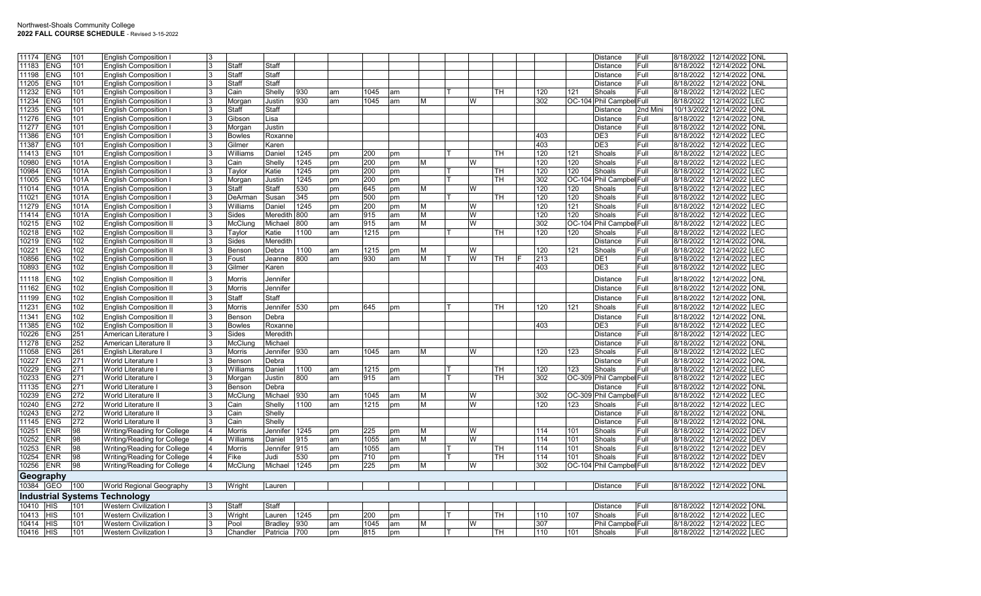| 11174     | <b>ENG</b> | 101  | <b>English Composition I</b>         | l3             |               |                |      |    |      |    |   |   |           |     |        | Distance                 | l Full   | 8/18/2022  | 12/14/2022 ONL |            |
|-----------|------------|------|--------------------------------------|----------------|---------------|----------------|------|----|------|----|---|---|-----------|-----|--------|--------------------------|----------|------------|----------------|------------|
| 11183     | <b>ENG</b> | 101  | <b>English Composition I</b>         | 3              | Staff         | Staff          |      |    |      |    |   |   |           |     |        | Distance                 | Full     | 8/18/2022  | 12/14/2022     | ONL        |
| 11198     | <b>ENG</b> | 101  | <b>English Composition I</b>         | 3              | Staff         | Staff          |      |    |      |    |   |   |           |     |        | Distance                 | Full     | 8/18/2022  | 12/14/2022     | <b>ONI</b> |
| 11205     | <b>ENG</b> | 101  | <b>English Composition I</b>         |                | Staff         | Staff          |      |    |      |    |   |   |           |     |        | Distance                 | Full     | 8/18/2022  | 12/14/2022     | <b>ONL</b> |
| 11232     | <b>ENG</b> | 101  | <b>English Composition I</b>         |                | Cain          | Shelly         | 930  | am | 1045 | am |   |   | TH        | 120 | 121    | Shoals                   | Full     | 8/18/2022  | 12/14/2022     | LEC        |
| 11234     | <b>ENG</b> | 101  | <b>English Composition I</b>         | 3              | Morgan        | Justin         | 930  | am | 1045 | am | M | W |           | 302 | OC-104 | Phil Campbel Full        |          | 8/18/2022  | 12/14/2022     | LEC        |
| 11235     | <b>ENG</b> | 101  | <b>English Composition I</b>         | 3              | Staff         | Staff          |      |    |      |    |   |   |           |     |        | Distance                 | 2nd Mini | 10/13/2022 | 12/14/2022     | <b>ONL</b> |
| 11276     | <b>ENG</b> | 101  | <b>English Composition I</b>         | 3              | Gibson        | Lisa           |      |    |      |    |   |   |           |     |        | Distance                 | Full     | 8/18/2022  | 12/14/2022     | <b>ONL</b> |
| 11277     | <b>ENG</b> | 101  | <b>English Composition I</b>         |                | Morgan        | Justin         |      |    |      |    |   |   |           |     |        | Distance                 | Full     | 8/18/2022  | 12/14/2022     | ONL        |
| 11386     | <b>ENG</b> | 101  | <b>English Composition I</b>         | 3              | <b>Bowles</b> | Roxanne        |      |    |      |    |   |   |           | 403 |        | DE3                      | Full     | 8/18/2022  | 12/14/2022     | LEC        |
| 11387     | <b>ENG</b> | 101  | <b>English Composition I</b>         | 3              | Gilmer        | Karen          |      |    |      |    |   |   |           | 403 |        | DE3                      | Full     | 8/18/2022  | 12/14/2022     | LEC        |
| 11413     | <b>ENG</b> | 101  | <b>English Composition I</b>         |                | Williams      | Daniel         | 1245 | pm | 200  | pm |   |   | TН        | 120 | 121    | Shoals                   | Full     | 8/18/2022  | 12/14/2022     | LEC        |
| 10980     | <b>ENG</b> | 101A | <b>English Composition I</b>         |                | Cain          | Shellv         | 1245 | pm | 200  | pm | M | W |           | 120 | 120    | Shoals                   | Full     | 8/18/2022  | 12/14/2022     | LEC        |
| 10984     | <b>ENG</b> | 101A | English Composition                  | 3              | Taylor        | Katie          | 1245 | pm | 200  | pm |   |   | lТH       | 120 | 120    | Shoals                   | Full     | 8/18/2022  | 12/14/2022     | LEC        |
| 11005     | <b>ENG</b> | 101A | <b>English Composition I</b>         |                | Morgan        | Justin         | 1245 | pm | 200  | pm |   |   | TН        | 302 |        | OC-104 Phil Campbel Full |          | 8/18/2022  | 12/14/2022     | LEC        |
| 11014     | <b>ENG</b> | 101A | <b>English Composition I</b>         |                | Staff         | Staff          | 530  | pm | 645  | pm | M | W |           | 120 | 120    | Shoals                   | Full     | 8/18/2022  | 12/14/2022     | LEC        |
| 11021     | <b>ENG</b> | 101A | <b>English Composition I</b>         | 3              | DeArmar       | Susan          | 345  | pm | 500  | pm |   |   | l TH      | 120 | 120    | Shoals                   | Full     | 8/18/2022  | 12/14/2022     | LEC        |
| 11279     | <b>ENG</b> | 101A | <b>English Composition I</b>         | 3              | Williams      | Daniel         | 1245 | pm | 200  | pm | M | W |           | 120 | 121    | Shoals                   | Full     | 8/18/2022  | 12/14/2022     | LEC        |
| 11414     | <b>ENG</b> | 101A | <b>English Composition I</b>         |                | Sides         | Meredith       | 800  | am | 915  | am | M | W |           | 120 | 120    | Shoals                   | Full     | 8/18/2022  | 12/14/2022     | LEC        |
| 10215     | <b>ENG</b> | 102  | <b>English Composition II</b>        |                | McClung       | Michael        | 800  | am | 915  | am | M | W |           | 302 | OC-104 | Phil Campbel Full        |          | 8/18/2022  | 12/14/2022     | LEC        |
| 10218     | <b>ENG</b> | 102  | <b>English Composition II</b>        | ß.             | Taylor        | Katie          | 1100 | am | 1215 | pm |   |   | lTH.      | 120 | 120    | Shoals                   | Full     | 8/18/2022  | 12/14/2022     | LEC        |
| 10219     | <b>ENG</b> | 102  | <b>English Composition II</b>        | 3              | Sides         | Meredith       |      |    |      |    |   |   |           |     |        | Distance                 | Full     | 8/18/2022  | 12/14/2022     | <b>ONL</b> |
| 10221     | <b>ENG</b> | 102  | <b>English Composition II</b>        |                | Benson        | Debra          | 1100 | am | 1215 | pm | M | W |           | 120 | 121    | Shoals                   | Full     | 8/18/2022  | 12/14/2022     | LEC        |
| 10856     | <b>ENG</b> | 102  | <b>English Composition II</b>        | 3              | Foust         | Jeanne         | 800  | am | 930  | am | M | W | <b>TH</b> | 213 |        | DE <sub>1</sub>          | Full     | 8/18/2022  | 12/14/2022     | LEC        |
| 10893     | <b>ENG</b> | 102  | <b>English Composition II</b>        | 3              | Gilmer        | Karen          |      |    |      |    |   |   |           | 403 |        | DE3                      | Full     | 8/18/2022  | 12/14/2022     | LEC        |
| 11118     | <b>ENG</b> | 102  | <b>English Composition II</b>        |                | Morris        | Jennifer       |      |    |      |    |   |   |           |     |        | Distance                 | Full     | 8/18/2022  | 12/14/2022     | <b>ONL</b> |
| 11162     | <b>ENG</b> | 102  | <b>English Composition II</b>        |                | Morris        | Jennifer       |      |    |      |    |   |   |           |     |        | Distance                 | Full     | 8/18/2022  | 12/14/2022     | ONL        |
|           | <b>ENG</b> | 102  |                                      |                | Staff         | Staff          |      |    |      |    |   |   |           |     |        |                          | Full     | 8/18/2022  | 12/14/2022     | <b>ONL</b> |
| 11199     |            |      | <b>English Composition II</b>        |                |               |                |      |    |      |    |   |   |           |     |        | Distance                 |          |            |                |            |
| 11231     | <b>ENG</b> | 102  | <b>English Composition II</b>        | 3              | <b>Morris</b> | Jennifer 530   |      | pm | 645  | pm |   |   | <b>TH</b> | 120 | 121    | Shoals                   | Full     | 8/18/2022  | 12/14/2022     | LEC        |
| 11341     | <b>ENG</b> | 102  | <b>English Composition II</b>        | 3              | Benson        | Debra          |      |    |      |    |   |   |           |     |        | Distance                 | Full     | 8/18/2022  | 12/14/2022     | ONL        |
| 11385     | <b>ENG</b> | 102  | <b>English Composition II</b>        | 3              | <b>Bowles</b> | Roxanne        |      |    |      |    |   |   |           | 403 |        | DE3                      | Full     | 8/18/2022  | 12/14/2022     | LEC        |
| 10226     | <b>ENG</b> | 251  | American Literature                  |                | Sides         | Meredith       |      |    |      |    |   |   |           |     |        | Distance                 | Full     | 8/18/2022  | 12/14/2022     | LEC        |
| 11278     | <b>ENG</b> | 252  | American Literature II               |                | McClung       | Michael        |      |    |      |    |   |   |           |     |        | Distance                 | Full     | 8/18/2022  | 12/14/2022     | <b>ONL</b> |
| 11058     | <b>ENG</b> | 261  | <b>English Literature</b>            | 3              | Morris        | Jennifer       | 930  | am | 1045 | am | M | W |           | 120 | 123    | Shoals                   | Full     | 8/18/2022  | 12/14/2022     | LEC        |
| 10227     | <b>ENG</b> | 271  | World Literature I                   | 3              | Benson        | Debra          |      |    |      |    |   |   |           |     |        | Distance                 | Full     | 8/18/2022  | 12/14/2022     | <b>ONL</b> |
| 10229     | <b>ENG</b> | 271  | World Literature I                   |                | Williams      | Daniel         | 1100 | am | 1215 | pm |   |   | TН        | 120 | 123    | Shoals                   | Full     | 8/18/2022  | 12/14/2022     | LEC        |
| 10233     | <b>ENG</b> | 271  | World Literature I                   | 3              | Morgan        | Justin         | 800  | am | 915  | am |   |   | TН        | 302 |        | OC-309 Phil Campbel Full |          | 8/18/2022  | 12/14/2022     | LEC        |
| 11135     | <b>ENG</b> | 271  | World Literature I                   | 3              | Benson        | Debra          |      |    |      |    |   |   |           |     |        | Distance                 | Full     | 8/18/2022  | 12/14/2022     | <b>ONL</b> |
| 10239     | <b>ENG</b> | 272  | World Literature II                  |                | McClung       | Michael        | 930  | am | 1045 | am | M | W |           | 302 |        | OC-309 Phil Campbel Full |          | 8/18/2022  | 12/14/2022     | LEC        |
| 10240     | <b>ENG</b> | 272  | <b>World Literature II</b>           | 3              | Cain          | Shelly         | 1100 | am | 1215 | pm | M | W |           | 120 | 123    | Shoals                   | Full     | 8/18/2022  | 12/14/2022     | LEC        |
| 10243     | <b>ENG</b> | 272  | <b>World Literature II</b>           | 3              | Cain          | Shelly         |      |    |      |    |   |   |           |     |        | Distance                 | Full     | 8/18/2022  | 12/14/2022     | <b>ONI</b> |
| 11145     | <b>ENG</b> | 272  | World Literature II                  | 3              | Cain          | Shelly         |      |    |      |    |   |   |           |     |        | Distance                 | Full     | 8/18/2022  | 12/14/2022     | <b>ONL</b> |
| 10251     | <b>ENR</b> | 98   | Writing/Reading for College          |                | Morris        | Jennifer       | 1245 | pm | 225  | pm | M | W |           | 114 | 101    | Shoals                   | Full     | 8/18/2022  | 12/14/2022     | <b>DEV</b> |
| 10252     | <b>ENR</b> | 98   | Writing/Reading for College          |                | Williams      | Daniel         | 915  | am | 1055 | am | M | W |           | 114 | 101    | Shoals                   | Full     | 8/18/2022  | 12/14/2022     | <b>DEV</b> |
| 10253     | <b>ENR</b> | 98   | Writing/Reading for College          | $\overline{4}$ | Morris        | Jennifer       | 915  | am | 1055 | am |   |   | <b>TH</b> | 114 | 101    | Shoals                   | Full     | 8/18/2022  | 12/14/2022     | <b>DEV</b> |
| 10254     | <b>ENR</b> | 98   | Writing/Reading for College          | $\overline{4}$ | Fike          | Judi           | 530  | pm | 710  | pm |   |   | TН        | 114 | 101    | Shoals                   | Full     | 8/18/2022  | 12/14/2022 DEV |            |
| 10256     | ENR        | 98   | Writing/Reading for College          |                | McClung       | Michael        | 1245 | pm | 225  | pm | M | W |           | 302 |        | OC-104 Phil Campbel Full |          | 8/18/2022  | 12/14/2022 DEV |            |
| Geography |            |      |                                      |                |               |                |      |    |      |    |   |   |           |     |        |                          |          |            |                |            |
| 10384 GEO |            | 100  | World Regional Geography             | 3              | Wright        | Lauren         |      |    |      |    |   |   |           |     |        | Distance                 | Full     | 8/18/2022  | 12/14/2022 ONL |            |
|           |            |      | <b>Industrial Systems Technology</b> |                |               |                |      |    |      |    |   |   |           |     |        |                          |          |            |                |            |
| 10410 HIS |            | 101  | <b>Western Civilization I</b>        | 13             | Staff         | Staff          |      |    |      |    |   |   |           |     |        | Distance                 | Full     | 8/18/2022  | 12/14/2022     | <b>ONL</b> |
| 10413     | <b>HIS</b> | 101  | Western Civilization                 | 3              | Wright        | auren.         | 1245 | pm | 200  | pm |   |   | TН        | 110 | 107    | Shoals                   | Full     | 8/18/2022  | 12/14/2022     | LEC        |
| 10414     | <b>HIS</b> | 101  | <b>Western Civilization I</b>        |                | Pool          | <b>Bradlev</b> | 930  | am | 1045 | am | M | W |           | 307 |        | Phil Campbel Full        |          | 8/18/2022  | 12/14/2022     | LEC        |
| 10416 HIS |            | 101  | <b>Western Civilization I</b>        | 3              | Chandler      | Patricia       | 700  | pm | 815  | pm |   |   | lTH.      | 110 | 101    | Shoals                   | Full     | 8/18/2022  | 12/14/2022     | <b>LEC</b> |
|           |            |      |                                      |                |               |                |      |    |      |    |   |   |           |     |        |                          |          |            |                |            |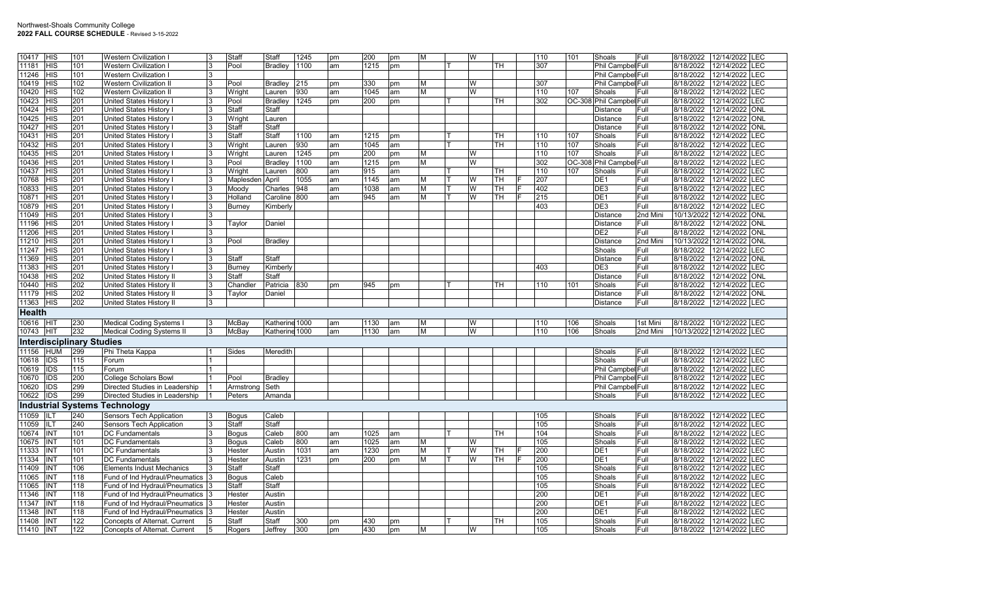| 10417         | <b>HIS</b>       | 101                              | <b>Western Civilization</b>                                        |   | Staff        | Staff          | 1245 | pm | 200  | pm | Iм. | W |           | 110 | 101 | Shoals                   | Full     | 8/18/2022             | 12/14/2022     | LEC        |
|---------------|------------------|----------------------------------|--------------------------------------------------------------------|---|--------------|----------------|------|----|------|----|-----|---|-----------|-----|-----|--------------------------|----------|-----------------------|----------------|------------|
| 11181         | <b>HIS</b>       | 101                              | <b>Western Civilization</b>                                        | 3 | Pool         | Bradley        | 1100 | am | 1215 | pm |     |   | TH        | 307 |     | Phil Campbel Full        |          | 8/18/2022             | 12/14/2022     | LEC        |
| 11246         | <b>HIS</b>       | 101                              | <b>Western Civilization I</b>                                      |   |              |                |      |    |      |    |     |   |           |     |     | Phil Campbel Full        |          | 8/18/2022             | 12/14/2022     | LEC        |
| 10419         | HIS              | 102                              | <b>Western Civilization II</b>                                     |   | Pool         | Bradley        | 215  |    | 330  |    | M   | W |           | 307 |     | Phil Campbel Full        |          | 8/18/2022             | 12/14/2022     | <b>EC</b>  |
| 10420         | <b>HIS</b>       | 102                              | <b>Western Civilization II</b>                                     | २ | Wright       |                | 930  | pm | 1045 | pm | M   | W |           | 110 | 107 | Shoals                   | Full     | 8/18/2022             | 12/14/2022     | <b>LEC</b> |
|               |                  |                                  |                                                                    |   |              | Lauren         |      | am |      | am |     |   |           |     |     |                          |          |                       |                |            |
| 10423         | <b>HIS</b>       | 201                              | <b>United States History I</b>                                     |   | Pool         | <b>Bradley</b> | 1245 | pm | 200  | pm |     |   | TН        | 302 |     | OC-308 Phil Campbel Full |          | 8/18/2022             | 12/14/2022     | <b>LEC</b> |
| 10424         | <b>HIS</b>       | 201                              | United States History                                              |   | Staff        | Staff          |      |    |      |    |     |   |           |     |     | Distance                 | Full     | 8/18/2022             | 12/14/2022     | ONL        |
| 10425         | <b>HIS</b>       | 201                              | United States History                                              | 3 | Wright       | Lauren         |      |    |      |    |     |   |           |     |     | Distance                 | Full     | 8/18/2022             | 12/14/2022     | <b>ONL</b> |
| 10427         | <b>HIS</b>       | 201                              | United States History I                                            | 3 | Staff        | Staff          |      |    |      |    |     |   |           |     |     | Distance                 | Full     | 8/18/2022             | 12/14/2022     | <b>ONL</b> |
| 10431         | <b>HIS</b>       | 201                              | United States History I                                            | 3 | Staff        | <b>Staff</b>   | 1100 | am | 1215 | pm |     |   | TH        | 110 | 107 | Shoals                   | Full     | 8/18/2022             | 12/14/2022     | <b>LEC</b> |
| 10432         | HIS              | 201                              | United States History I                                            |   | Wright       | Lauren         | 930  | am | 1045 | am |     |   | TH.       | 110 | 107 | Shoals                   | Full     | 8/18/2022             | 12/14/2022     | <b>LEC</b> |
| 10435         | <b>HIS</b>       | 201                              | United States History I                                            |   | Wright       | Lauren         | 1245 | pm | 200  | pm | M   | W |           | 110 | 107 | Shoals                   | Full     | 8/18/2022             | 12/14/2022     | <b>LEC</b> |
| 10436         | <b>HIS</b>       | 201                              | United States History                                              | 3 | Pool         | Bradley        | 1100 | am | 1215 | pm | M   | W |           | 302 |     | OC-308 Phil Campbel Full |          | 8/18/2022             | 12/14/2022     | <b>EC</b>  |
| 10437         | HIS              | 201                              | United States History I                                            |   | Wright       | Lauren         | 800  | am | 915  | am |     |   | <b>TH</b> | 110 | 107 | Shoals                   | Full     | 8/18/2022             | 12/14/2022     | LEC        |
| 10768         | HIS              | 201                              | United States History                                              |   | Maplesden    | April          | 1055 | am | 1145 | am | M   | W | <b>TH</b> | 207 |     | DE1                      | Full     | 8/18/2022             | 12/14/2022     | <b>LEC</b> |
| 10833         | <b>HIS</b>       | 201                              | United States History                                              | 3 | Moody        | Charles        | 948  | am | 1038 | am | M   | W | <b>TH</b> | 402 |     | DE3                      | Full     | 8/18/2022             | 12/14/2022     | LEC        |
| 10871         | <b>HIS</b>       | 201                              | United States History                                              |   | Holland      | Caroline 800   |      | am | 945  | am | M   | W | <b>TH</b> | 215 |     | DE <sub>1</sub>          | Full     | 8/18/2022             | 12/14/2022     | LEC        |
| 10879         | HIS              | 201                              | United States History I                                            |   | Burney       | Kimberly       |      |    |      |    |     |   |           | 403 |     | DE3                      | Full     | 8/18/2022             | 12/14/2022     | <b>LEC</b> |
| 11049         | <b>HIS</b>       | 201                              | United States History                                              | ঽ |              |                |      |    |      |    |     |   |           |     |     | Distance                 | 2nd Mini | 10/13/2022            | 12/14/2022     | <b>ONL</b> |
| 11196         | <b>HIS</b>       | 201                              | United States History I                                            |   | Taylor       | Daniel         |      |    |      |    |     |   |           |     |     | <b>Distance</b>          | Full     | 8/18/2022             | 12/14/2022     | ONL        |
| 11206         | <b>HIS</b>       | 201                              | United States History                                              |   |              |                |      |    |      |    |     |   |           |     |     | DE <sub>2</sub>          | Full     | 8/18/2022             | 12/14/2022     | ONL        |
| 11210         | <b>HIS</b>       | 201                              | United States History                                              |   | Pool         | Bradley        |      |    |      |    |     |   |           |     |     | Distance                 | 2nd Mini | 10/13/2022            | 12/14/2022     | ONL        |
| 11247         | <b>HIS</b>       | 201                              | United States History I                                            | 3 |              |                |      |    |      |    |     |   |           |     |     | Shoals                   | Full     | 8/18/2022             | 12/14/2022     | <b>LEC</b> |
| 11369         | <b>HIS</b>       | 201                              | United States History I                                            | 3 | Staff        | Staff          |      |    |      |    |     |   |           |     |     | Distance                 | Full     | 8/18/2022             | 12/14/2022     | <b>ONL</b> |
| 11383         | <b>HIS</b>       | 201                              | <b>United States History I</b>                                     |   | Burney       | Kimberly       |      |    |      |    |     |   |           | 403 |     | DE3                      | Full     | 8/18/2022             | 12/14/2022 LEC |            |
| 10438         | <b>HIS</b>       | 202                              | United States History II                                           |   | Staff        | Staff          |      |    |      |    |     |   |           |     |     | <b>Distance</b>          | Full     | 8/18/2022             | 12/14/2022     | <b>ONL</b> |
| 10440         | <b>HIS</b>       | 202                              | United States History II                                           | 3 | Chandler     | Patricia       | 830  | pm | 945  | pm |     |   | TН        | 110 | 101 | Shoals                   | Full     | 8/18/2022             | 12/14/2022     | <b>LEC</b> |
| 11179         | <b>HIS</b>       | 202                              | United States History II                                           |   | Taylor       | Daniel         |      |    |      |    |     |   |           |     |     | Distance                 | Full     | 8/18/2022             | 12/14/2022 ONL |            |
| 11363         | <b>HIS</b>       | 202                              | United States History II                                           |   |              |                |      |    |      |    |     |   |           |     |     | Distance                 | Full     | 8/18/2022             | 12/14/2022 LEC |            |
| <b>Health</b> |                  |                                  |                                                                    |   |              |                |      |    |      |    |     |   |           |     |     |                          |          |                       |                |            |
| 10616 HIT     |                  | 230                              | Medical Coding Systems I                                           |   | McBay        | Katherine 1000 |      | am | 1130 | am | M   | W |           | 110 | 106 | Shoals                   | 1st Mini | 8/18/2022             | 10/12/2022     | LEC        |
| 10743         | <b>IHIT</b>      | 232                              | <b>Medical Coding Systems II</b>                                   |   | McBay        | Katherine 1000 |      | am | 1130 | am | M   | W |           | 110 | 106 | Shoals                   | 2nd Mini | 10/13/2022 12/14/2022 |                | <b>LEC</b> |
|               |                  | <b>Interdisciplinary Studies</b> |                                                                    |   |              |                |      |    |      |    |     |   |           |     |     |                          |          |                       |                |            |
| 11156         | <b>HUM</b>       |                                  |                                                                    |   |              |                |      |    |      |    |     |   |           |     |     |                          |          |                       |                |            |
| 10618         |                  |                                  |                                                                    |   |              |                |      |    |      |    |     |   |           |     |     |                          |          |                       |                |            |
|               |                  | 299                              | Phi Theta Kappa                                                    |   | Sides        | Meredith       |      |    |      |    |     |   |           |     |     | Shoals                   | Full     | 8/18/2022             | 12/14/2022     | LEC        |
|               | IDS              | 115                              | Forum                                                              |   |              |                |      |    |      |    |     |   |           |     |     | Shoals                   | Full     | 8/18/2022             | 12/14/2022     | LEC        |
| 10619         | <b>IDS</b>       | 115                              | Forum                                                              |   |              |                |      |    |      |    |     |   |           |     |     | Phil Campbel Full        |          | 8/18/2022             | 12/14/2022     | <b>LEC</b> |
| 10670         | <b>IDS</b>       | 200                              | <b>College Scholars Bowl</b>                                       |   | Pool         | <b>Bradley</b> |      |    |      |    |     |   |           |     |     | Phil Campbel Full        |          | 8/18/2022             | 12/14/2022 LEC |            |
| 10620         | $\overline{IDS}$ | 299                              | Directed Studies in Leadership                                     |   | Armstrong    | Seth           |      |    |      |    |     |   |           |     |     | Phil Campbel Full        |          | 8/18/2022             | 12/14/2022     | LEC        |
| 10622         | <b>IDS</b>       | 299                              | Directed Studies in Leadership                                     |   | Peters       | Amanda         |      |    |      |    |     |   |           |     |     | Shoals                   | Full     | 8/18/2022             | 12/14/2022     | LEC        |
|               |                  |                                  | <b>Industrial Systems Technology</b>                               |   |              |                |      |    |      |    |     |   |           |     |     |                          |          |                       |                |            |
| 11059         |                  | 240                              |                                                                    |   | <b>Bogus</b> | Caleb          |      |    |      |    |     |   |           | 105 |     | Shoals                   | Full     | 8/18/2022             | 12/14/2022 LEC |            |
| 11059         | <b>ILT</b>       | 240                              | Sensors Tech Application<br>Sensors Tech Application               | 3 | Staff        | Staff          |      |    |      |    |     |   |           | 105 |     | Shoals                   | Full     | 8/18/2022             | 12/14/2022     | <b>LEC</b> |
| 10674         | INT              | 101                              | <b>DC Fundamentals</b>                                             |   | Bogus        | Caleb          | 800  | am | 1025 | am |     |   | <b>TH</b> | 104 |     | Shoals                   | Full     | 8/18/2022             | 12/14/2022     | <b>EC</b>  |
| 10675         | INT              | 101                              | <b>DC Fundamentals</b>                                             |   | <b>Bogus</b> | Caleb          | 800  | am | 1025 | am | M   | W |           | 105 |     | Shoals                   | Full     | 8/18/2022             | 12/14/2022     | LEC        |
| 11333         | INT              | 101                              | <b>DC Fundamentals</b>                                             |   | Hester       | Austin         | 1031 | am | 1230 | pm | M   | W | <b>TH</b> | 200 |     | DE <sub>1</sub>          | Full     | 8/18/2022             | 12/14/2022     | LEC        |
| 11334         | INT              | 101                              | DC Fundamentals                                                    | 3 | Hester       | Austin         | 1231 | pm | 200  | pm | M   | W | TH.       | 200 |     | DE1                      | Full     | 8/18/2022             | 12/14/2022     | <b>EC</b>  |
| 11409         | INT              | 106                              | <b>Elements Indust Mechanics</b>                                   |   | Staff        | Staff          |      |    |      |    |     |   |           | 105 |     | Shoals                   | Full     | 8/18/2022             | 12/14/2022     | LEC        |
| 11065         | <b>INT</b>       | 118                              | Fund of Ind Hydraul/Pneumatics 3                                   |   | <b>Bogus</b> | Caleb          |      |    |      |    |     |   |           | 105 |     | Shoals                   | Full     | 8/18/2022             | 12/14/2022     | LEC        |
| 11065         | <b>INT</b>       | 118                              | Fund of Ind Hydraul/Pneumatics 3                                   |   | Staff        | Staff          |      |    |      |    |     |   |           | 105 |     | Shoals                   | Full     | 8/18/2022             | 12/14/2022     | <b>LEC</b> |
| 11346         | INT              | 118                              |                                                                    |   | Hester       | Austin         |      |    |      |    |     |   |           | 200 |     | DE1                      | Full     | 8/18/2022             | 12/14/2022     | <b>EC</b>  |
| 11347         | <b>INT</b>       | 118                              | Fund of Ind Hydraul/Pneumatics<br>Fund of Ind Hydraul/Pneumatics 3 |   | Hester       | Austin         |      |    |      |    |     |   |           | 200 |     | DE1                      | Full     | 8/18/2022             | 12/14/2022     | .EC        |
| 11348         | <b>INT</b>       | 118                              | Fund of Ind Hydraul/Pneumatics 3                                   |   | Hester       | Austin         |      |    |      |    |     |   |           | 200 |     | DE <sub>1</sub>          | Full     | 8/18/2022             | 12/14/2022     | <b>LEC</b> |
| 11408         | <b>INT</b>       | 122                              | Concepts of Alternat. Current                                      | 5 | Staff        | Staff          | 300  | pm | 430  | pm |     |   | <b>TH</b> | 105 |     | Shoals                   | Full     | 8/18/2022             | 12/14/2022     | LEC        |
| 11410         | INT              | 122                              | Concepts of Alternat. Current                                      | 5 | Rogers       | Jeffrey        | 300  | pm | 430  | pm | M   | W |           | 105 |     | Shoals                   | Full     | 8/18/2022             | 12/14/2022     | LEC        |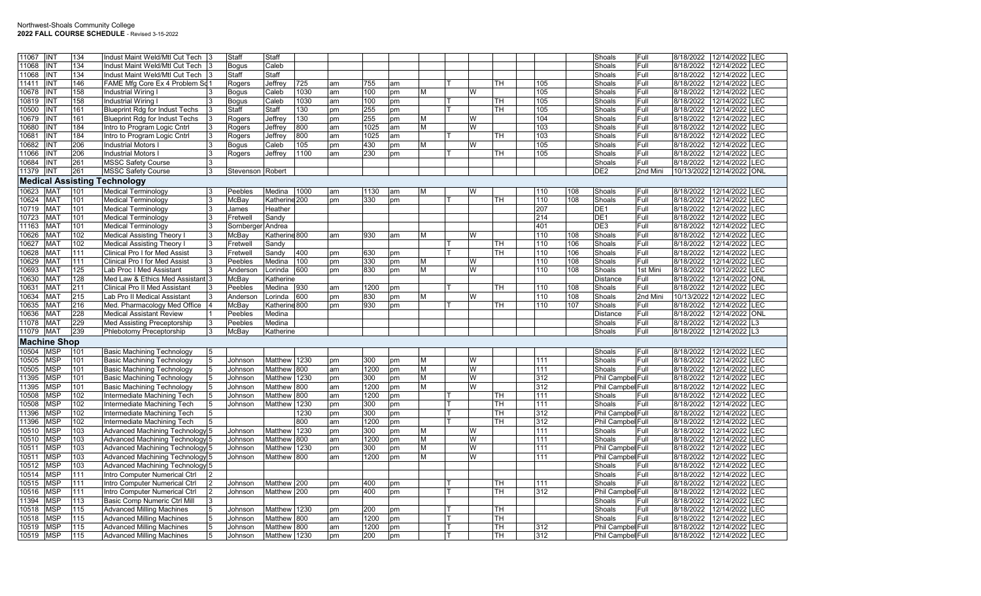| 11067 | <b>INT</b>               | 134 | Indust Maint Weld/Mtl Cut Tech         |                | Staff             | Staff         |      |          |      |    |   |   |           |     |     | Shoals                   | Full     | 8/18/2022  | 12/14/2022 LEC |            |
|-------|--------------------------|-----|----------------------------------------|----------------|-------------------|---------------|------|----------|------|----|---|---|-----------|-----|-----|--------------------------|----------|------------|----------------|------------|
| 11068 | INT                      | 134 | Indust Maint Weld/Mtl Cut Tech         |                | <b>Bogus</b>      | Caleb         |      |          |      |    |   |   |           |     |     | Shoals                   | Full     | 8/18/2022  | 12/14/2022     | LEC        |
| 11068 | INT                      | 134 | Indust Maint Weld/Mtl Cut Tech 3       |                | Staff             | Staff         |      |          |      |    |   |   |           |     |     | Shoals                   | Full     | 8/18/2022  | 12/14/2022     | <b>LEC</b> |
| 11411 | <b>INT</b>               | 146 | FAME Mfg Core Ex 4 Problem Sd 1        |                | Rogers            | Jeffrey       | 725  | am       | 755  | am |   |   | TН        | 105 |     | Shoals                   | Full     | 8/18/2022  | 12/14/2022 LEC |            |
| 10678 | <b>INT</b>               | 158 | Industrial Wiring I                    |                | <b>Bogus</b>      | Caleb         | 1030 | am       | 100  | pm | M | W |           | 105 |     | Shoals                   | Full     | 8/18/2022  | 12/14/2022     | <b>LEC</b> |
| 10819 | INT                      | 158 | <b>Industrial Wiring I</b>             | l3             | Bogus             | Caleb         | 1030 | am       | 100  | pm |   |   | <b>TH</b> | 105 |     | Shoals                   | Full     | 8/18/2022  | 12/14/2022     | <b>LEC</b> |
| 10500 | INT                      | 161 | <b>Blueprint Rdg for Indust Techs</b>  |                | <b>Staff</b>      | Staff         | 130  | pm       | 255  | pm |   |   | TН        | 105 |     | Shoals                   | Full     | 8/18/2022  | 12/14/2022 LEC |            |
| 10679 | <b>INT</b>               | 161 | <b>Blueprint Rdg for Indust Techs</b>  |                | Rogers            | Jeffrev       | 130  | pm       | 255  | pm | M | W |           | 104 |     | Shoals                   | Full     | 8/18/2022  | 12/14/2022     | <b>LEC</b> |
| 10680 | INT                      | 184 | Intro to Program Logic Cntrl           | 3              | Rogers            | Jeffrey       | 800  | am       | 1025 | am | M | W |           | 103 |     | Shoals                   | Full     | 8/18/2022  | 12/14/2022     | LEC        |
| 10681 | <b>INT</b>               | 184 | Intro to Program Logic Cntrl           | 3              | Rogers            | Jeffrey       | 800  | am       | 1025 | am |   |   | TН        | 103 |     | Shoals                   | Full     | 8/18/2022  | 12/14/2022 LEC |            |
| 10682 | INT                      | 206 | <b>Industrial Motors I</b>             |                |                   | Caleb         | 105  |          | 430  |    | M | W |           | 105 |     | Shoals                   | Full     | 8/18/2022  | 12/14/2022     | <b>LEC</b> |
| 11066 | INT                      | 206 | <b>Industrial Motors I</b>             | 3              | <b>Bogus</b>      | Jeffrey       | 1100 | pm<br>am | 230  | pm |   |   | TH.       | 105 |     | Shoals                   | Full     | 8/18/2022  | 12/14/2022     | LEC        |
|       | <b>INT</b>               |     |                                        |                | Rogers            |               |      |          |      | pm |   |   |           |     |     |                          |          | 8/18/2022  |                |            |
| 10684 |                          | 261 | <b>MSSC Safety Course</b>              | 3              |                   |               |      |          |      |    |   |   |           |     |     | Shoals                   | Full     |            | 12/14/2022 LEC |            |
| 11379 | INT                      | 261 | <b>MSSC Safety Course</b>              | 3              | Stevenson Robert  |               |      |          |      |    |   |   |           |     |     | DE <sub>2</sub>          | 2nd Mini | 10/13/2022 | 12/14/2022 ONL |            |
|       | <b>Medical Assisting</b> |     | Technology                             |                |                   |               |      |          |      |    |   |   |           |     |     |                          |          |            |                |            |
| 10623 | <b>MAT</b>               | 101 | <b>Medical Terminology</b>             | Ι3             | Peebles           | Medina        | 1000 | am       | 1130 | am | M | W |           | 110 | 108 | Shoals                   | Full     | 8/18/2022  | 12/14/2022 LEC |            |
| 10624 | MA1                      | 101 | <b>Medical Terminology</b>             | 3              | McBay             | Katherine 200 |      | pm       | 330  | pm |   |   | TН        | 110 | 108 | Shoals                   | Full     | 8/18/2022  | 12/14/2022 LEC |            |
| 10719 | <b>MAT</b>               | 101 | <b>Medical Terminology</b>             | 3              | James             | Heather       |      |          |      |    |   |   |           | 207 |     | DE <sub>1</sub>          | Full     | 8/18/2022  | 12/14/2022     | <b>LEC</b> |
| 10723 | <b>MAT</b>               | 101 | <b>Medical Terminology</b>             | 3              | Fretwell          | Sandy         |      |          |      |    |   |   |           | 214 |     | DE <sub>1</sub>          | Full     | 8/18/2022  | 12/14/2022     | <b>LEC</b> |
| 11163 | MA <sub>1</sub>          | 101 | <b>Medical Terminology</b>             | 3              | Sornberger Andrea |               |      |          |      |    |   |   |           | 401 |     | DE3                      | Full     | 8/18/2022  | 12/14/2022     | <b>LEC</b> |
| 10626 | <b>MAT</b>               | 102 | <b>Medical Assisting Theory I</b>      | 3              | McBay             | Katherine 800 |      | am       | 930  | am | M | W |           | 110 | 108 | Shoals                   | Full     | 8/18/2022  | 12/14/2022     | LEC        |
| 10627 | MA <sub>1</sub>          | 102 | <b>Medical Assisting Theory I</b>      | 3              | Fretwell          | Sandy         |      |          |      |    |   |   | <b>TH</b> | 110 | 106 | Shoals                   | Full     | 8/18/2022  | 12/14/2022     | LEC        |
| 10628 | MA <sub>1</sub>          | 111 | <b>Clinical Pro I for Med Assist</b>   | 3              | Fretwell          | Sandy         | 400  | pm       | 630  | pm |   |   | TН        | 110 | 106 | Shoals                   | Full     | 8/18/2022  | 12/14/2022     | <b>LEC</b> |
| 10629 | MA1                      | 111 | <b>Clinical Pro I for Med Assist</b>   |                | Peebles           | Medina        | 100  | pm       | 330  | pm | M | W |           | 110 | 108 | Shoals                   | Full     | 8/18/2022  | 12/14/2022     | <b>LEC</b> |
| 10693 | <b>MAT</b>               | 125 | Lab Proc I Med Assistant               | Ι3             | Anderson          | Lorinda       | 600  | pm       | 830  | pm | M | W |           | 110 | 108 | Shoals                   | 1st Mini | 8/18/2022  | 10/12/2022     | LEC        |
| 10630 | <b>MAT</b>               | 128 | Med Law & Ethics Med Assistant 3       |                | McBay             | Katherine     |      |          |      |    |   |   |           |     |     | Distance                 | Full     | 8/18/2022  | 12/14/2022 ONL |            |
| 10631 | MA <sub>1</sub>          | 211 | <b>Clinical Pro II Med Assistant</b>   | 3              | Peebles           | Medina        | 930  | am       | 1200 | pm |   |   | TН        | 110 | 108 | Shoals                   | Full     | 8/18/2022  | 12/14/2022     | <b>LEC</b> |
| 10634 | Ma1                      | 215 | Lab Pro II Medical Assistant           | 3              | Anderson          | Lorinda       | 600  | pm       | 830  | pm | M | W |           | 110 | 108 | Shoals                   | 2nd Mini | 10/13/2022 | 12/14/2022     | <b>LEC</b> |
| 10635 | <b>MAT</b>               | 216 | Med. Pharmacology Med Office           |                | McBay             | Katherine 800 |      | pm       | 930  | pm |   |   | TH.       | 110 | 107 | Shoals                   | Full     | 8/18/2022  | 12/14/2022     | <b>LEC</b> |
| 10636 | MA <sub>1</sub>          | 228 | <b>Medical Assistant Review</b>        |                | Peebles           | Medina        |      |          |      |    |   |   |           |     |     | Distance                 | Full     | 8/18/2022  | 12/14/2022 ONL |            |
| 11078 | MA <sub>1</sub>          | 229 | <b>Med Assisting Preceptorship</b>     | 3              | Peebles           | Medina        |      |          |      |    |   |   |           |     |     | Shoals                   | Full     | 8/18/2022  | 12/14/2022 L3  |            |
| 11079 | <b>MAT</b>               | 239 |                                        | <sup>3</sup>   |                   |               |      |          |      |    |   |   |           |     |     |                          | Full     | 8/18/2022  |                |            |
|       |                          |     | Phlebotomy Preceptorship               |                | McBay             | Katherine     |      |          |      |    |   |   |           |     |     | Shoals                   |          |            | 12/14/2022 L3  |            |
|       | <b>Machine Shop</b>      |     |                                        |                |                   |               |      |          |      |    |   |   |           |     |     |                          |          |            |                |            |
| 10504 | <b>MSP</b>               | 101 | <b>Basic Machining Technology</b>      | 5              |                   |               |      |          |      |    |   |   |           |     |     | Shoals                   | Full     | 8/18/2022  | 12/14/2022 LEC |            |
| 10505 | <b>MSP</b>               | 101 | <b>Basic Machining Technology</b>      | 5              | Johnson           | Matthew 1230  |      | pm       | 300  | pm | M | W |           | 111 |     | Shoals                   | Full     | 8/18/2022  | 12/14/2022     | <b>LEC</b> |
| 10505 | <b>MSP</b>               | 101 | <b>Basic Machining Technology</b>      | 5              | Johnson           | Matthew 800   |      | am       | 1200 | pm | M | W |           | 111 |     | Shoals                   | Full     | 8/18/2022  | 12/14/2022     | <b>LEC</b> |
| 11395 | <b>MSP</b>               | 101 | <b>Basic Machining Technology</b>      | 5              | Johnson           | Matthew 1230  |      | pm       | 300  | pm | M | W |           | 312 |     | Phil Campbel Full        |          | 8/18/2022  | 12/14/2022     | LEC        |
| 11395 | MSP                      | 101 | <b>Basic Machining Technology</b>      | 5              | Johnson           | Matthew       | 800  | am       | 1200 | pm | M | W |           | 312 |     | Phil Campbel Full        |          | 8/18/2022  | 12/14/2022     | LEC        |
| 10508 | MSP                      | 102 | Intermediate Machining Tech            | 5              | Johnson           | Matthew 800   |      | am       | 1200 | pm |   |   | TН        | 111 |     | Shoals                   | Full     | 8/18/2022  | 12/14/2022     | LEC        |
| 10508 | MSP                      | 102 | Intermediate Machining Tech            | 5              | Johnson           | Matthew 1230  |      | pm       | 300  | pm |   |   | тн        | 111 |     | Shoals                   | Full     | 8/18/2022  | 12/14/2022     | <b>LEC</b> |
| 11396 | MSP                      | 102 | Intermediate Machining Tech            | 5              |                   |               | 1230 | pm       | 300  | pm |   |   | <b>TH</b> | 312 |     | Phil Campbel Full        |          | 8/18/2022  | 12/14/2022     | <b>LEC</b> |
| 11396 | MSP                      | 102 | Intermediate Machining Tech            | 5              |                   |               | 800  | am       | 1200 | pm |   |   | TH.       | 312 |     | Phil Campbel Full        |          | 8/18/2022  | 12/14/2022     | <b>LEC</b> |
| 10510 | <b>MSP</b>               | 103 | Advanced Machining Technology 5        |                | Johnson           | Matthew 1230  |      | pm       | 300  | pm | M | W |           | 111 |     | Shoals                   | Full     | 8/18/2022  | 12/14/2022     | <b>LEC</b> |
| 10510 | MSP                      | 103 | Advanced Machining Technology 5        |                | Johnson           | Matthew       | 800  | am       | 1200 | pm | M | W |           | 111 |     | Shoals                   | Full     | 8/18/2022  | 12/14/2022     | <b>LEC</b> |
| 10511 | MSP                      | 103 | Advanced Machining Technology 5        |                | Johnson           | Matthew 1230  |      | pm       | 300  | pm | M | W |           | 111 |     | Phil Campbel Full        |          | 8/18/2022  | 12/14/2022     | LEC        |
| 10511 | <b>MSP</b>               | 103 | Advanced Machining Technology 5        |                | Johnson           | Matthew 800   |      | am       | 1200 | pm | M | W |           | 111 |     | Phil Campbel Full        |          | 8/18/2022  | 12/14/2022     | LEC        |
| 10512 | MSP                      | 103 | <b>Advanced Machining Technology 5</b> |                |                   |               |      |          |      |    |   |   |           |     |     | Shoals                   | Full     | 8/18/2022  | 12/14/2022 LEC |            |
| 10514 | MSP                      | 111 | Intro Computer Numerical Ctrl          |                |                   |               |      |          |      |    |   |   |           |     |     | Shoals                   | Full     | 8/18/2022  | 12/14/2022     | <b>LEC</b> |
| 10515 | <b>MSP</b>               | 111 | Intro Computer Numerical Ctrl          | $\overline{2}$ | Johnson           | Matthew 200   |      | pm       | 400  | pm |   |   | тн        | 111 |     | Shoals                   | Full     | 8/18/2022  | 12/14/2022     | LEC        |
| 10516 | MSP                      | 111 | Intro Computer Numerical Ctrl          | 2              | Johnson           | Matthew 200   |      | pm       | 400  | pm |   |   | TН        | 312 |     | Phil Campbel Full        |          | 8/18/2022  | 12/14/2022     | <b>LEC</b> |
| 11394 | MSP                      | 113 | Basic Comp Numeric Ctrl Mill           | 3              |                   |               |      |          |      |    |   |   |           |     |     | Shoals                   | Full     | 8/18/2022  | 12/14/2022     | LEC        |
| 10518 | <b>MSP</b>               | 115 | <b>Advanced Milling Machines</b>       | 5              | Johnson           | Matthew 1230  |      | pm       | 200  | pm |   |   | TН        |     |     | Shoals                   | Full     | 8/18/2022  | 12/14/2022     | LEC        |
| 10518 | MSP                      | 115 | <b>Advanced Milling Machines</b>       | 5              | Johnson           | Matthew 800   |      | am       | 1200 | pm |   |   | TН        |     |     | Shoals                   | Full     | 8/18/2022  | 12/14/2022     | <b>LEC</b> |
| 10519 | <b>MSP</b>               | 115 | <b>Advanced Milling Machines</b>       | $\overline{5}$ | Johnson           | Matthew 800   |      | am       | 1200 | pm |   |   | TН        | 312 |     | Phil Campbel Full        |          | 8/18/2022  | 12/14/2022 LEC |            |
| 10519 | <b>MSP</b>               | 115 | <b>Advanced Milling Machines</b>       | $\overline{5}$ | Johnson           | Matthew 1230  |      | pm       | 200  | pm |   |   | l TH      | 312 |     | <b>Phil Campbel Full</b> |          | 8/18/2022  | 12/14/2022 LEC |            |
|       |                          |     |                                        |                |                   |               |      |          |      |    |   |   |           |     |     |                          |          |            |                |            |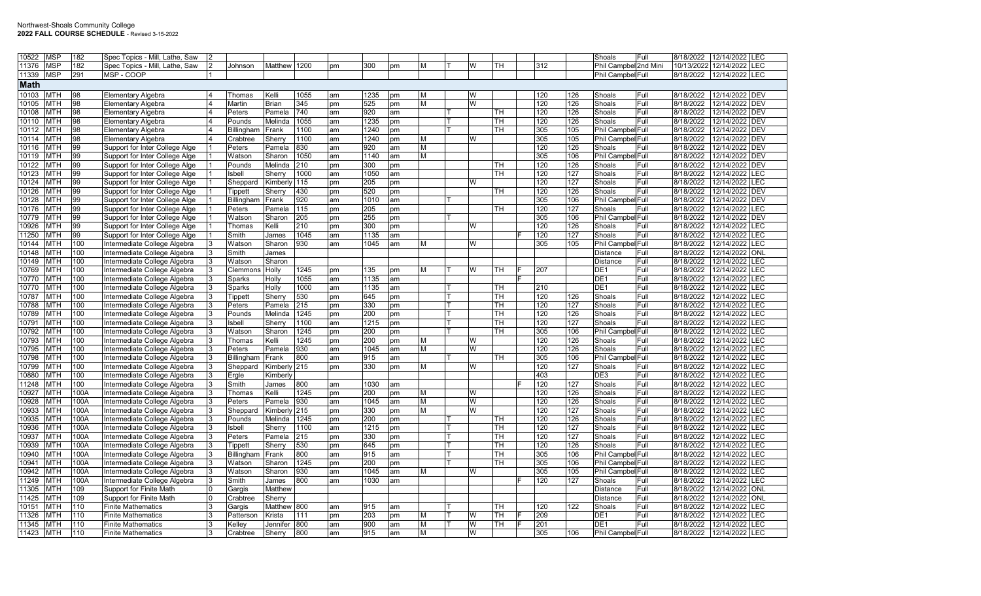| 10522       | <b>MSP</b> | 182  | Spec Topics - Mill, Lathe, Saw |   |            |                 |      |    |      |     |   |          |           |     |     | Shoals<br>Full           | 8/18/2022  | 12/14/2022 LEC  |            |
|-------------|------------|------|--------------------------------|---|------------|-----------------|------|----|------|-----|---|----------|-----------|-----|-----|--------------------------|------------|-----------------|------------|
| 11376       | <b>MSP</b> | 182  | Spec Topics - Mill, Lathe, Saw |   | Johnson    | Matthew         | 1200 | pm | 300  | pm  | Μ | W        | TH        | 312 |     | Phil Campbel 2nd Mini    | 10/13/2022 | 12/14/2022      | LEC        |
| 11339       | <b>MSP</b> | 291  | MSP - COOP                     |   |            |                 |      |    |      |     |   |          |           |     |     | Phil Campbel Full        | 8/18/2022  | 12/14/2022 LEC  |            |
| <b>Math</b> |            |      |                                |   |            |                 |      |    |      |     |   |          |           |     |     |                          |            |                 |            |
| 10103       | <b>MTH</b> | 98   | <b>Elementary Algebra</b>      |   | Thomas     | Kelli           | 1055 | am | 1235 | pm  | M | W        |           | 120 | 126 | Shoals<br>Full           | 8/18/2022  | 12/14/2022 DEV  |            |
| 10105       | <b>MTH</b> | 98   | <b>Elementary Algebra</b>      |   | Martin     | <b>Brian</b>    | 345  | pm | 525  | pm  | M | W        |           | 120 | 126 | Shoals<br>Full           | 8/18/2022  | 12/14/2022 DEV  |            |
| 10108       | <b>MTH</b> | 98   | <b>Elementary Algebra</b>      |   | Peters     | Pamela          | 740  | am | 920  | am  |   |          | TH        | 120 | 126 | Shoals<br>Full           | 8/18/2022  | 12/14/2022 IDEV |            |
| 10110       | <b>MTH</b> | 98   | <b>Elementary Algebra</b>      |   | Pounds     | Melinda         | 1055 | am | 1235 | pm  |   |          | TH        | 120 | 126 | Shoals<br>Full           | 8/18/2022  | 12/14/2022      | <b>DEV</b> |
| 10112       | <b>MTH</b> | 98   | <b>Elementary Algebra</b>      |   | Billingham | Frank           | 1100 | am | 1240 | pm  |   |          | TН        | 305 | 105 | Phil Campbel Full        | 8/18/2022  | 12/14/2022 DEV  |            |
| 10114       | <b>MTH</b> | 98   | <b>Elementary Algebra</b>      |   | Crabtree   | Sherry          | 1100 | am | 1240 | pm  | м | IW       |           | 305 | 105 | Phil Campbel Full        | 8/18/2022  | 12/14/2022 DEV  |            |
| 10116       | <b>MTH</b> | 99   | Support for Inter College Alge |   | Peters     | Pamela          | 830  | am | 920  | am  | М |          |           | 120 | 126 | Shoals<br>Full           | 8/18/2022  | 12/14/2022 DEV  |            |
| 10119       | <b>MTH</b> | 99   | Support for Inter College Alge |   | Watson     | Sharon          | 1050 | am | 1140 | am  | М |          |           | 305 | 106 | <b>Phil Campbel Full</b> | 8/18/2022  | 12/14/2022 DEV  |            |
| 10122       | <b>MTH</b> | 99   | Support for Inter College Alge |   | Pounds     | Melinda         | 210  | pm | 300  | pm  |   |          | TH        | 120 | 126 | Shoals<br>Full           | 8/18/2022  | 12/14/2022 DEV  |            |
| 10123       | <b>MTH</b> | 99   | Support for Inter College Alge |   | Isbell     | Sherry          | 1000 | am | 1050 | am  |   |          | TН        | 120 | 127 | Shoals<br>Full           | 8/18/2022  | 12/14/2022      | LEC        |
| 10124       | <b>MTH</b> | 99   | Support for Inter College Alge |   | Sheppard   | Kimber          | 115  | pm | 205  | pm  |   | W        |           | 120 | 127 | Shoals<br>Full           | 8/18/2022  | 12/14/2022      | <b>LEC</b> |
| 10126       | <b>MTH</b> | 99   | Support for Inter College Alge |   | Tippett    | Sherry          | 430  | pm | 520  | pm  |   |          | TН        | 120 | 126 | Shoals<br>Full           | 8/18/2022  | 12/14/2022 DEV  |            |
| 10128       | <b>MTH</b> | 99   | Support for Inter College Alge |   | Billingham | Frank           | 920  | am | 1010 | am  |   |          |           | 305 | 106 | Phil Campbel Full        | 8/18/2022  | 12/14/2022      | <b>DEV</b> |
| 10176       | <b>MTH</b> | 99   | Support for Inter College Alge |   | Peters     | Pamela          | 115  | pm | 205  | pm  |   |          | <b>TH</b> | 120 | 127 | Shoals<br>Full           | 8/18/2022  | 12/14/2022 LEC  |            |
| 10779       | <b>MTH</b> | 99   | Support for Inter College Alge |   | Watson     | Sharon          | 205  | pm | 255  | pm  |   |          |           | 305 | 106 | Phil Campbel Full        | 8/18/2022  | 12/14/2022 DEV  |            |
| 10926       | <b>MTH</b> | 99   | Support for Inter College Alge |   | Thomas     | Kelli           | 210  | pm | 300  | pm  |   | <b>W</b> |           | 120 | 126 | Shoals<br>Full           | 8/18/2022  | 12/14/2022      | LEC        |
| 11250       | <b>MTH</b> | 99   | Support for Inter College Alge |   | Smith      | James           | 1045 | am | 1135 | am  |   |          |           | 120 | 127 | Shoals<br>Full           | 8/18/2022  | 12/14/2022      | LEC        |
| 10144       | <b>MTH</b> | 100  | Intermediate College Algebra   |   | Watson     | Sharon          | 930  | am | 1045 | am  | М | W        |           | 305 | 105 | Phil Campbel Full        | 8/18/2022  | 12/14/2022      | LEC        |
| 10148       | <b>MTH</b> | 100  | Intermediate College Algebra   |   | Smith      | James           |      |    |      |     |   |          |           |     |     | Distance<br>Full         | 8/18/2022  | 12/14/2022      | ONL        |
| 10149       | <b>MTH</b> | 100  | Intermediate College Algebra   |   | Watson     | Sharon          |      |    |      |     |   |          |           |     |     | <b>Distance</b><br>Full  | 8/18/2022  | 12/14/2022      | <b>LEC</b> |
| 10769       | <b>MTH</b> | 100  | Intermediate College Algebra   |   | Clemmor    | Holly           | 1245 | pm | 135  | pm  | м | <b>W</b> | TH        | 207 |     | DE <sub>1</sub><br>Full  | 8/18/2022  | 12/14/2022      | LEC        |
| 10770       | <b>MTH</b> | 100  | Intermediate College Algebra   |   | Sparks     | Holly           | 1055 | am | 1135 | am  |   |          |           |     |     | DE <sub>1</sub><br>Full  | 8/18/2022  | 12/14/2022      | LEC        |
| 10770       | <b>MTH</b> | 100  | Intermediate College Algebra   |   |            |                 | 1000 | am | 1135 | am  |   |          | TН        | 210 |     | DE <sub>1</sub><br>Full  | 8/18/2022  | 12/14/2022      | LEC        |
| 10787       | <b>MTH</b> | 100  | Intermediate College Algebra   |   | Sparks     | Holly<br>Sherry | 530  | pm | 645  |     |   |          | <b>TH</b> | 120 | 126 | Shoals<br>Full           | 8/18/2022  | 12/14/2022      | <b>LEC</b> |
| 10788       | <b>MTH</b> | 100  | Intermediate College Algebra   |   | Tippett    | Pamela          | 215  | pm | 330  | pm  |   |          | TH        | 120 | 127 | Full<br>Shoals           | 8/18/2022  | 12/14/2022      | LEC        |
| 10789       | <b>MTH</b> | 100  | Intermediate College Algebra   |   | Peters     | Melinda         | 1245 |    | 200  | pm  |   |          | TН        | 120 | 126 | Shoals<br>Full           | 8/18/2022  | 12/14/2022      | <b>LEC</b> |
| 10791       | <b>MTH</b> | 100  |                                |   | Pounds     |                 | 1100 | pm | 1215 | pm  |   |          | <b>TH</b> | 120 | 127 | Shoals<br>Full           | 8/18/2022  | 12/14/2022      | <b>EC</b>  |
|             | <b>MTH</b> |      | Intermediate College Algebra   |   | Isbell     | Sherry          |      | am |      | pm  |   |          |           |     |     |                          | 8/18/2022  |                 |            |
| 10792       |            | 100  | Intermediate College Algebra   |   | Watson     | Sharon          | 1245 | pm | 200  | pm  |   |          | TН        | 305 | 106 | Phil Campbel Full        |            | 12/14/2022      | LEC        |
| 10793       | <b>MTH</b> | 100  | Intermediate College Algebra   |   | Thomas     | Kelli           | 1245 | pm | 200  | pm  | м | W        |           | 120 | 126 | Shoals<br>Full           | 8/18/2022  | 12/14/2022 LEC  |            |
| 10795       | <b>MTH</b> | 100  | Intermediate College Algebra   |   | Peters     | Pamela          | 930  | am | 1045 | am  | M | <b>W</b> |           | 120 | 126 | Shoals<br>Full           | 8/18/2022  | 12/14/2022      | <b>LEC</b> |
| 10798       | <b>MTH</b> | 100  | Intermediate College Algebra   |   | Billingham | Frank           | 800  | am | 915  | am  |   |          | TH        | 305 | 106 | Phil Campbel Full        | 8/18/2022  | 12/14/2022      | LEC        |
| 10799       | <b>MTH</b> | 100  | Intermediate College Algebra   |   | Sheppard   | Kimberly 215    |      | pm | 330  | pm  | М | W        |           | 120 | 127 | Shoals<br>Full           | 8/18/2022  | 12/14/2022 LEC  |            |
| 10880       | <b>MTH</b> | 100  | Intermediate College Algebra   |   | Ergle      | Kimberl         |      |    |      |     |   |          |           | 403 |     | DE3<br>Full              | 8/18/2022  | 12/14/2022      | <b>EC</b>  |
| 11248       | <b>MTH</b> | 100  | Intermediate College Algebra   |   | Smith      | James           | 800  | am | 1030 | lam |   |          |           | 120 | 127 | Full<br>Shoals           | 8/18/2022  | 12/14/2022      | <b>LEC</b> |
| 10927       | <b>MTH</b> | 100A | Intermediate College Algebra   |   | Thomas     | Kelli           | 1245 | pm | 200  | pm  | м | W        |           | 120 | 126 | Shoals<br>Full           | 8/18/2022  | 12/14/2022      | LEC        |
| 10928       | <b>MTH</b> | 100A | Intermediate College Algebra   |   | Peters     | Pamela          | 930  | am | 1045 | am  | м | W        |           | 120 | 126 | Shoals<br>Full           | 8/18/2022  | 12/14/2022      | <b>LEC</b> |
| 10933       | <b>MTH</b> | 100A | Intermediate College Algebra   |   | Sheppard   | Kimberl         | 215  | pm | 330  | pm  | М | <b>W</b> |           | 120 | 127 | Shoals<br>Full           | 8/18/2022  | 12/14/2022      | LEC        |
| 10935       | <b>MTH</b> | 100A | Intermediate College Algebra   |   | Pounds     | Melinda         | 1245 | pm | 200  | pm  |   |          | TН        | 120 | 126 | Shoals<br>Full           | 8/18/2022  | 12/14/2022      | LEC        |
| 10936       | <b>MTH</b> | 100A | Intermediate College Algebra   |   | Isbell     | Sherrv          | 1100 | am | 1215 | pm  |   |          | <b>TH</b> | 120 | 127 | Shoals<br>Full           | 8/18/2022  | 12/14/2022      | $E$ C      |
| 10937       | <b>MTH</b> | 100A | Intermediate College Algebra   |   | Peters     | Pamela          | 215  | pm | 330  | pm  |   |          | TH        | 120 | 127 | Full<br>Shoals           | 8/18/2022  | 12/14/2022      | <b>LEC</b> |
| 10939       | <b>MTH</b> | 100A | Intermediate College Algebra   |   | Tippett    | Sherry          | 530  | pm | 645  | pm  |   |          | TН        | 120 | 126 | Shoals<br>Full           | 8/18/2022  | 12/14/2022      | LEC        |
| 10940       | <b>MTH</b> | 100A | Intermediate College Algebra   |   | Billingham | Frank           | 800  | am | 915  | am  |   |          | <b>TH</b> | 305 | 106 | Phil Campbel Full        | 8/18/2022  | 12/14/2022      | LEC        |
| 10941       | <b>MTH</b> | 100A | Intermediate College Algebra   |   | Watson     | Sharon          | 1245 | pm | 200  | pm  |   |          | TH        | 305 | 106 | Phil Campbel Full        | 8/18/2022  | 12/14/2022      | <b>LEC</b> |
| 10942       | <b>MTH</b> | 100A | Intermediate College Algebra   |   | Watson     | Sharon          | 930  | am | 1045 | am  | м | l W      |           | 305 | 105 | Phil Campbel Full        | 8/18/2022  | 12/14/2022      | <b>LEC</b> |
| 11249       | <b>MTH</b> | 100A | Intermediate College Algebra   |   | Smith      | James           | 800  | am | 1030 | am  |   |          |           | 120 | 127 | Shoals<br>Full           | 8/18/2022  | 12/14/2022      | LEC        |
| 11305       | <b>MTH</b> | 109  | Support for Finite Math        |   | Gargis     | Matthew         |      |    |      |     |   |          |           |     |     | Distance<br>Full         | 8/18/2022  | 12/14/2022      | ONL        |
| 11425       | <b>MTH</b> | 109  | Support for Finite Math        |   | Crabtree   | Sherry          |      |    |      |     |   |          |           |     |     | <b>Distance</b><br>Full  | 8/18/2022  | 12/14/2022      | <b>ONL</b> |
| 10151       | <b>MTH</b> | 110  | <b>Finite Mathematics</b>      |   | Gargis     | Matthew         | 800  | am | 915  | am  |   |          | TН        | 120 | 122 | Shoals<br>Full           | 8/18/2022  | 12/14/2022      | <b>EC</b>  |
| 11326       | <b>MTH</b> | 110  | <b>Finite Mathematics</b>      |   | Patterson  | Krista          | 111  | pm | 203  | pm  | М | lW       | TH        | 209 |     | DE <sub>1</sub><br>Full  | 8/18/2022  | 12/14/2022      | <b>LEC</b> |
| 11345       | <b>MTH</b> | 110  | <b>Finite Mathematics</b>      |   | Kelley     | Jennifer        | 800  | am | 900  | am  | М | W        | TH        | 201 |     | DE <sub>1</sub><br>Full  | 8/18/2022  | 12/14/2022      | LEC        |
| 11423       | MTH        | 110  | <b>Finite Mathematics</b>      | 3 | Crabtree   | Sherry          | 800  | am | 915  | am  | м | W        |           | 305 | 106 | Phil Campbel Full        | 8/18/2022  | 12/14/2022 LEC  |            |
|             |            |      |                                |   |            |                 |      |    |      |     |   |          |           |     |     |                          |            |                 |            |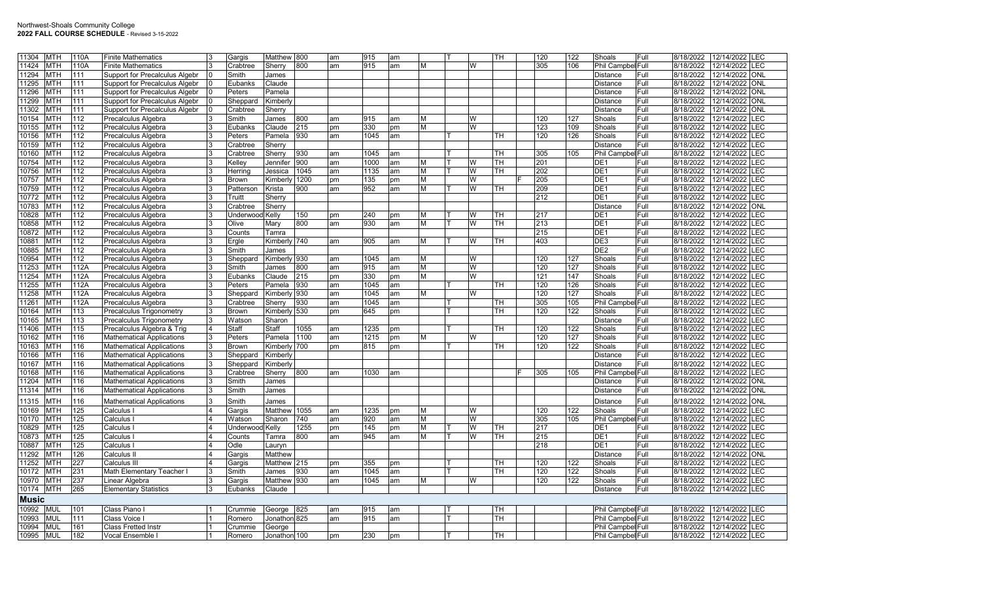| 11304        | <b>MTH</b> | 110A | <b>Finite Mathematics</b>             |                | Gargis                 | Matthew 800  |      | am | 915  | am  |   |   | TH        | 120 | 122              | Shoals             | Full  | 8/18/2022 | 12/14/2022     | <b>LEC</b>  |
|--------------|------------|------|---------------------------------------|----------------|------------------------|--------------|------|----|------|-----|---|---|-----------|-----|------------------|--------------------|-------|-----------|----------------|-------------|
| 11424        | <b>MTH</b> | 110A | <b>Finite Mathematics</b>             |                | Crabtree               | Sherry       | 800  | am | 915  | am  | М | W |           | 305 | 106              | Phil Campbel Full  |       | 8/18/2022 | 12/14/2022     | <b>ILEC</b> |
| 11294        | <b>MTH</b> | 111  | Support for Precalculus Algebr        |                | Smith                  | James        |      |    |      |     |   |   |           |     |                  | <b>Distance</b>    | Full  | 8/18/2022 | 12/14/2022     | <b>ONL</b>  |
| 11295        | <b>MTH</b> | 111  | <b>Support for Precalculus Algebr</b> |                | Eubanks                | Claude       |      |    |      |     |   |   |           |     |                  | Distance           | Full  | 8/18/2022 | 12/14/2022     | <b>ONL</b>  |
| 11296        | <b>MTH</b> | 111  | <b>Support for Precalculus Algebr</b> |                | Peters                 | Pamela       |      |    |      |     |   |   |           |     |                  | Distance           | Full  | 8/18/2022 | 12/14/2022 ONL |             |
| 11299        | <b>MTH</b> | 111  | Support for Precalculus Algebr        |                | Sheppard               | Kimberly     |      |    |      |     |   |   |           |     |                  | <b>Distance</b>    | Full  | 8/18/2022 | 12/14/2022     | <b>ONL</b>  |
| 11302        | <b>MTH</b> | 111  | Support for Precalculus Algebr        |                | Crabtree               | Sherry       |      |    |      |     |   |   |           |     |                  | Distance           | Full  | 8/18/2022 | 12/14/2022     | <b>ONL</b>  |
| 10154        | <b>MTH</b> | 112  | Precalculus Algebra                   |                | Smith                  | James        | 800  | am | 915  | am  | м | w |           | 120 | 127              | Shoals             | Full  | 8/18/2022 | 12/14/2022 LEC |             |
| 10155        | <b>MTH</b> | 112  | Precalculus Algebra                   |                | Eubanks                | Claude       | 215  | pm | 330  | pm  | M | W |           | 123 | 109              | Shoals             | Full  | 8/18/2022 | 12/14/2022     | <b>EC</b>   |
| 10156        | <b>MTH</b> | 112  | Precalculus Algebra                   |                | Peters                 | Pamela       | 930  | am | 1045 | am  |   |   | TH        | 120 | 126              | Shoals             | Full  | 8/18/2022 | 12/14/2022     | LEC         |
| 10159        | MTH        | 112  | Precalculus Algebra                   |                | Crabtree               | Sherry       |      |    |      |     |   |   |           |     |                  | <b>Distance</b>    | Full  | 8/18/2022 | 12/14/2022     | LEC         |
| 10160        | <b>MTH</b> | 112  | <b>Precalculus Algebra</b>            |                | Crabtree               | Sherry       | 930  | am | 1045 | am  |   |   | <b>TH</b> | 305 | 105              | Phil Campbel Full  |       | 8/18/2022 | 12/14/2022     | <b>EC</b>   |
| 10754        | <b>MTH</b> | 112  |                                       |                | Kelley                 | Jennifer     | 900  |    | 1000 |     | M | W | TН        | 201 |                  | DE1                | Full  | 8/18/2022 | 12/14/2022     | LEC         |
|              |            |      | <b>Precalculus Algebra</b>            |                |                        |              |      | am |      | am  |   |   |           |     |                  |                    |       |           |                |             |
| 10756        | <b>MTH</b> | 112  | Precalculus Algebra                   |                | Herring                | Jessica      | 1045 | am | 1135 | am  | M | W | TН        | 202 |                  | DE <sub>1</sub>    | Full  | 8/18/2022 | 12/14/2022     | LEC         |
| 10757        | <b>MTH</b> | 112  | Precalculus Algebra                   |                | <b>Brown</b>           | Kimber       | 1200 | pm | 135  | pm  | M | W |           | 205 |                  | DE <sub>1</sub>    | Full  | 8/18/2022 | 12/14/2022     | LEC         |
| 10759        | <b>MTH</b> | 112  | <b>Precalculus Algebra</b>            |                | Patterson              | Krista       | 900  | am | 952  | am  | м | W | TH        | 209 |                  | DE <sub>1</sub>    | Full  | 8/18/2022 | 12/14/2022     | .EC         |
| 10772        | <b>MTH</b> | 112  | Precalculus Algebra                   |                | Truitt                 | Sherry       |      |    |      |     |   |   |           | 212 |                  | DE <sub>1</sub>    | Full  | 8/18/2022 | 12/14/2022     | <b>EC</b>   |
| 10783        | <b>MTH</b> | 112  | Precalculus Algebra                   | 3              | Crabtree               | Sherry       |      |    |      |     |   |   |           |     |                  | <b>Distance</b>    | Full  | 8/18/2022 | 12/14/2022     | <b>ONL</b>  |
| 10828        | <b>MTH</b> | 112  | Precalculus Algebra                   |                | <b>Underwood Kelly</b> |              | 150  | pm | 240  | pm  | м | W | TН        | 217 |                  | DE <sub>1</sub>    | Full  | 8/18/2022 | 12/14/2022     | <b>EC</b>   |
| 10858        | <b>MTH</b> | 112  | Precalculus Algebra                   |                | Olive                  | Marv         | 800  | am | 930  | am  | M | W | TH.       | 213 |                  | DE1                | Full  | 8/18/2022 | 12/14/2022     | <b>EC</b>   |
| 10872        | <b>MTH</b> | 112  | Precalculus Algebra                   |                | Counts                 | Tamra        |      |    |      |     |   |   |           | 215 |                  | DE <sub>1</sub>    | Full  | 8/18/2022 | 12/14/2022     | <b>EC</b>   |
| 10881        | <b>MTH</b> | 112  | Precalculus Algebra                   |                | Ergle                  | Kimberly 740 |      | am | 905  | am  | М | W | TН        | 403 |                  | DE3                | Full  | 8/18/2022 | 12/14/2022     | <b>EC</b>   |
| 10885        | <b>MTH</b> | 112  | Precalculus Algebra                   |                | Smith                  | James        |      |    |      |     |   |   |           |     |                  | DE <sub>2</sub>    | Full  | 8/18/2022 | 12/14/2022     | <b>EC</b>   |
| 10954        | <b>MTH</b> | 112  | Precalculus Algebra                   |                | Sheppard               | Kimberly 930 |      | am | 1045 | am  | M | W |           | 120 | 127              | Shoals             | Full  | 8/18/2022 | 12/14/2022     | <b>EC</b>   |
| 11253        | <b>MTH</b> | 112A | Precalculus Algebra                   |                | Smith                  | James        | 800  | am | 915  | am  | M | W |           | 120 | 127              | Shoals             | Full  | 8/18/2022 | 12/14/2022     | <b>EC</b>   |
| 11254        | <b>MTH</b> | 112A | Precalculus Algebra                   | 3              | Eubanks                | Claude       | 215  | pm | 330  | pm  | M | W |           | 121 | 147              | Shoals             | Full  | 8/18/2022 | 12/14/2022     | <b>EC</b>   |
| 11255        | <b>MTH</b> | 112A | Precalculus Algebra                   |                | Peters                 | Pamela       | 930  | am | 1045 | am  |   |   | TН        | 120 | 126              | Shoals             | Full  | 8/18/2022 | 12/14/2022     | <b>EC</b>   |
| 11258        | <b>MTH</b> | 112A | Precalculus Algebra                   |                | Sheppard               | Kimberly 930 |      | am | 1045 | am  | M | W |           | 120 | 127              | Shoals             | Full  | 8/18/2022 | 12/14/2022     | .EC         |
| 11261        | <b>MTH</b> | 112A | <b>Precalculus Algebra</b>            |                | Crabtree               | Sherry       | 930  | am | 1045 | am  |   |   | <b>TH</b> | 305 | 105              | Phil Campbel Full  |       | 8/18/2022 | 12/14/2022     | <b>EC</b>   |
| 10164        | <b>MTH</b> | 113  | Precalculus Trigonometry              |                | <b>Brown</b>           | Kimberly 530 |      | pm | 645  | pm  |   |   | TН        | 120 | 122              | Shoals             | Full  | 8/18/2022 | 12/14/2022     | LEC         |
| 10165        | <b>MTH</b> | 113  | Precalculus Trigonometry              |                | Watson                 | Sharon       |      |    |      |     |   |   |           |     |                  | Distance           | Full  | 8/18/2022 | 12/14/2022     | <b>EC</b>   |
| 11406        | <b>MTH</b> | 115  | Precalculus Algebra & Trig            | $\overline{4}$ | Staff                  | Staff        | 1055 | am | 1235 | pm  |   |   | TH        | 120 | 122              | Shoals             | Full  | 8/18/2022 | 12/14/2022     | <b>EC</b>   |
| 10162        | <b>MTH</b> | 116  | <b>Mathematical Applications</b>      | 3              | Peters                 | Pamela       | 1100 | am | 1215 |     | м | W |           | 120 | 127              | Shoals             | Full  | 8/18/2022 | 12/14/2022     | LEC         |
| 10163        | <b>MTH</b> | 116  |                                       | 3              |                        |              |      |    |      | pm  |   |   | TH        | 120 | 122              |                    | Full  | 8/18/2022 | 12/14/2022     | LEC         |
|              |            |      | <b>Mathematical Applications</b>      |                | <b>Brown</b>           | Kimberly 700 |      | pm | 815  | pm  |   |   |           |     |                  | Shoals             |       |           |                |             |
| 10166        | <b>MTH</b> | 116  | <b>Mathematical Applications</b>      | 3              | Sheppard               | Kimberly     |      |    |      |     |   |   |           |     |                  | <b>Distance</b>    | Full  | 8/18/2022 | 12/14/2022     | <b>EC</b>   |
| 10167        | <b>MTH</b> | 116  | <b>Mathematical Applications</b>      | 3              | Sheppard               | Kimberly     |      |    |      |     |   |   |           |     |                  | Distance           | Full  | 8/18/2022 | 12/14/2022     | LEC         |
| 10168        | MTH        | 116  | Mathematical Applications             |                | Crabtree               | Sherry       | 800  | am | 1030 | lam |   |   |           | 305 | 105              | <b>Phil Campbe</b> | lFull | 8/18/2022 | 12/14/2022     | LEC         |
| 11204        | <b>MTH</b> | 116  | <b>Mathematical Applications</b>      | 3              | Smith                  | James        |      |    |      |     |   |   |           |     |                  | Distance           | Full  | 8/18/2022 | 12/14/2022     | ONL         |
| 11314        | <b>MTH</b> | 116  | <b>Mathematical Applications</b>      | 3              | Smith                  | James        |      |    |      |     |   |   |           |     |                  | Distance           | Full  | 8/18/2022 | 12/14/2022     | <b>ONL</b>  |
| 11315        | <b>MTH</b> | 116  | <b>Mathematical Applications</b>      | l3             | Smith                  | James        |      |    |      |     |   |   |           |     |                  | <b>Distance</b>    | Full  | 8/18/2022 | 12/14/2022     | ONL         |
| 10169        | <b>MTH</b> | 125  | Calculus                              |                | Gargis                 | Matthew      | 1055 | am | 1235 | pm  | М | W |           | 120 | $\overline{122}$ | Shoals             | Full  | 8/18/2022 | 12/14/2022     | LEC         |
| 10170        | <b>MTH</b> | 125  | Calculus                              |                | Watson                 | Sharon       | 740  | am | 920  | am  | М | W |           | 305 | 105              | Phil Campbel Full  |       | 8/18/2022 | 12/14/2022     | LEC         |
| 10829        | <b>MTH</b> | 125  | Calculus                              |                | <b>Underwood Kelly</b> |              | 1255 | pm | 145  | pm  | M | W | TН        | 217 |                  | DE1                | Full  | 8/18/2022 | 12/14/2022     | LEC         |
| 10873        | <b>MTH</b> | 125  | Calculus                              |                | Counts                 | Tamra        | 800  | am | 945  | am  | M | W | TН        | 215 |                  | DE1                | Full  | 8/18/2022 | 12/14/2022     | LEC         |
| 10887        | <b>MTH</b> | 125  | Calculus                              |                | Odle                   | Lauryn       |      |    |      |     |   |   |           | 218 |                  | DE <sub>1</sub>    | Full  | 8/18/2022 | 12/14/2022     | <b>LEC</b>  |
| 11292        | <b>MTH</b> | 126  | Calculus I                            |                | Gargis                 | Matthew      |      |    |      |     |   |   |           |     |                  | Distance           | Full  | 8/18/2022 | 12/14/2022     | <b>ONL</b>  |
| 11252        | <b>MTH</b> | 227  | Calculus III                          |                | Gargis                 | Matthew 215  |      | pm | 355  | pm  |   |   | TН        | 120 | 122              | Shoals             | Full  | 8/18/2022 | 12/14/2022     | <b>LEC</b>  |
| 10172        | <b>MTH</b> | 231  | Math Elementary Teacher I             | l3             | Smith                  | James        | 930  | am | 1045 | am  |   |   | тн        | 120 | 122              | Shoals             | Full  | 8/18/2022 | 12/14/2022     | LEC         |
| 10970        | <b>MTH</b> | 237  | Linear Algebra                        | 13             | Gargis                 | Matthew      | 930  | am | 1045 | am  | м | W |           | 120 | 122              | Shoals             | Full  | 8/18/2022 | 12/14/2022     | LEC         |
| 10174        | <b>MTH</b> | 265  |                                       | 3              | Eubanks                | Claude       |      |    |      |     |   |   |           |     |                  | <b>Distance</b>    | Full  | 8/18/2022 | 12/14/2022 LEC |             |
|              |            |      | <b>Elementary Statistics</b>          |                |                        |              |      |    |      |     |   |   |           |     |                  |                    |       |           |                |             |
| <b>Music</b> |            |      |                                       |                |                        |              |      |    |      |     |   |   |           |     |                  |                    |       |           |                |             |
| 10992        | <b>MUL</b> | 101  | Class Piano                           |                | Crummie                | George       | 825  | am | 915  | am  |   |   | TH        |     |                  | Phil Campbel Full  |       | 8/18/2022 | 12/14/2022     | <b>LEC</b>  |
| 10993        | <b>MUL</b> | 111  | Class Voice                           |                | Romero                 | Jonathon 825 |      | am | 915  | am  |   |   | тн        |     |                  | Phil Campbel Full  |       | 8/18/2022 | 12/14/2022     | LEC         |
| 10994        | mul        | 161  | <b>Class Fretted Instr</b>            |                | Crummie                | George       |      |    |      |     |   |   |           |     |                  | Phil Campbel Full  |       | 8/18/2022 | 12/14/2022     | LEC         |
| 10995        | <b>MUL</b> | 182  | Vocal Ensemble                        |                | Romero                 | Jonathon 100 |      | pm | 230  | pm  |   |   | TН        |     |                  | Phil Campbel Full  |       | 8/18/2022 | 12/14/2022 LEC |             |
|              |            |      |                                       |                |                        |              |      |    |      |     |   |   |           |     |                  |                    |       |           |                |             |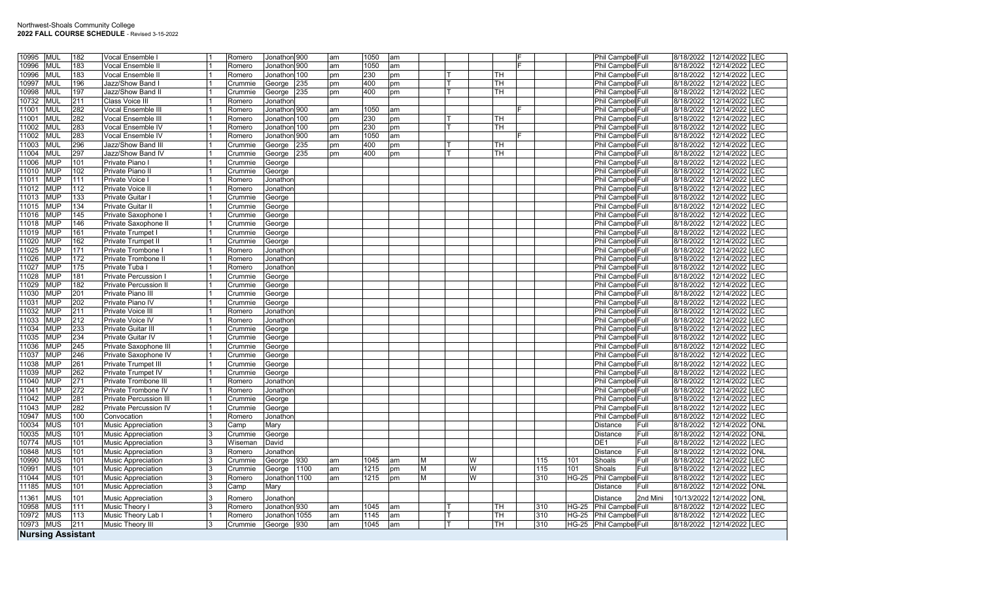| <b>MUL</b><br>10995      | 182 | Vocal Ensemble            |   | Romero  | Jonathon 900     |      | am | 1050 | am |   |   |           |     |              | Phil Campbel Full        |          | 8/18/2022  | 12/14/2022 LEC |            |
|--------------------------|-----|---------------------------|---|---------|------------------|------|----|------|----|---|---|-----------|-----|--------------|--------------------------|----------|------------|----------------|------------|
| 10996<br><b>MUL</b>      | 183 | Vocal Ensemble II         |   | Romero  | Jonathon 900     |      | am | 1050 | am |   |   |           |     |              | Phil Campbel Full        |          | 8/18/2022  | 12/14/2022 LEC |            |
| <b>MUL</b><br>10996      | 183 | Vocal Ensemble II         |   | Romero  | Jonathon 100     |      |    | 230  |    |   |   | TH.       |     |              | Phil Campbel Full        |          | 8/18/2022  | 12/14/2022     | LEC        |
|                          |     |                           |   |         |                  |      | pm |      | pm |   |   |           |     |              |                          |          |            |                |            |
| <b>MUL</b><br>10997      | 196 | Jazz/Show Band I          |   | Crummie | George           | 235  | pm | 400  | pm |   |   | TН        |     |              | Phil Campbel Full        |          | 8/18/2022  | 12/14/2022     | LEC        |
| 10998<br><b>MUL</b>      | 197 | Jazz/Show Band II         |   | Crummie | George           | 235  | pm | 400  | pm |   |   | TH.       |     |              | Phil Campbel Full        |          | 8/18/2022  | 12/14/2022     | <b>LEC</b> |
| <b>MUL</b><br>10732      | 211 | Class Voice III           |   | Romero  | Jonathon         |      |    |      |    |   |   |           |     |              | Phil Campbel Full        |          | 8/18/2022  | 12/14/2022     | LEC        |
| <b>MUL</b><br>11001      | 282 | Vocal Ensemble III        |   | Romero  | Jonathon 900     |      | am | 1050 | am |   |   |           |     |              | Phil Campbel Full        |          | 8/18/2022  | 12/14/2022     | LEC        |
| <b>MUL</b><br>11001      | 282 | Vocal Ensemble III        |   | Romero  | Jonathon 100     |      | pm | 230  | pm |   |   | <b>TH</b> |     |              | Phil Campbel Full        |          | 8/18/2022  | 12/14/2022     | LEC        |
| <b>MUL</b><br>11002      | 283 | Vocal Ensemble IV         |   | Romero  | Jonathon 100     |      | pm | 230  | pm |   |   | TН        |     |              | Phil Campbel Full        |          | 8/18/2022  | 12/14/2022     | LEC        |
| 11002<br><b>MUL</b>      | 283 | Vocal Ensemble IV         |   | Romero  | Jonathon 900     |      | am | 1050 | am |   |   |           |     |              | Phil Campbel Full        |          | 8/18/2022  | 12/14/2022     | LEC        |
| 11003<br><b>MUL</b>      | 296 | Jazz/Show Band III        |   | Crummie | George           | 235  | pm | 400  | pm |   |   | TH        |     |              | Phil Campbel Full        |          | 8/18/2022  | 12/14/2022     | LEC        |
| <b>MUL</b><br>11004      | 297 | Jazz/Show Band IV         |   | Crummie | George           | 235  | pm | 400  | pm |   |   | TH.       |     |              | Phil Campbel Full        |          | 8/18/2022  | 12/14/2022     | LEC        |
| <b>MUP</b><br>11006      | 101 | Private Piano I           |   | Crummie | George           |      |    |      |    |   |   |           |     |              | Phil Campbel Full        |          | 8/18/2022  | 12/14/2022     | LEC        |
| 11010<br><b>MUP</b>      | 102 | Private Piano II          |   | Crummie | George           |      |    |      |    |   |   |           |     |              | Phil Campbel Full        |          | 8/18/2022  | 12/14/2022     | LEC        |
| <b>MUP</b><br>11011      | 111 | Private Voice I           |   | Romero  | Jonathor         |      |    |      |    |   |   |           |     |              | Phil Campbel Full        |          | 8/18/2022  | 12/14/2022     | LEC        |
| 11012<br><b>MUP</b>      | 112 | Private Voice II          |   | Romero  | Jonathor         |      |    |      |    |   |   |           |     |              | Phil Campbel Full        |          | 8/18/2022  | 12/14/2022     | LEC        |
| <b>MUP</b><br>11013      | 133 | <b>Private Guitar</b>     |   | Crummie | George           |      |    |      |    |   |   |           |     |              | Phil Campbel Full        |          | 8/18/2022  | 12/14/2022     | LEC        |
| <b>MUP</b><br>11015      | 134 | Private Guitar II         |   | Crummie | George           |      |    |      |    |   |   |           |     |              | Phil Campbel Full        |          | 8/18/2022  | 12/14/2022     | LEC        |
| <b>MUP</b><br>11016      | 145 | Private Saxophone         |   | Crummie |                  |      |    |      |    |   |   |           |     |              | Phil Campbel Full        |          | 8/18/2022  | 12/14/2022     | LEC        |
| <b>MUP</b><br>11018      | 146 | Private Saxophone II      |   | Crummie | George<br>George |      |    |      |    |   |   |           |     |              | Phil Campbel Full        |          | 8/18/2022  | 12/14/2022     | LEC        |
| <b>MUP</b>               | 161 |                           |   |         |                  |      |    |      |    |   |   |           |     |              |                          |          |            | 12/14/2022     | LEC        |
| 11019                    |     | Private Trumpet           |   | Crummie | George           |      |    |      |    |   |   |           |     |              | Phil Campbel Full        |          | 8/18/2022  |                |            |
| <b>MUP</b><br>11020      | 162 | Private Trumpet II        |   | Crummie | George           |      |    |      |    |   |   |           |     |              | Phil Campbel Full        |          | 8/18/2022  | 12/14/2022     | LEC        |
| <b>MUP</b><br>11025      | 171 | Private Trombone I        |   | Romero  | Jonathor         |      |    |      |    |   |   |           |     |              | Phil Campbel Full        |          | 8/18/2022  | 12/14/2022 LEC |            |
| 11026<br><b>MUP</b>      | 172 | Private Trombone II       |   | Romero  | Jonathor         |      |    |      |    |   |   |           |     |              | Phil Campbel Full        |          | 8/18/2022  | 12/14/2022     | LEC        |
| <b>MUP</b><br>11027      | 175 | Private Tuba I            |   | Romero  | Jonathor         |      |    |      |    |   |   |           |     |              | Phil Campbel Full        |          | 8/18/2022  | 12/14/2022     | LEC        |
| 11028<br><b>MUP</b>      | 181 | Private Percussion        |   | Crummie | George           |      |    |      |    |   |   |           |     |              | Phil Campbel Full        |          | 8/18/2022  | 12/14/2022 LEC |            |
| 11029<br><b>MUP</b>      | 182 | Private Percussion II     |   | Crummie | George           |      |    |      |    |   |   |           |     |              | Phil Campbel Full        |          | 8/18/2022  | 12/14/2022     | LEC        |
| <b>MUP</b><br>11030      | 201 | Private Piano III         |   | Crummie | George           |      |    |      |    |   |   |           |     |              | Phil Campbel Full        |          | 8/18/2022  | 12/14/2022     | LEC        |
| <b>MUP</b><br>11031      | 202 | Private Piano IV          |   | Crummie | George           |      |    |      |    |   |   |           |     |              | Phil Campbel Full        |          | 8/18/2022  | 12/14/2022 LEC |            |
| 11032<br><b>MUP</b>      | 211 | <b>Private Voice III</b>  |   | Romero  | Jonathor         |      |    |      |    |   |   |           |     |              | Phil Campbel Full        |          | 8/18/2022  | 12/14/2022     | LEC        |
| <b>MUP</b><br>11033      | 212 | Private Voice IV          |   | Romero  | Jonathor         |      |    |      |    |   |   |           |     |              | Phil Campbel Full        |          | 8/18/2022  | 12/14/2022     | LEC        |
| 11034<br><b>MUP</b>      | 233 | Private Guitar III        |   | Crummie | George           |      |    |      |    |   |   |           |     |              | Phil Campbel Full        |          | 8/18/2022  | 12/14/2022 LEC |            |
| <b>MUP</b><br>11035      | 234 | Private Guitar IV         |   | Crummie | George           |      |    |      |    |   |   |           |     |              | Phil Campbel Full        |          | 8/18/2022  | 12/14/2022     | LEC        |
| <b>MUP</b><br>11036      | 245 | Private Saxophone II      |   | Crummie | George           |      |    |      |    |   |   |           |     |              | Phil Campbel Full        |          | 8/18/2022  | 12/14/2022     | LEC        |
| <b>MUP</b><br>11037      | 246 | Private Saxophone IV      |   | Crummie | George           |      |    |      |    |   |   |           |     |              | Phil Campbel Full        |          | 8/18/2022  | 12/14/2022 LEC |            |
| 11038<br><b>MUP</b>      | 261 | Private Trumpet III       |   | Crummie | George           |      |    |      |    |   |   |           |     |              | Phil Campbel Full        |          | 8/18/2022  | 12/14/2022     | LEC        |
| <b>MUP</b><br>11039      | 262 | Private Trumpet IV        |   | Crummie | George           |      |    |      |    |   |   |           |     |              | Phil Campbel Full        |          | 8/18/2022  | 12/14/2022     | LEC        |
| 11040<br><b>MUP</b>      | 271 | Private Trombone III      |   | Romero  | Jonathor         |      |    |      |    |   |   |           |     |              | Phil Campbel Full        |          | 8/18/2022  | 12/14/2022 LEC |            |
| 11041<br><b>MUP</b>      | 272 | Private Trombone IV       |   | Romero  | Jonathor         |      |    |      |    |   |   |           |     |              | Phil Campbel Full        |          | 8/18/2022  | 12/14/2022     | LEC        |
| <b>MUP</b><br>11042      | 281 | Private Percussion II     |   | Crummie | George           |      |    |      |    |   |   |           |     |              | Phil Campbel Full        |          | 8/18/2022  | 12/14/2022     | LEC        |
| 11043<br><b>MUP</b>      | 282 | Private Percussion IV     |   | Crummie | George           |      |    |      |    |   |   |           |     |              | Phil Campbel Full        |          | 8/18/2022  | 12/14/2022 LEC |            |
| <b>MUS</b><br>10947      | 100 | Convocation               |   | Romero  | Jonathor         |      |    |      |    |   |   |           |     |              | Phil Campbel Full        |          | 8/18/2022  | 12/14/2022     | LEC        |
| 10034<br><b>MUS</b>      | 101 | <b>Music Appreciation</b> | 3 | Camp    | Mary             |      |    |      |    |   |   |           |     |              | Distance                 | Full     | 8/18/2022  | 12/14/2022     | <b>ONL</b> |
| <b>MUS</b><br>10035      | 101 | <b>Music Appreciation</b> |   | Crummie | George           |      |    |      |    |   |   |           |     |              | Distance                 | Full     | 8/18/2022  | 12/14/2022 ONL |            |
| <b>MUS</b><br>10774      | 101 |                           |   | Wiseman | David            |      |    |      |    |   |   |           |     |              | DE <sub>1</sub>          | Full     | 8/18/2022  | 12/14/2022     | LEC        |
| 10848<br><b>MUS</b>      | 101 | <b>Music Appreciation</b> | 3 |         |                  |      |    |      |    |   |   |           |     |              |                          |          | 8/18/2022  | 12/14/2022     | <b>ONL</b> |
|                          |     | <b>Music Appreciation</b> |   | Romero  | Jonathor         |      |    |      |    |   |   |           |     |              | Distance                 | Full     |            |                |            |
| <b>MUS</b><br>10990      | 101 | <b>Music Appreciation</b> | 3 | Crummie | George           | 930  | am | 1045 | am | M | W |           |     | 115<br>101   | Shoals                   | Full     | 8/18/2022  | 12/14/2022 LEC |            |
| <b>MUS</b><br>10991      | 101 | <b>Music Appreciation</b> |   | Crummie | George           | 1100 | am | 1215 | pm | M | W |           | 115 | 101          | Shoals                   | Full     | 8/18/2022  | 12/14/2022     | LEC        |
| 11044<br><b>MUS</b>      | 101 | <b>Music Appreciation</b> | 3 | Romero  | Jonathon 1100    |      | am | 1215 | pm | M | W |           | 310 | <b>HG-25</b> | <b>Phil Campbel Full</b> |          | 8/18/2022  | 12/14/2022     | LEC        |
| <b>MUS</b><br>11185      | 101 | <b>Music Appreciation</b> | 3 | Camp    | Mary             |      |    |      |    |   |   |           |     |              | Distance                 | Full     | 8/18/2022  | 12/14/2022     | ONL        |
| <b>MUS</b><br>11361      | 101 | <b>Music Appreciation</b> | 3 | Romero  | Jonathor         |      |    |      |    |   |   |           |     |              | Distance                 | 2nd Mini | 10/13/2022 | 12/14/2022     | ONL        |
| <b>MUS</b><br>10958      | 111 | Music Theory I            | 3 | Romero  | Jonathon 930     |      | am | 1045 | am |   |   | TН        | 310 |              | HG-25 Phil Campbel Full  |          | 8/18/2022  | 12/14/2022     | LEC        |
| <b>MUS</b><br>10972      | 113 | Music Theory Lab I        |   | Romero  | Jonathon 1055    |      | am | 1145 | am |   |   | TН        | 310 |              | HG-25 Phil Campbel Full  |          | 8/18/2022  | 12/14/2022     | <b>LEC</b> |
| 10973<br><b>MUS</b>      | 211 | Music Theory III          |   | Crummie | George           | 930  | am | 1045 | am |   |   | TН        | 310 |              | HG-25 Phil Campbel Full  |          | 8/18/2022  | 12/14/2022 LEC |            |
| <b>Nursing Assistant</b> |     |                           |   |         |                  |      |    |      |    |   |   |           |     |              |                          |          |            |                |            |
|                          |     |                           |   |         |                  |      |    |      |    |   |   |           |     |              |                          |          |            |                |            |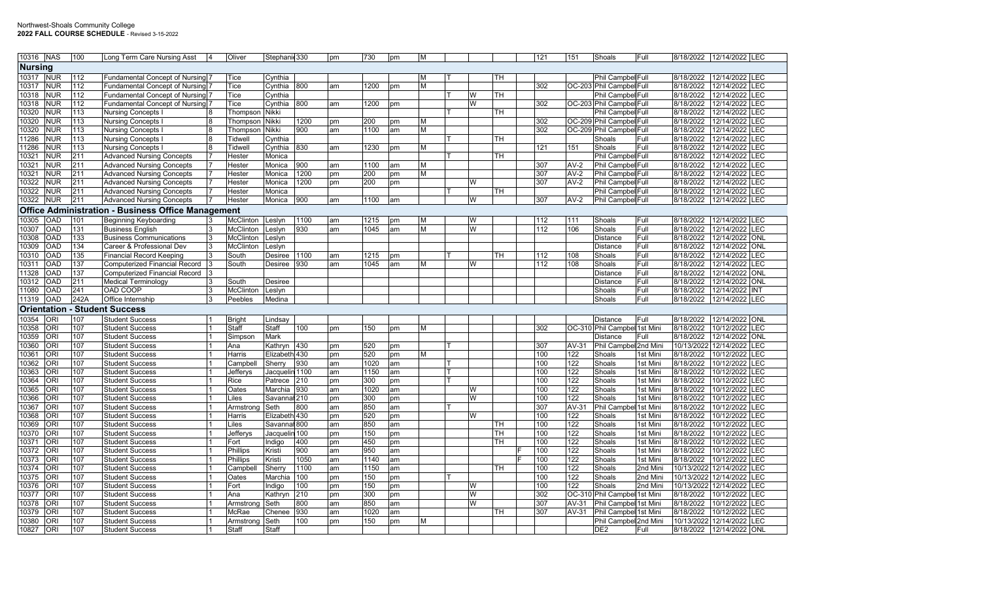| 10316 NAS |                                                           | 100        | Long Term Care Nursing Asst           |  | Oliver        | Stephanic 330  |      | pm | 730  | pm | M        |  |        |           |  | 121 | 151        | Shoals                       | Full     | 8/18/2022              | 12/14/2022 LEC                       |
|-----------|-----------------------------------------------------------|------------|---------------------------------------|--|---------------|----------------|------|----|------|----|----------|--|--------|-----------|--|-----|------------|------------------------------|----------|------------------------|--------------------------------------|
|           | <b>Nursing</b>                                            |            |                                       |  |               |                |      |    |      |    |          |  |        |           |  |     |            |                              |          |                        |                                      |
| 10317     | <b>NUR</b>                                                | 112        | Fundamental Concept of Nursing        |  | Tice          | Cynthia        |      |    |      |    | <b>M</b> |  |        | TH        |  |     |            | Phil Campbel Full            |          | 8/18/2022              | 12/14/2022<br>LEC                    |
| 10317     | <b>NUR</b>                                                | 112        | <b>Fundamental Concept of Nursing</b> |  | Tice          | Cynthia        | 800  | am | 1200 | pm | M        |  |        |           |  | 302 |            | OC-203 Phil Campbel Full     |          | 8/18/2022              | LEC<br>12/14/2022                    |
| 10318     | <b>NUR</b>                                                | 112        | Fundamental Concept of Nursing        |  | Tice          | Cynthia        |      |    |      |    |          |  | W      | тн        |  |     |            | Phil Campbel Full            |          | 8/18/2022              | 12/14/2022<br><b>EC</b>              |
| 10318     | <b>NUR</b>                                                | 112        | Fundamental Concept of Nursing 7      |  | Tice          | Cynthia        | 800  | am | 1200 | pm |          |  | W      |           |  | 302 |            | OC-203 Phil Campbel Full     |          | 8/18/2022              | 12/14/2022<br><b>EC</b>              |
| 10320     | <b>NUR</b>                                                | 113        | <b>Nursing Concepts I</b>             |  | Thompson      | Nikki          |      |    |      |    |          |  |        | TН        |  |     |            | Phil Campbel Full            |          | 8/18/2022              | E<br>12/14/2022                      |
| 10320     | <b>NUR</b>                                                | 113        | <b>Nursing Concepts</b>               |  | Thompson      | <b>Nikki</b>   | 1200 | pm | 200  | pm | M        |  |        |           |  | 302 |            | OC-209 Phil Campbel Full     |          | 8/18/2022              | 12/14/2022<br>.EC                    |
| 10320     | <b>NUR</b>                                                | 113        | <b>Nursing Concepts</b>               |  | Thompson      | Nikki          | 900  | am | 1100 | am | M        |  |        |           |  | 302 |            | OC-209 Phil Campbel Full     |          | 8/18/2022              | E<br>12/14/2022                      |
| 11286     | NUR                                                       | 113        | <b>Nursing Concepts</b>               |  | Tidwell       | Cynthia        |      |    |      |    |          |  |        | TH        |  |     |            | Shoals                       | Full     | 8/18/2022              | <b>EC</b><br>12/14/2022              |
| 11286     | <b>NUR</b>                                                | 113        | <b>Nursing Concepts</b>               |  | Tidwell       | Cynthia        | 830  | am | 1230 | pm | M        |  |        |           |  | 121 | 151        | Shoals                       | Full     | 8/18/2022              | 12/14/2022<br><b>EC</b>              |
| 10321     | <b>NUR</b>                                                | 211        | <b>Advanced Nursing Concepts</b>      |  | Hester        | Monica         |      |    |      |    |          |  |        | TН        |  |     |            | Phil Campbel Full            |          | 8/18/2022              | $E$ C<br>12/14/2022                  |
| 10321     | NUR                                                       | 211        | <b>Advanced Nursing Concepts</b>      |  | Hester        | Monica         | 900  | am | 1100 | am | M        |  |        |           |  | 307 | $AV-2$     | Phil Campbel Full            |          | 8/18/2022              | <b>EC</b><br>12/14/2022              |
| 10321     | <b>NUR</b>                                                | 211        | <b>Advanced Nursing Concepts</b>      |  | Hester        | Monica         | 1200 | pm | 200  | pm | M        |  |        |           |  | 307 | $AV-2$     | Phil Campbel Full            |          | 8/18/2022              | 12/14/2022<br><b>EC</b>              |
| 10322     | <b>NUR</b>                                                | 211        | <b>Advanced Nursing Concepts</b>      |  | Hester        | Monica         | 1200 | pm | 200  | pm |          |  | W      |           |  | 307 | $AV-2$     | Phil Campbel Full            |          | 8/18/2022              | 12/14/2022 LEC                       |
| 10322     | NUR                                                       | 211        | <b>Advanced Nursing Concepts</b>      |  | Hester        | Monica         |      |    |      |    |          |  |        | TH        |  |     |            | Phil Campbel Full            |          | 8/18/2022              | 12/14/2022<br><b>EC</b>              |
| 10322     | <b>NUR</b>                                                | 211        | <b>Advanced Nursing Concepts</b>      |  | Hester        | Monica         | 900  | am | 1100 | am |          |  | W      |           |  | 307 | $AV-2$     | Phil Campbel Full            |          | 8/18/2022              | LEC<br>12/14/2022                    |
|           | <b>Office Administration - Business Office Management</b> |            |                                       |  |               |                |      |    |      |    |          |  |        |           |  |     |            |                              |          |                        |                                      |
| 10305     | <b>OAD</b>                                                | 101        | Beginning Keyboarding                 |  | McClinton     | Leslyn         | 1100 | am | 1215 | pm | M        |  | W      |           |  | 112 | 111        | Shoals                       | Full     | 8/18/2022              | 12/14/2022 LEC                       |
| 10307     | <b>OAD</b>                                                | 131        | <b>Business English</b>               |  | McClinton     | Leslyn         | 930  | am | 1045 | am | M        |  | W      |           |  | 112 | 106        | Shoals                       | Full     | 8/18/2022              | 12/14/2022 LEC                       |
| 10308     | OAD                                                       | 133        | <b>Business Communications</b>        |  | McClinton     | _eslyn         |      |    |      |    |          |  |        |           |  |     |            | Distance                     | Full     | 8/18/2022              | 12/14/2022 ONL                       |
| 10309     | <b>OAD</b>                                                | 134        | Career & Professional Dev             |  | McClinton     | _eslyn         |      |    |      |    |          |  |        |           |  |     |            | Distance                     | Full     | 8/18/2022              | 12/14/2022<br>ONL                    |
| 10310     | OAD                                                       | 135        | <b>Financial Record Keeping</b>       |  | South         | Desiree        | 1100 | am | 1215 | pm |          |  |        | TН        |  | 112 | 108        | Shoals                       | Full     | 8/18/2022              | 12/14/2022<br>LEC                    |
| 10311     | OAD                                                       | 137        | <b>Computerized Financial Record</b>  |  | South         | Desiree        | 930  | am | 1045 | am | M        |  | W      |           |  | 112 | 108        | Shoals                       | Full     | 8/18/2022              | 12/14/2022 LEC                       |
| 11328     | OAD                                                       | 137        | <b>Computerized Financial Record</b>  |  |               |                |      |    |      |    |          |  |        |           |  |     |            | Distance                     | Full     | 8/18/2022              | 12/14/2022 ONL                       |
| 10312     | OAD                                                       | 211        | <b>Medical Terminology</b>            |  | South         | Desiree        |      |    |      |    |          |  |        |           |  |     |            | Distance                     | Full     | 8/18/2022              | 12/14/2022<br><b>ONL</b>             |
| 11080     | OAD                                                       | 241        | OAD COOP                              |  | McClinton     | Leslyn         |      |    |      |    |          |  |        |           |  |     |            | Shoals                       | Full     | 8/18/2022              | 12/14/2022 INT                       |
| 11319     | OAD                                                       | 242A       | Office Internship                     |  | Peebles       | Medina         |      |    |      |    |          |  |        |           |  |     |            | Shoals                       | Full     | 8/18/2022              | 12/14/2022 LEC                       |
|           | <b>Orientation</b>                                        |            | - Student Success                     |  |               |                |      |    |      |    |          |  |        |           |  |     |            |                              |          |                        |                                      |
| 10354     | <b>ORI</b>                                                | 107        | <b>Student Success</b>                |  | <b>Bright</b> | Lindsay        |      |    |      |    |          |  |        |           |  |     |            | Distance                     | Full     | 8/18/2022              | 12/14/2022 ONL                       |
| 10358     | <b>ORI</b>                                                | 107        | <b>Student Success</b>                |  | Staff         | Staff          | 100  | pm | 150  | pm | M        |  |        |           |  | 302 |            | OC-310 Phil Campbel 1st Mini |          | 8/18/2022              | <b>EC</b><br>10/12/2022              |
| 10359     | <b>ORI</b>                                                | 107        | <b>Student Success</b>                |  | Simpson       | Mark           |      |    |      |    |          |  |        |           |  |     |            | Distance                     | Full     | 8/18/2022              | 12/14/2022<br><b>ONL</b>             |
| 10360     | <b>ORI</b>                                                | 107        | <b>Student Success</b>                |  | Ana           | Kathryn        | 430  | pm | 520  | pm |          |  |        |           |  | 307 | AV-31      | Phil Campbel 2nd Mini        |          | 10/13/2022             | 12/14/2022<br>LEC                    |
| 10361     | <b>ORI</b>                                                | 107        | <b>Student Success</b>                |  | <b>Harris</b> | Elizabeth 430  |      | pm | 520  | pm | M        |  |        |           |  | 100 | 122        | Shoals                       | 1st Mini | 8/18/2022              | 10/12/2022<br><b>EC</b>              |
| 10362     | <b>ORI</b>                                                | 107        | <b>Student Success</b>                |  | Campbell      | Sherry         | 930  | am | 1020 | am |          |  |        |           |  | 100 | 122        | Shoals                       | 1st Mini | 8/18/2022              | 10/12/2022<br><b>EC</b>              |
| 10363     | <b>ORI</b>                                                | 107        | <b>Student Success</b>                |  | Jefferys      | Jacquelin 1100 |      | am | 1150 | am |          |  |        |           |  | 100 | 122        | Shoals                       | 1st Mini | 8/18/2022              | LEC<br>10/12/2022                    |
| 10364     | ORI                                                       | 107        | <b>Student Success</b>                |  | Rice          | Patrece        | 210  | pm | 300  | pm |          |  |        |           |  | 100 | 122        | Shoals                       | 1st Mini | 8/18/2022              | 10/12/2022<br><b>EC</b>              |
| 10365     | <b>ORI</b>                                                | 107        | <b>Student Success</b>                |  | Oates         | Marchia        | 930  | am | 1020 | am |          |  | W      |           |  | 100 | 122        | Shoals                       | 1st Mini | 8/18/2022              | 10/12/2022<br>.EC                    |
| 10366     | <b>ORI</b>                                                | 107        | <b>Student Success</b>                |  | Liles         | Savannal 210   |      | pm | 300  | pm |          |  | W      |           |  | 100 | 122        | Shoals                       | 1st Mini | 8/18/2022              | 10/12/2022<br>EC-                    |
| 10367     | <b>ORI</b>                                                | 107        | <b>Student Success</b>                |  | Armstrono     | Seth           | 800  | am | 850  | am |          |  |        |           |  | 307 | AV-31      | Phil Campbel 1st Mini        |          | 8/18/2022              | 10/12/2022<br><b>EC</b>              |
| 10368     | <b>ORI</b>                                                | 107        | <b>Student Success</b>                |  | Harris        | Elizabeth 430  |      | pm | 520  | pm |          |  | W      |           |  | 100 | 122        | Shoals                       | 1st Mini | 8/18/2022              | 10/12/2022<br><b>EC</b>              |
| 10369     | <b>ORI</b>                                                | 107        | <b>Student Success</b>                |  | Liles         | Savannal 800   |      | am | 850  | am |          |  |        | <b>TH</b> |  | 100 | 122        | Shoals                       | 1st Mini | 8/18/2022              | <b>EC</b><br>10/12/2022              |
| 10370     | <b>ORI</b>                                                | 107        | <b>Student Success</b>                |  | Jefferys      | Jacquelin 100  |      | pm | 150  | pm |          |  |        | TН        |  | 100 | 122        | Shoals                       | 1st Mini | 8/18/2022              | 10/12/2022<br>EC.                    |
| 10371     | <b>ORI</b>                                                | 107        | <b>Student Success</b>                |  | Fort          | Indigo         | 400  | pm | 450  | pm |          |  |        | TН        |  | 100 | 122<br>122 | Shoals                       | 1st Mini | 8/18/2022              | <b>EC</b><br>10/12/2022              |
| 10372     | <b>ORI</b>                                                | 107        | <b>Student Success</b>                |  | Phillips      | Kristi         | 900  | am | 950  | am |          |  |        |           |  | 100 |            | Shoals                       | 1st Mini | 8/18/2022              | <b>EC</b><br>10/12/2022              |
| 10373     | <b>ORI</b>                                                | 107        | <b>Student Success</b>                |  | Phillips      | Kristi         | 1050 | am | 1140 | am |          |  |        | TН        |  | 100 | 122        | Shoals                       | 1st Mini | 8/18/2022              | 10/12/2022<br>EC.                    |
| 10374     | <b>ORI</b>                                                | 107        | <b>Student Success</b>                |  | Campbell      | Sherrv         | 1100 | am | 1150 | am |          |  |        |           |  | 100 | 122        | Shoals                       | 2nd Mini | 10/13/2022             | 12/14/2022<br><b>EC</b>              |
| 10375     | <b>ORI</b>                                                | 107        | <b>Student Success</b>                |  | Oates         | Marchia        | 100  | pm | 150  | pm |          |  |        |           |  | 100 | 122        | Shoals                       | 2nd Mini | 10/13/2022             | <b>EC</b><br>12/14/2022              |
| 10376     | <b>ORI</b><br>ORI                                         | 107<br>107 | <b>Student Success</b>                |  | Fort          | Indigo         | 100  | pm | 150  | pm |          |  | W<br>W |           |  | 100 | 122        | Shoals                       | 2nd Mini | 10/13/2022             | 12/14/2022<br><b>EC</b>              |
| 10377     |                                                           |            | <b>Student Success</b>                |  | Ana           | Kathryn        | 210  | pm | 300  | pm |          |  |        |           |  | 302 |            | OC-310 Phil Campbel 1st Mini |          | 8/18/2022              | LEC<br>10/12/2022                    |
| 10378     | <b>ORI</b><br><b>ORI</b>                                  | 107<br>107 | <b>Student Success</b>                |  | Armstrono     | Seth           | 800  | am | 850  | am |          |  | W      | <b>TH</b> |  | 307 | AV-31      | Phil Campbel 1st Mini        |          | 8/18/2022<br>8/18/2022 | 10/12/2022<br><b>EC</b><br><b>EC</b> |
| 10379     | <b>ORI</b>                                                | 107        | <b>Student Success</b>                |  | McRae         | Chenee         | 930  | am | 1020 | am |          |  |        |           |  | 307 | $AV-31$    | <b>Phil Campbel 1st Mini</b> |          |                        | 10/12/2022                           |
| 10380     |                                                           |            | <b>Student Success</b>                |  | Armstrong     | Seth           | 100  | pm | 150  | pm | М        |  |        |           |  |     |            | Phil Campbel 2nd Mini        |          | 10/13/2022             | 12/14/2022 LEC                       |
| 10827     | <b>ORI</b>                                                | 107        | <b>Student Success</b>                |  | Staff         | Staff          |      |    |      |    |          |  |        |           |  |     |            | DE <sub>2</sub>              | Full     | 8/18/2022              | 12/14/2022 ONL                       |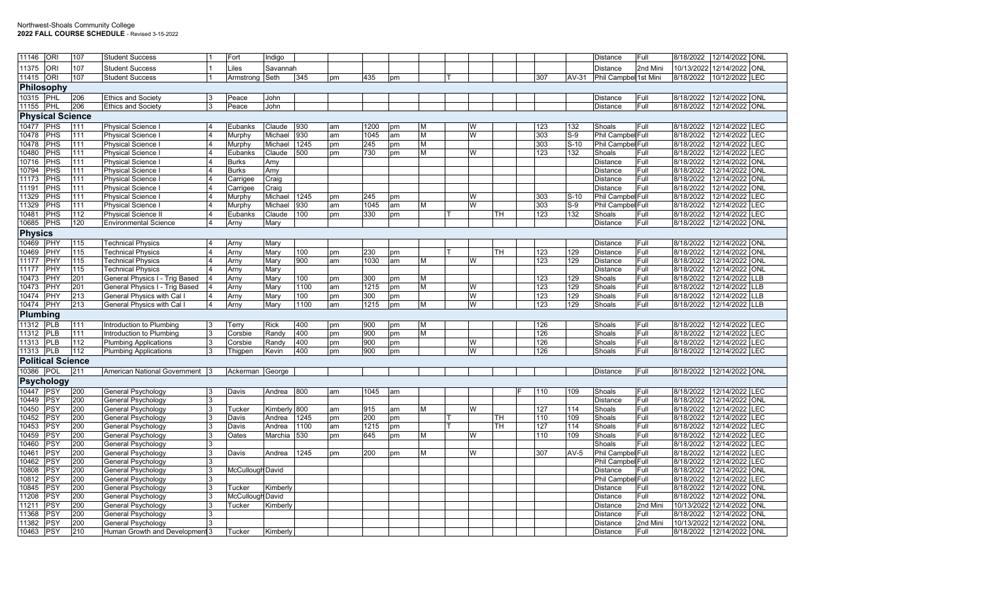| 11146                   | <b>ORI</b>               | 107 | <b>Student Success</b>         |                | Fort             | Indigo          |      |     |      |    |   |  |   |    |     |         | Distance              | Full     | 8/18/2022 | 12/14/2022 ONL            |            |
|-------------------------|--------------------------|-----|--------------------------------|----------------|------------------|-----------------|------|-----|------|----|---|--|---|----|-----|---------|-----------------------|----------|-----------|---------------------------|------------|
| 11375                   | <b>ORI</b>               | 107 | <b>Student Success</b>         |                | Liles            | Savannah        |      |     |      |    |   |  |   |    |     |         | Distance              | 2nd Mini |           | 10/13/2022 12/14/2022 ONL |            |
| 11415                   | <b>ORI</b>               | 107 | <b>Student Success</b>         |                | Armstrong        | Seth            | 345  | pm  | 435  | pm |   |  |   |    | 307 | $AV-31$ | Phil Campbel 1st Mini |          | 8/18/2022 | 10/12/2022 LEC            |            |
|                         | Philosophy               |     |                                |                |                  |                 |      |     |      |    |   |  |   |    |     |         |                       |          |           |                           |            |
| 10315 PHL               |                          | 206 | <b>Ethics and Society</b>      |                | Peace            | John            |      |     |      |    |   |  |   |    |     |         | Distance              | Full     | 8/18/2022 | 12/14/2022 ONL            |            |
| 11155                   | PHL                      | 206 | <b>Ethics and Society</b>      |                | Peace            | John            |      |     |      |    |   |  |   |    |     |         | Distance              | Full     | 8/18/2022 | 12/14/2022 ONL            |            |
| <b>Physical Science</b> |                          |     |                                |                |                  |                 |      |     |      |    |   |  |   |    |     |         |                       |          |           |                           |            |
| 10477                   | PHS                      | 111 | <b>Physical Science</b>        |                | Eubanks          | Claude          | 930  | lam | 1200 | pm | M |  | W |    | 123 | 132     | Shoals                | Full     | 8/18/2022 | 12/14/2022 LEC            |            |
| 10478                   | PHS                      | 111 | <b>Physical Science</b>        |                | Murphy           | Michael         | 930  | am  | 1045 | am | M |  | W |    | 303 | $S-9$   | Phil Campbel Full     |          | 8/18/2022 | 12/14/2022                | LEC        |
| 10478                   | PHS                      | 111 | Physical Science I             |                | Murphy           | Michael         | 1245 | pm  | 245  | pm | M |  |   |    | 303 | $S-10$  | Phil Campbel Full     |          | 8/18/2022 | 12/14/2022 LEC            |            |
| 10480                   | PHS                      | 111 | Physical Science I             |                | Eubanks          | Claude          | 500  | pm  | 730  | pm | M |  | W |    | 123 | 132     | Shoals                | Full     | 8/18/2022 | 12/14/2022                | LEC        |
| 10716                   | PHS                      | 111 | <b>Physical Science</b>        |                | <b>Burks</b>     | Amy             |      |     |      |    |   |  |   |    |     |         | Distance              | Full     | 8/18/2022 | 12/14/2022                | <b>ONL</b> |
| 10794                   | PHS                      | 111 | Physical Science I             |                | <b>Burks</b>     | Amy             |      |     |      |    |   |  |   |    |     |         | Distance              | Full     | 8/18/2022 | 12/14/2022                | <b>ONL</b> |
| 11173                   | PHS                      | 111 | <b>Physical Science</b>        |                | Carrigee         | Craig           |      |     |      |    |   |  |   |    |     |         | Distance              | Full     | 8/18/2022 | 12/14/2022                | <b>ONL</b> |
| 11191                   | PHS                      | 111 | <b>Physical Science</b>        |                | Carrigee         | Craig           |      |     |      |    |   |  |   |    |     |         | Distance              | Full     | 8/18/2022 | 12/14/2022                | <b>ONL</b> |
| 11329                   | PHS                      | 111 | <b>Physical Science</b>        |                | Murphy           | Michael         | 1245 | pm  | 245  | pm |   |  | W |    | 303 | $S-10$  | Phil Campbel Full     |          | 8/18/2022 | 12/14/2022                | LEC        |
| 11329                   | PHS                      | 111 | <b>Physical Science</b>        |                | Murphy           | Michael         | 930  | am  | 1045 | am | м |  | W |    | 303 | $S-9$   | Phil Campbel Full     |          | 8/18/2022 | $\frac{12}{14/2022}$      | LEC        |
| 10481                   | PHS                      | 112 | <b>Physical Science II</b>     |                | Eubanks          | Claude          | 100  | pm  | 330  | pm |   |  |   | TН | 123 | 132     | Shoals                | Full     | 8/18/2022 | 12/14/2022                | LEC        |
| 10685                   | PHS                      | 120 | <b>Environmental Science</b>   | $\overline{4}$ | Arny             | Mary            |      |     |      |    |   |  |   |    |     |         | Distance              | Full     | 8/18/2022 | 12/14/2022 ONL            |            |
|                         |                          |     |                                |                |                  |                 |      |     |      |    |   |  |   |    |     |         |                       |          |           |                           |            |
| <b>Physics</b>          |                          |     |                                |                |                  |                 |      |     |      |    |   |  |   |    |     |         |                       |          |           |                           |            |
| 10469                   | PHY                      | 115 | <b>Technical Physics</b>       |                | Arny             | Mary            |      |     |      |    |   |  |   |    |     |         | Distance              | Full     | 8/18/2022 | 12/14/2022 ONL            |            |
| 10469                   | PHY                      | 115 | <b>Technical Physics</b>       |                | Arny             | Mary            | 100  | pm  | 230  | pm |   |  |   | TН | 123 | 129     | Distance              | Full     | 8/18/2022 | 12/14/2022 ONL            |            |
| 11177                   | PHY                      | 115 | <b>Technical Physics</b>       |                | Arny             | Mary            | 900  | am  | 1030 | am | М |  | W |    | 123 | 129     | Distance              | Full     | 8/18/2022 | 12/14/2022 ONL            |            |
| 11177                   | PHY                      | 115 | <b>Technical Physics</b>       |                | Arny             | Mary            |      |     |      |    |   |  |   |    |     |         | Distance              | Full     | 8/18/2022 | 12/14/2022                | <b>ONL</b> |
| 10473                   | PHY                      | 201 | General Physics I - Trig Based |                | Arny             | Mary            | 100  | pm  | 300  | pm | м |  |   |    | 123 | 129     | Shoals                | Full     | 8/18/2022 | 12/14/2022                | <b>LLB</b> |
| 10473                   | PHY                      | 201 | General Physics I - Trig Based |                | Arny             | Mary            | 1100 | am  | 1215 | pm | М |  | W |    | 123 | 129     | Shoals                | Full     | 8/18/2022 | 12/14/2022 LLB            |            |
| 10474                   | PHY                      | 213 | General Physics with Cal I     |                | Arny             | Mary            | 100  | pm  | 300  | pm |   |  | W |    | 123 | 129     | Shoals                | Full     | 8/18/2022 | 12/14/2022                | <b>LB</b>  |
| 10474                   | PHY                      | 213 | General Physics with Cal       | 4              | Arny             | Mary            | 1100 | am  | 1215 | pm | M |  | W |    | 123 | 129     | Shoals                | Full     | 8/18/2022 | 12/14/2022                | <b>LLB</b> |
| Plumbing                |                          |     |                                |                |                  |                 |      |     |      |    |   |  |   |    |     |         |                       |          |           |                           |            |
| 11312                   | <b>PLB</b>               | 111 | Introduction to Plumbing       |                | Terry            | <b>Rick</b>     | 400  | pm  | 900  | pm | M |  |   |    | 126 |         | Shoals                | Full     | 8/18/2022 | 12/14/2022 LEC            |            |
| 11312                   | <b>PLB</b>               | 111 | Introduction to Plumbing       | 3              | Corsbie          | Randy           | 400  | pm  | 900  | pm | М |  |   |    | 126 |         | Shoals                | Full     | 8/18/2022 | 12/14/2022 LEC            |            |
| 11313                   | PLB                      | 112 | <b>Plumbing Applications</b>   |                | Corsbie          | Randy           | 400  | pm  | 900  | pm |   |  | W |    | 126 |         | Shoals                | Full     | 8/18/2022 | 12/14/2022 LEC            |            |
| 11313                   | PLB                      | 112 | <b>Plumbing Applications</b>   |                | Thigpen          | Kevin           | 400  | pm  | 900  | pm |   |  | W |    | 126 |         | Shoals                | Full     | 8/18/2022 | 12/14/2022 LEC            |            |
|                         | <b>Political Science</b> |     |                                |                |                  |                 |      |     |      |    |   |  |   |    |     |         |                       |          |           |                           |            |
| 10386                   | POL                      | 211 | American National Government 3 |                | Ackerman George  |                 |      |     |      |    |   |  |   |    |     |         | Distance              | Full     |           | 8/18/2022 12/14/2022 ONL  |            |
|                         | <b>Psychology</b>        |     |                                |                |                  |                 |      |     |      |    |   |  |   |    |     |         |                       |          |           |                           |            |
| 10447                   | PSY                      | 200 | General Psychology             | 3              | Davis            | Andrea          | 800  | am  | 1045 | am |   |  |   |    | 110 | 109     | Shoals                | Full     | 8/18/2022 | 12/14/2022 LEC            |            |
| 10449                   | PSY                      | 200 | <b>General Psychology</b>      |                |                  |                 |      |     |      |    |   |  |   |    |     |         | Distance              | Full     | 8/18/2022 | 12/14/2022 ONL            |            |
| 10450                   | PSY                      | 200 | General Psychology             | 3              | Tucker           | <b>Kimberly</b> | 800  | am  | 915  | am | M |  | W |    | 127 | 114     | Shoals                | Full     | 8/18/2022 | 12/14/2022 LEC            |            |
| 10452                   | PSY                      | 200 | General Psychology             |                | Davis            | Andrea          | 1245 | pm  | 200  | pm |   |  |   | TН | 110 | 109     | Shoals                | Full     | 8/18/2022 | 12/14/2022                | LEC        |
| 10453                   | PSY                      | 200 | <b>General Psychology</b>      |                | Davis            | Andrea          | 1100 | am  | 1215 | pm |   |  |   | TН | 127 | 114     | Shoals                | Full     | 8/18/2022 | 12/14/2022 LEC            |            |
| 10459                   | PSY                      | 200 | General Psychology             |                | Oates            | Marchia         | 530  | pm  | 645  | pm | M |  | W |    | 110 | 109     | Shoals                | Full     | 8/18/2022 | 12/14/2022 LEC            |            |
| 10460                   | PSY                      | 200 | General Psychology             | 3              |                  |                 |      |     |      |    |   |  |   |    |     |         | Shoals                | Full     | 8/18/2022 | 12/14/2022                | LEC        |
| 10461                   | PSY                      | 200 | General Psychology             |                | Davis            | Andrea          | 1245 | pm  | 200  | pm | M |  | W |    | 307 | $AV-5$  | Phil Campbel Full     |          | 8/18/2022 | 12/14/2022                | LEC        |
| 10462                   | PSY                      | 200 | General Psychology             |                |                  |                 |      |     |      |    |   |  |   |    |     |         | Phil Campbel Full     |          | 8/18/2022 | 12/14/2022                | LEC        |
| 10808                   | PSY                      | 200 | General Psychology             | 3              | McCullough David |                 |      |     |      |    |   |  |   |    |     |         | Distance              | Full     | 8/18/2022 | 12/14/2022                | ONL        |
| 10812                   | PSY                      | 200 | General Psychology             |                |                  |                 |      |     |      |    |   |  |   |    |     |         | Phil Campbel Full     |          | 8/18/2022 | 12/14/2022 LEC            |            |
| 10845                   | PSY                      | 200 | General Psychology             | 3              | Tucker           | Kimberly        |      |     |      |    |   |  |   |    |     |         | <b>Distance</b>       | Full     | 8/18/2022 | 12/14/2022                | <b>ONL</b> |
| 11208                   | PSY                      | 200 | General Psychology             |                | McCulloug        | h David         |      |     |      |    |   |  |   |    |     |         | Distance              | Full     | 8/18/2022 | 12/14/2022                | <b>ONL</b> |
| 11211                   | PSY                      | 200 | General Psychology             |                | Tucker           | Kimberly        |      |     |      |    |   |  |   |    |     |         | Distance              | 2nd Mini |           | 10/13/2022 12/14/2022 ONL |            |
| 11368                   | PSY                      | 200 | General Psychology             |                |                  |                 |      |     |      |    |   |  |   |    |     |         | Distance              | Full     | 8/18/2022 | 12/14/2022                | <b>ONL</b> |
| 11382                   | PSY                      | 200 | General Psychology             |                |                  |                 |      |     |      |    |   |  |   |    |     |         | Distance              | 2nd Mini |           | 10/13/2022 12/14/2022     | <b>ONL</b> |
| 10463                   | <b>PSY</b>               | 210 | Human Growth and Development 3 |                | Tucker           | Kimberly        |      |     |      |    |   |  |   |    |     |         | Distance              | Full     |           | 8/18/2022 12/14/2022 ONL  |            |
|                         |                          |     |                                |                |                  |                 |      |     |      |    |   |  |   |    |     |         |                       |          |           |                           |            |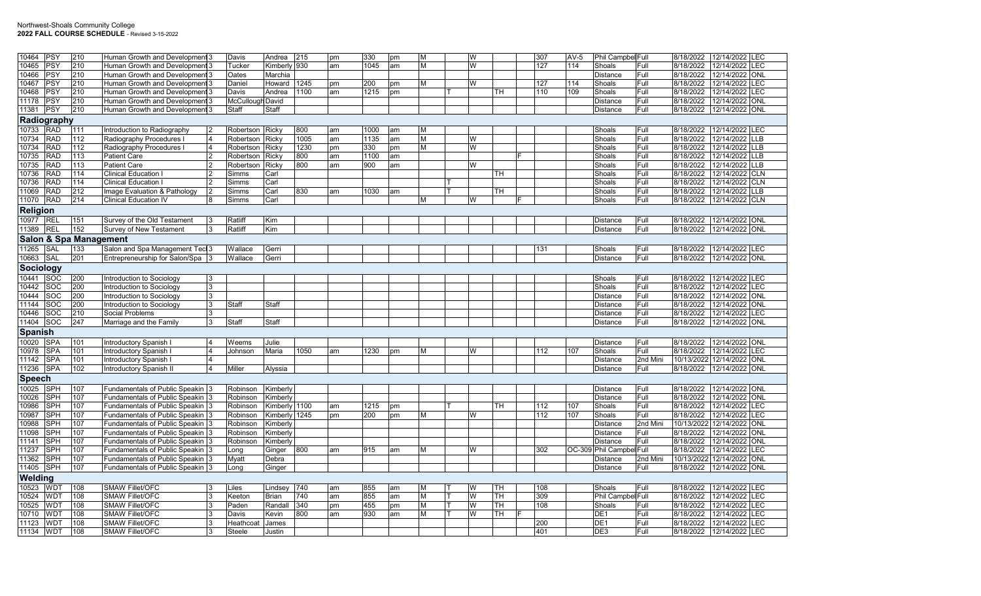| 10464           | <b>PSY</b>              | 210                               | Human Growth and Development 3                   |                | Davis              | Andrea                 | 215        | pm       | 330        | pm | M      | W      |          | 307        | $AV-5$ | Phil Campbel Full           |              | 8/18/2022                 | 12/14/2022 LEC           |            |
|-----------------|-------------------------|-----------------------------------|--------------------------------------------------|----------------|--------------------|------------------------|------------|----------|------------|----|--------|--------|----------|------------|--------|-----------------------------|--------------|---------------------------|--------------------------|------------|
| 10465           | PSY                     | 210                               | Human Growth and Development 3                   |                | Tucker             | Kimberly 930           |            | am       | 1045       | am | M      | W      |          | 127        | 114    | Shoals                      | Full         | 8/18/2022                 | 12/14/2022               | <b>LEC</b> |
| 10466           | PSY                     | 210                               | Human Growth and Development 3                   |                | Oates              | Marchia                |            |          |            |    |        |        |          |            |        | Distance                    | Full         | 8/18/2022                 | 12/14/2022 ONL           |            |
| 10467           | PSY                     | 210                               | Human Growth and Development 3                   |                | Daniel             | Howard                 | 1245       | pm       | 200        | pm | M      | W      |          | 127        | 114    | Shoals                      | Full         | 8/18/2022                 | 12/14/2022               | LEC        |
| 10468           | PSY                     | 210                               | Human Growth and Development 3                   |                | Davis              | Andrea                 | 1100       | am       | 1215       | pm |        |        | TН       | 110        | 109    | Shoals                      | Full         | 8/18/2022                 | 12/14/2022               | LEC        |
| 11178           | PSY                     | 210                               | Human Growth and Development 3                   |                | McCullough David   |                        |            |          |            |    |        |        |          |            |        | Distance                    | Full         | 8/18/2022                 | 12/14/2022 ONL           |            |
| 11381           | PSY                     | 210                               | Human Growth and Development 3                   |                | Staff              | Staff                  |            |          |            |    |        |        |          |            |        | <b>Distance</b>             | Full         | 8/18/2022                 | 12/14/2022 ONL           |            |
|                 | Radiography             |                                   |                                                  |                |                    |                        |            |          |            |    |        |        |          |            |        |                             |              |                           |                          |            |
| 10733           | <b>RAD</b>              | 111                               | Introduction to Radiography                      |                | Robertson Ricky    |                        | 800        | am       | 1000       | am | M      |        |          |            |        | Shoals                      | Full         | 8/18/2022                 | 12/14/2022 LEC           |            |
| 10734           | <b>RAD</b>              | 112                               | Radiography Procedures                           |                | Robertson          | Ricky                  | 1005       | am       | 1135       | am | IМ     | W      |          |            |        | Shoals                      | Full         | 8/18/2022                 | 12/14/2022               | <b>LLB</b> |
| 10734           | <b>RAD</b>              | 112                               | Radiography Procedures                           | $\overline{4}$ | Robertson          | Ricky                  | 1230       | pm       | 330        | pm | M      | W      |          |            |        | Shoals                      | Full         | 8/18/2022                 | 12/14/2022               | LLB        |
| 10735           | <b>RAD</b>              | 113                               | <b>Patient Care</b>                              | 12             | Robertson          | Ricky                  | 800        | am       | 1100       | am |        |        |          |            |        | Shoals                      | Full         | 8/18/2022                 | 12/14/2022 LLB           |            |
| 10735           | <b>RAD</b>              | 113                               | <b>Patient Care</b>                              | l 2            | Robertson          | Ricky                  | 800        | am       | 900        | am |        | W      |          |            |        | Shoals                      | Full         | 8/18/2022                 | 12/14/2022               | <b>LLB</b> |
| 10736           | <b>RAD</b>              | 114                               | <b>Clinical Education I</b>                      | 12             | Simms              | Carl                   |            |          |            |    |        |        | TН       |            |        | Shoals                      | Full         | 8/18/2022                 | 12/14/2022               | <b>CLN</b> |
| 10736           | <b>RAD</b>              | 114                               | <b>Clinical Education I</b>                      |                | Simms              | Carl                   |            |          |            |    |        |        |          |            |        | Shoals                      | Full         | 8/18/2022                 | 12/14/2022 CLN           |            |
| 11069           | <b>RAD</b>              | 212                               | Image Evaluation & Pathology                     |                | Simms              | Carl                   | 830        | am       | 1030       | am |        |        | TН       |            |        | Shoals                      | Full         | 8/18/2022                 | 12/14/2022               | <b>LLB</b> |
| 11070           | <b>RAD</b>              | 214                               | <b>Clinical Education IV</b>                     | 8              | Simms              | Carl                   |            |          |            |    | M      | W      |          |            |        | Shoals                      | Full         | 8/18/2022                 | 12/14/2022 CLN           |            |
| <b>Religion</b> |                         |                                   |                                                  |                |                    |                        |            |          |            |    |        |        |          |            |        |                             |              |                           |                          |            |
|                 |                         |                                   |                                                  |                |                    |                        |            |          |            |    |        |        |          |            |        |                             |              |                           |                          |            |
| 10977           | REL<br><b>REI</b>       | 151<br>152                        | Survey of the Old Testament                      | 3<br>Ι3        | Ratliff            | Kim                    |            |          |            |    |        |        |          |            |        | <b>Distance</b>             | Full<br>Full | 8/18/2022                 | 12/14/2022 ONL           |            |
| 11389           |                         |                                   | Survey of New Testament                          |                | Ratliff            | Kim                    |            |          |            |    |        |        |          |            |        | <b>Distance</b>             |              | 8/18/2022                 | 12/14/2022 ONL           |            |
|                 |                         | <b>Salon &amp; Spa Management</b> |                                                  |                |                    |                        |            |          |            |    |        |        |          |            |        |                             |              |                           |                          |            |
| 11265           | SAL                     | 133                               | Salon and Spa Management Tecl 3                  |                | Wallace            | Gerri                  |            |          |            |    |        |        |          | 131        |        | Shoals                      | Full         | 8/18/2022                 | 12/14/2022 LEC           |            |
| 10663           | <b>SAL</b>              | 201                               | Entrepreneurship for Salon/Spa 3                 |                | Wallace            | Gerri                  |            |          |            |    |        |        |          |            |        | <b>Distance</b>             | Full         | 8/18/2022                 | 12/14/2022 ONL           |            |
| Sociology       |                         |                                   |                                                  |                |                    |                        |            |          |            |    |        |        |          |            |        |                             |              |                           |                          |            |
| 10441           | <b>SOC</b>              | 200                               | Introduction to Sociology                        | 3              |                    |                        |            |          |            |    |        |        |          |            |        | Shoals                      | lFull.       | 8/18/2022                 | 12/14/2022 LEC           |            |
| 10442           | SOC                     | 200                               | Introduction to Sociology                        | IЗ             |                    |                        |            |          |            |    |        |        |          |            |        | Shoals                      | Full         | 8/18/2022                 | 12/14/2022 LEC           |            |
| 10444           | SOC                     | 200                               | Introduction to Sociology                        | Ι3             |                    |                        |            |          |            |    |        |        |          |            |        | Distance                    | Full         | 8/18/2022                 | 12/14/2022               | <b>ONL</b> |
| 11144           | <b>SOC</b>              | 200                               | Introduction to Sociology                        | ъ              | <b>Staff</b>       | Staff                  |            |          |            |    |        |        |          |            |        | Distance                    | Full         | 8/18/2022                 | 12/14/2022 ONL           |            |
| 10446           | SOC                     | 210                               | <b>Social Problems</b>                           | 3              |                    |                        |            |          |            |    |        |        |          |            |        | Distance                    | Full         | 8/18/2022                 | 12/14/2022 LEC           |            |
| 11404           | $\overline{\text{SOC}}$ | 247                               | Marriage and the Family                          | 3              | Staff              | Staff                  |            |          |            |    |        |        |          |            |        | <b>Distance</b>             | Full         | 8/18/2022                 | 12/14/2022 ONL           |            |
| <b>Spanish</b>  |                         |                                   |                                                  |                |                    |                        |            |          |            |    |        |        |          |            |        |                             |              |                           |                          |            |
| 10020           | <b>SPA</b>              | 101                               | Introductory Spanish I                           |                | Weems              | Julie                  |            |          |            |    |        |        |          |            |        | <b>Distance</b>             | Full         | 8/18/2022                 | 12/14/2022 ONL           |            |
| 10978           | <b>SPA</b>              | 101                               | Introductory Spanish I                           |                | Johnson            | Maria                  | 1050       | am       | 1230       | pm | M      | W      |          | 112        | 107    | Shoals                      | Full         | 8/18/2022                 | 12/14/2022 LEC           |            |
| 11142           | SPA                     | 101                               | Introductory Spanish I                           | $\overline{4}$ |                    |                        |            |          |            |    |        |        |          |            |        | <b>Distance</b>             | 2nd Mini     | 10/13/2022 12/14/2022 ONL |                          |            |
| 11236           | <b>SPA</b>              | 102                               | Introductory Spanish II                          |                | Miller             | Alyssia                |            |          |            |    |        |        |          |            |        | Distance                    | Full         | 8/18/2022                 | 12/14/2022 ONL           |            |
| <b>Speech</b>   |                         |                                   |                                                  |                |                    |                        |            |          |            |    |        |        |          |            |        |                             |              |                           |                          |            |
| 10025           | <b>SPH</b>              | 107                               | Fundamentals of Public Speakin 3                 |                | Robinson           | Kimberly               |            |          |            |    |        |        |          |            |        | <b>Distance</b>             | Full         | 8/18/2022                 | 12/14/2022 ONL           |            |
| 10026           | SPH                     | 107                               | Fundamentals of Public Speakin 3                 |                | Robinson           | Kimberly               |            |          |            |    |        |        |          |            |        | Distance                    | Full         | 8/18/2022                 | 12/14/2022 ONL           |            |
| 10986           | <b>SPH</b>              | 107                               | <b>Fundamentals of Public Speakin</b>            |                | Robinson           | Kimberly 1100          |            | am       | 1215       | pm |        |        | TH       | 112        | 107    | Shoals                      | Full         | 8/18/2022                 | 12/14/2022               | <b>LEC</b> |
| 10987           | SPH                     | 107                               | Fundamentals of Public Speakin 3                 |                | Robinson           | Kimberly 1245          |            | pm       | 200        | pm | M      | W      |          | 112        | 107    | Shoals                      | Full         | 8/18/2022                 | 12/14/2022               | <b>LEC</b> |
| 10988           | <b>SPH</b>              | 107                               | Fundamentals of Public Speakin 3                 |                | Robinson           | Kimberly               |            |          |            |    |        |        |          |            |        | Distance                    | 2nd Mini     | 10/13/2022                | 12/14/2022 ONL           |            |
| 11098           | SPH                     | 107                               | <b>Fundamentals of Public Speakin</b>            |                | Robinson           | Kimberly               |            |          |            |    |        |        |          |            |        | Distance                    | Full         | 8/18/2022                 | 12/14/2022               | <b>ONL</b> |
| 11141           | <b>SPH</b>              | 107                               | Fundamentals of Public Speakin 3                 |                | Robinson           | Kimberly               |            |          |            |    |        |        |          |            |        | <b>Distance</b>             | Full         | 8/18/2022                 | 12/14/2022               | <b>ONL</b> |
| 11237           | SPH                     | 107                               | Fundamentals of Public Speakin 3                 |                | _onq               | Ginger                 | 800        | am       | 915        | am | M      | W      |          | 302        |        | OC-309 Phil Campbel Full    |              | 8/18/2022                 | 12/14/2022 LEC           |            |
| 11362           | SPH                     | 107                               | Fundamentals of Public Speakin 3                 |                | Myatt              | Debra                  |            |          |            |    |        |        |          |            |        | Distance                    | 2nd Mini     | 10/13/2022                | 12/14/2022               | ONL        |
| 11405           | SPH                     | 107                               | Fundamentals of Public Speakin 3                 |                | Long               | Ginger                 |            |          |            |    |        |        |          |            |        | <b>Distance</b>             | Full         | 8/18/2022 12/14/2022 ONL  |                          |            |
| Welding         |                         |                                   |                                                  |                |                    |                        |            |          |            |    |        |        |          |            |        |                             |              |                           |                          |            |
|                 |                         |                                   |                                                  |                |                    |                        |            |          |            |    |        |        |          |            |        |                             |              |                           |                          |            |
| 10523           | <b>WDT</b><br>WDT       | 108<br>108                        | <b>SMAW Fillet/OFC</b><br><b>SMAW Fillet/OFC</b> | 13<br>Ι3       | Liles              | Lindsey                | 740<br>740 | am       | 855<br>855 | am | M<br>M | W<br>W | TH<br>TН | 108<br>309 |        | Shoals                      | Full         | 8/18/2022                 | 12/14/2022 LEC           | <b>LEC</b> |
| 10524<br>10525  | <b>WDT</b>              | 108                               | <b>SMAW Fillet/OFC</b>                           |                | Keeton<br>Paden    | <b>Brian</b><br>Randal | 340        | am       | 455        | am | M      | W      | TH.      | 108        |        | Phil Campbel Full<br>Shoals | Full         | 8/18/2022<br>8/18/2022    | 12/14/2022<br>12/14/2022 | LEC        |
| 10710           | WDT                     | 108                               | <b>SMAW Fillet/OFC</b>                           | 13             |                    | Kevin                  | 800        | pm<br>am | 930        | pm | IM.    | W      | TH       |            |        | DE <sub>1</sub>             | Full         | 8/18/2022                 | 12/14/2022               | LEC        |
| 11123           | <b>WDT</b>              | 108                               | <b>SMAW Fillet/OFC</b>                           | 3              | Davis<br>Heathcoat | James                  |            |          |            | am |        |        |          | 200        |        | DE <sub>1</sub>             | Full         | 8/18/2022                 | 12/14/2022               | LEC        |
| 11134           | <b>WDT</b>              | 108                               | <b>SMAW Fillet/OFC</b>                           | 3              | Steele             |                        |            |          |            |    |        |        |          | 401        |        | DE <sub>3</sub>             | Full         | 8/18/2022                 | 12/14/2022 LEC           |            |
|                 |                         |                                   |                                                  |                |                    | Justin                 |            |          |            |    |        |        |          |            |        |                             |              |                           |                          |            |